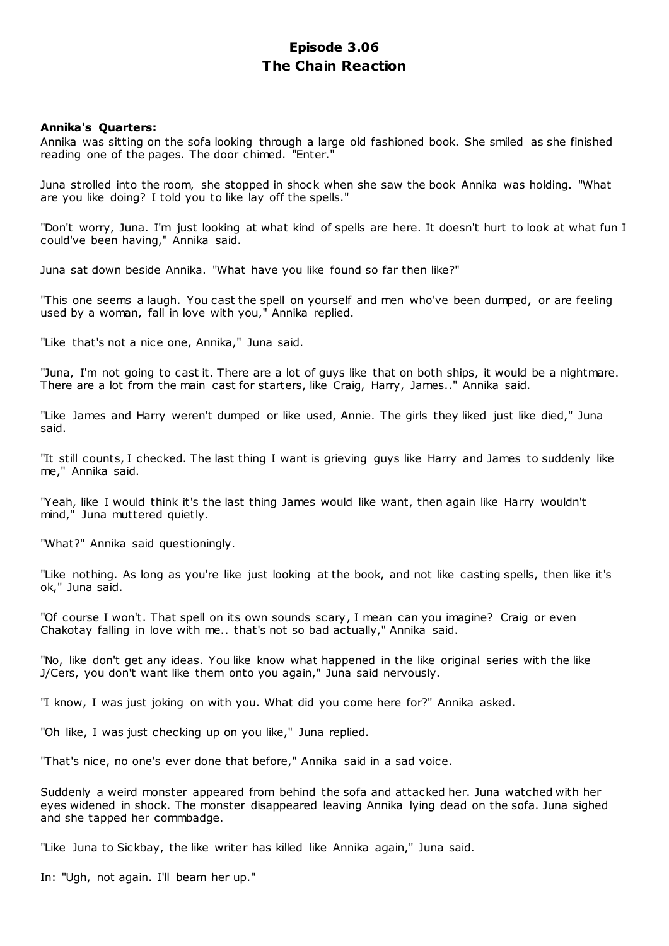# **Episode 3.06 The Chain Reaction**

# **Annika's Quarters:**

Annika was sitting on the sofa looking through a large old fashioned book. She smiled as she finished reading one of the pages. The door chimed. "Enter."

Juna strolled into the room, she stopped in shock when she saw the book Annika was holding. "What are you like doing? I told you to like lay off the spells."

"Don't worry, Juna. I'm just looking at what kind of spells are here. It doesn't hurt to look at what fun I could've been having," Annika said.

Juna sat down beside Annika. "What have you like found so far then like?"

"This one seems a laugh. You cast the spell on yourself and men who've been dumped, or are feeling used by a woman, fall in love with you," Annika replied.

"Like that's not a nice one, Annika," Juna said.

"Juna, I'm not going to cast it. There are a lot of guys like that on both ships, it would be a nightmare. There are a lot from the main cast for starters, like Craig, Harry, James.." Annika said.

"Like James and Harry weren't dumped or like used, Annie. The girls they liked just like died," Juna said.

"It still counts, I checked. The last thing I want is grieving guys like Harry and James to suddenly like me," Annika said.

"Yeah, like I would think it's the last thing James would like want, then again like Harry wouldn't mind," Juna muttered quietly.

"What?" Annika said questioningly.

"Like nothing. As long as you're like just looking at the book, and not like casting spells, then like it's ok," Juna said.

"Of course I won't. That spell on its own sounds scary, I mean can you imagine? Craig or even Chakotay falling in love with me.. that's not so bad actually," Annika said.

"No, like don't get any ideas. You like know what happened in the like original series with the like J/Cers, you don't want like them onto you again," Juna said nervously.

"I know, I was just joking on with you. What did you come here for?" Annika asked.

"Oh like, I was just checking up on you like," Juna replied.

"That's nice, no one's ever done that before," Annika said in a sad voice.

Suddenly a weird monster appeared from behind the sofa and attacked her. Juna watched with her eyes widened in shock. The monster disappeared leaving Annika lying dead on the sofa. Juna sighed and she tapped her commbadge.

"Like Juna to Sickbay, the like writer has killed like Annika again," Juna said.

In: "Ugh, not again. I'll beam her up."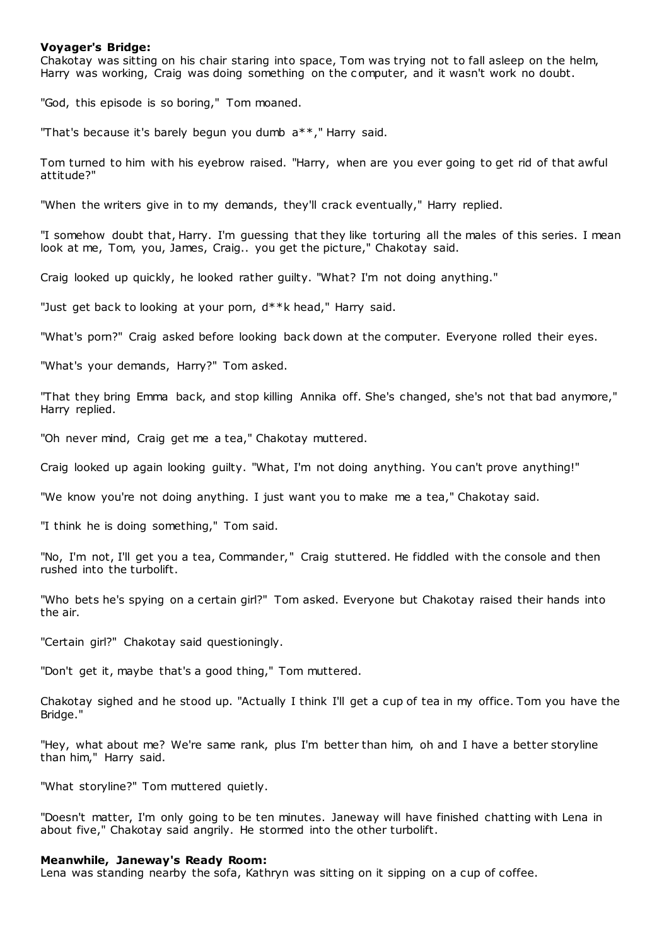# **Voyager's Bridge:**

Chakotay was sitting on his chair staring into space, Tom was trying not to fall asleep on the helm, Harry was working, Craig was doing something on the computer, and it wasn't work no doubt.

"God, this episode is so boring," Tom moaned.

"That's because it's barely begun you dumb a\*\*," Harry said.

Tom turned to him with his eyebrow raised. "Harry, when are you ever going to get rid of that awful attitude?"

"When the writers give in to my demands, they'll crack eventually," Harry replied.

"I somehow doubt that, Harry. I'm guessing that they like torturing all the males of this series. I mean look at me, Tom, you, James, Craig.. you get the picture," Chakotay said.

Craig looked up quickly, he looked rather guilty. "What? I'm not doing anything."

"Just get back to looking at your porn,  $d***$ k head," Harry said.

"What's porn?" Craig asked before looking back down at the computer. Everyone rolled their eyes.

"What's your demands, Harry?" Tom asked.

"That they bring Emma back, and stop killing Annika off. She's changed, she's not that bad anymore," Harry replied.

"Oh never mind, Craig get me a tea," Chakotay muttered.

Craig looked up again looking guilty. "What, I'm not doing anything. You can't prove anything!"

"We know you're not doing anything. I just want you to make me a tea," Chakotay said.

"I think he is doing something," Tom said.

"No, I'm not, I'll get you a tea, Commander," Craig stuttered. He fiddled with the console and then rushed into the turbolift.

"Who bets he's spying on a certain girl?" Tom asked. Everyone but Chakotay raised their hands into the air.

"Certain girl?" Chakotay said questioningly.

"Don't get it, maybe that's a good thing," Tom muttered.

Chakotay sighed and he stood up. "Actually I think I'll get a cup of tea in my office. Tom you have the Bridge."

"Hey, what about me? We're same rank, plus I'm better than him, oh and I have a better storyline than him," Harry said.

"What storyline?" Tom muttered quietly.

"Doesn't matter, I'm only going to be ten minutes. Janeway will have finished chatting with Lena in about five," Chakotay said angrily. He stormed into the other turbolift.

### **Meanwhile, Janeway's Ready Room:**

Lena was standing nearby the sofa, Kathryn was sitting on it sipping on a cup of coffee.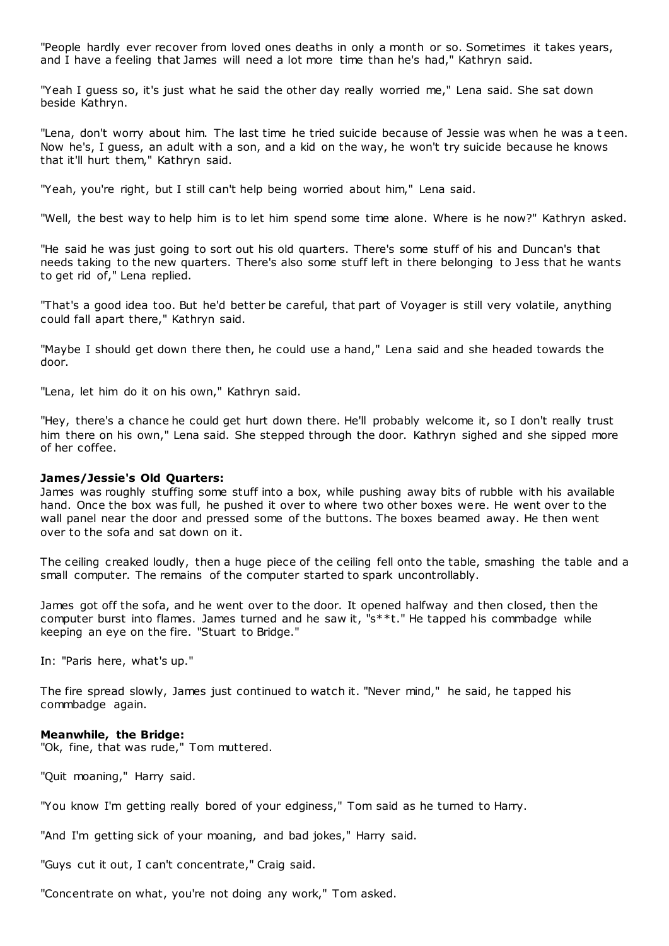"People hardly ever recover from loved ones deaths in only a month or so. Sometimes it takes years, and I have a feeling that James will need a lot more time than he's had," Kathryn said.

"Yeah I guess so, it's just what he said the other day really worried me," Lena said. She sat down beside Kathryn.

"Lena, don't worry about him. The last time he tried suicide because of Jessie was when he was a t een. Now he's, I guess, an adult with a son, and a kid on the way, he won't try suicide because he knows that it'll hurt them," Kathryn said.

"Yeah, you're right, but I still can't help being worried about him," Lena said.

"Well, the best way to help him is to let him spend some time alone. Where is he now?" Kathryn asked.

"He said he was just going to sort out his old quarters. There's some stuff of his and Duncan's that needs taking to the new quarters. There's also some stuff left in there belonging to Jess that he wants to get rid of," Lena replied.

"That's a good idea too. But he'd better be careful, that part of Voyager is still very volatile, anything could fall apart there," Kathryn said.

"Maybe I should get down there then, he could use a hand," Lena said and she headed towards the door.

"Lena, let him do it on his own," Kathryn said.

"Hey, there's a chance he could get hurt down there. He'll probably welcome it, so I don't really trust him there on his own," Lena said. She stepped through the door. Kathryn sighed and she sipped more of her coffee.

### **James/Jessie's Old Quarters:**

James was roughly stuffing some stuff into a box, while pushing away bits of rubble with his available hand. Once the box was full, he pushed it over to where two other boxes were. He went over to the wall panel near the door and pressed some of the buttons. The boxes beamed away. He then went over to the sofa and sat down on it.

The ceiling creaked loudly, then a huge piece of the ceiling fell onto the table, smashing the table and a small computer. The remains of the computer started to spark uncontrollably.

James got off the sofa, and he went over to the door. It opened halfway and then closed, then the computer burst into flames. James turned and he saw it, "s\*\*t." He tapped his commbadge while keeping an eye on the fire. "Stuart to Bridge."

In: "Paris here, what's up."

The fire spread slowly, James just continued to watch it. "Never mind," he said, he tapped his commbadge again.

### **Meanwhile, the Bridge:**

"Ok, fine, that was rude," Tom muttered.

"Quit moaning," Harry said.

"You know I'm getting really bored of your edginess," Tom said as he turned to Harry.

"And I'm getting sick of your moaning, and bad jokes," Harry said.

"Guys cut it out, I can't concentrate," Craig said.

"Concentrate on what, you're not doing any work," Tom asked.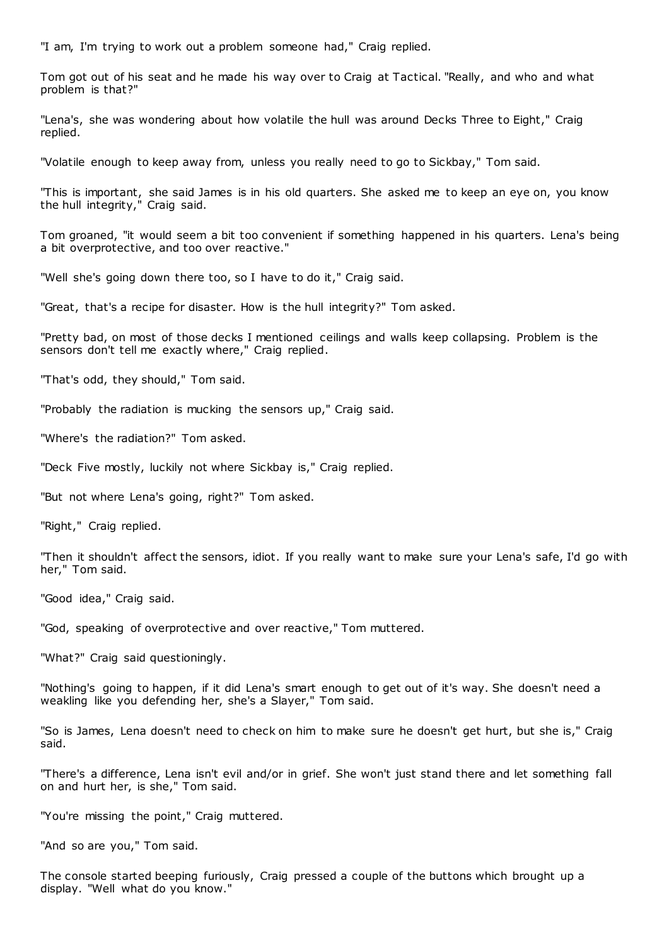"I am, I'm trying to work out a problem someone had," Craig replied.

Tom got out of his seat and he made his way over to Craig at Tactical. "Really, and who and what problem is that?"

"Lena's, she was wondering about how volatile the hull was around Decks Three to Eight," Craig replied.

"Volatile enough to keep away from, unless you really need to go to Sickbay," Tom said.

"This is important, she said James is in his old quarters. She asked me to keep an eye on, you know the hull integrity," Craig said.

Tom groaned, "it would seem a bit too convenient if something happened in his quarters. Lena's being a bit overprotective, and too over reactive."

"Well she's going down there too, so I have to do it," Craig said.

"Great, that's a recipe for disaster. How is the hull integrity?" Tom asked.

"Pretty bad, on most of those decks I mentioned ceilings and walls keep collapsing. Problem is the sensors don't tell me exactly where," Craig replied.

"That's odd, they should," Tom said.

"Probably the radiation is mucking the sensors up," Craig said.

"Where's the radiation?" Tom asked.

"Deck Five mostly, luckily not where Sickbay is," Craig replied.

"But not where Lena's going, right?" Tom asked.

"Right," Craig replied.

"Then it shouldn't affect the sensors, idiot. If you really want to make sure your Lena's safe, I'd go with her," Tom said.

"Good idea," Craig said.

"God, speaking of overprotective and over reactive," Tom muttered.

"What?" Craig said questioningly.

"Nothing's going to happen, if it did Lena's smart enough to get out of it's way. She doesn't need a weakling like you defending her, she's a Slayer," Tom said.

"So is James, Lena doesn't need to check on him to make sure he doesn't get hurt, but she is," Craig said.

"There's a difference, Lena isn't evil and/or in grief. She won't just stand there and let something fall on and hurt her, is she," Tom said.

"You're missing the point," Craig muttered.

"And so are you," Tom said.

The console started beeping furiously, Craig pressed a couple of the buttons which brought up a display. "Well what do you know."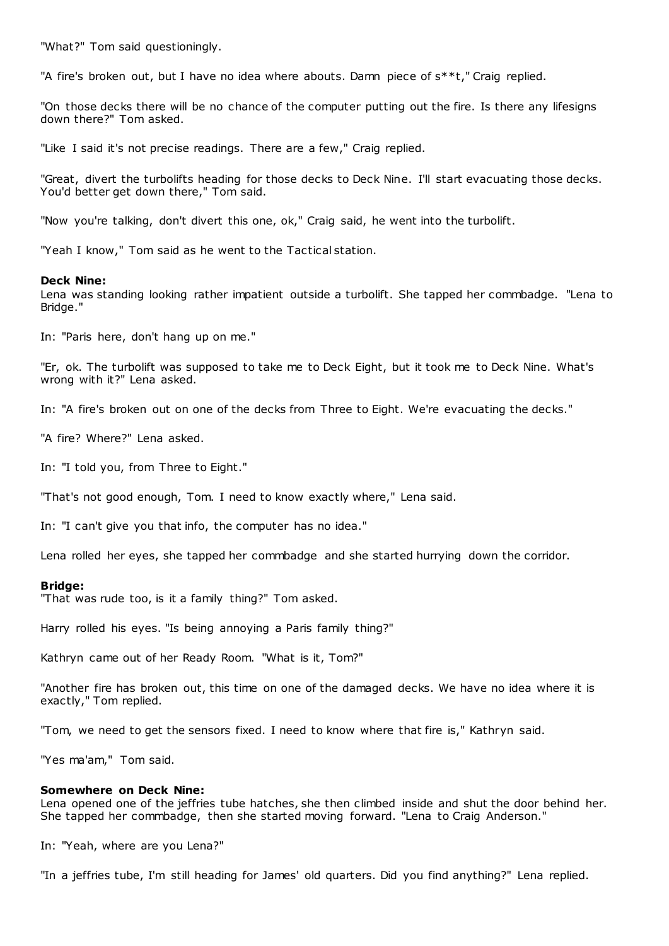"What?" Tom said questioningly.

"A fire's broken out, but I have no idea where abouts. Damn piece of s\*\*t," Craig replied.

"On those decks there will be no chance of the computer putting out the fire. Is there any lifesigns down there?" Tom asked.

"Like I said it's not precise readings. There are a few," Craig replied.

"Great, divert the turbolifts heading for those decks to Deck Nine. I'll start evacuating those decks. You'd better get down there," Tom said.

"Now you're talking, don't divert this one, ok," Craig said, he went into the turbolift.

"Yeah I know," Tom said as he went to the Tactical station.

### **Deck Nine:**

Lena was standing looking rather impatient outside a turbolift. She tapped her commbadge. "Lena to Bridge."

In: "Paris here, don't hang up on me."

"Er, ok. The turbolift was supposed to take me to Deck Eight, but it took me to Deck Nine. What's wrong with it?" Lena asked.

In: "A fire's broken out on one of the decks from Three to Eight. We're evacuating the decks."

"A fire? Where?" Lena asked.

In: "I told you, from Three to Eight."

"That's not good enough, Tom. I need to know exactly where," Lena said.

In: "I can't give you that info, the computer has no idea."

Lena rolled her eyes, she tapped her commbadge and she started hurrying down the corridor.

#### **Bridge:**

"That was rude too, is it a family thing?" Tom asked.

Harry rolled his eyes. "Is being annoying a Paris family thing?"

Kathryn came out of her Ready Room. "What is it, Tom?"

"Another fire has broken out, this time on one of the damaged decks. We have no idea where it is exactly," Tom replied.

"Tom, we need to get the sensors fixed. I need to know where that fire is," Kathryn said.

"Yes ma'am," Tom said.

#### **Somewhere on Deck Nine:**

Lena opened one of the jeffries tube hatches, she then climbed inside and shut the door behind her. She tapped her commbadge, then she started moving forward. "Lena to Craig Anderson."

In: "Yeah, where are you Lena?"

"In a jeffries tube, I'm still heading for James' old quarters. Did you find anything?" Lena replied.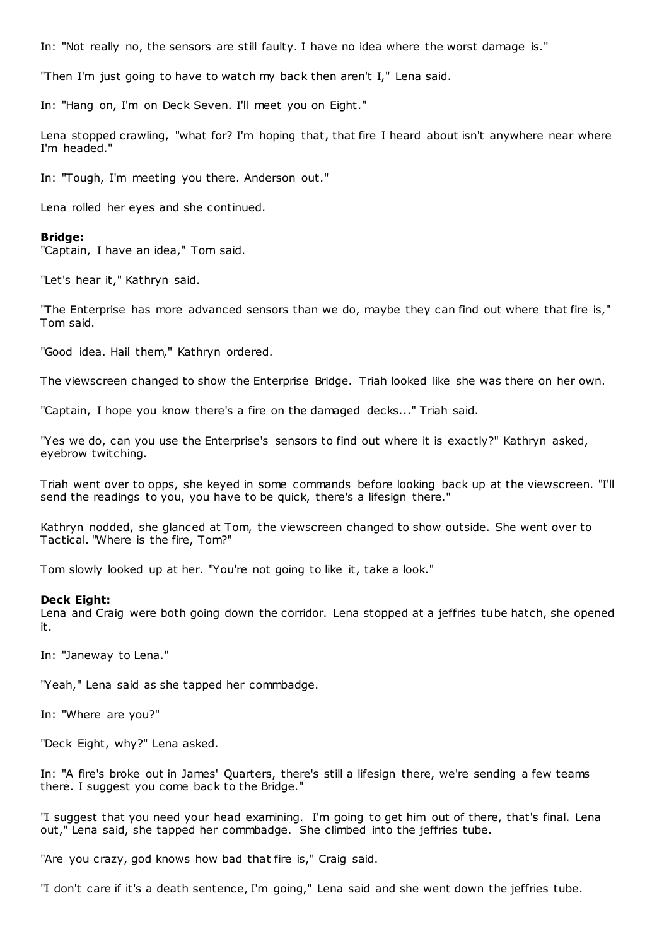In: "Not really no, the sensors are still faulty. I have no idea where the worst damage is."

"Then I'm just going to have to watch my bac k then aren't I," Lena said.

In: "Hang on, I'm on Deck Seven. I'll meet you on Eight."

Lena stopped crawling, "what for? I'm hoping that, that fire I heard about isn't anywhere near where I'm headed."

In: "Tough, I'm meeting you there. Anderson out."

Lena rolled her eyes and she continued.

### **Bridge:**

"Captain, I have an idea," Tom said.

"Let's hear it," Kathryn said.

"The Enterprise has more advanced sensors than we do, maybe they can find out where that fire is," Tom said.

"Good idea. Hail them," Kathryn ordered.

The viewscreen changed to show the Enterprise Bridge. Triah looked like she was there on her own.

"Captain, I hope you know there's a fire on the damaged decks..." Triah said.

"Yes we do, can you use the Enterprise's sensors to find out where it is exactly?" Kathryn asked, eyebrow twitching.

Triah went over to opps, she keyed in some commands before looking back up at the viewscreen. "I'll send the readings to you, you have to be quick, there's a lifesign there."

Kathryn nodded, she glanced at Tom, the viewscreen changed to show outside. She went over to Tactical. "Where is the fire, Tom?"

Tom slowly looked up at her. "You're not going to like it, take a look."

### **Deck Eight:**

Lena and Craig were both going down the corridor. Lena stopped at a jeffries tube hatch, she opened it.

In: "Janeway to Lena."

"Yeah," Lena said as she tapped her commbadge.

In: "Where are you?"

"Deck Eight, why?" Lena asked.

In: "A fire's broke out in James' Quarters, there's still a lifesign there, we're sending a few teams there. I suggest you come back to the Bridge."

"I suggest that you need your head examining. I'm going to get him out of there, that's final. Lena out," Lena said, she tapped her commbadge. She climbed into the jeffries tube.

"Are you crazy, god knows how bad that fire is," Craig said.

"I don't care if it's a death sentence, I'm going," Lena said and she went down the jeffries tube.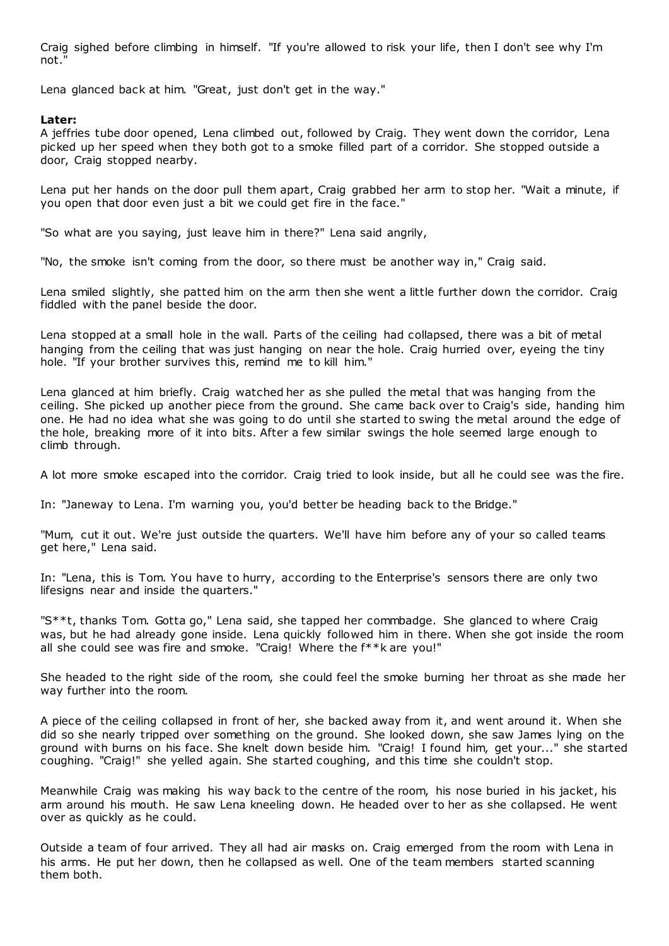Craig sighed before climbing in himself. "If you're allowed to risk your life, then I don't see why I'm not."

Lena glanced back at him. "Great, just don't get in the way."

# **Later:**

A jeffries tube door opened, Lena climbed out, followed by Craig. They went down the corridor, Lena picked up her speed when they both got to a smoke filled part of a corridor. She stopped outside a door, Craig stopped nearby.

Lena put her hands on the door pull them apart, Craig grabbed her arm to stop her. "Wait a minute, if you open that door even just a bit we could get fire in the face."

"So what are you saying, just leave him in there?" Lena said angrily,

"No, the smoke isn't coming from the door, so there must be another way in," Craig said.

Lena smiled slightly, she patted him on the arm then she went a little further down the corridor. Craig fiddled with the panel beside the door.

Lena stopped at a small hole in the wall. Parts of the ceiling had collapsed, there was a bit of metal hanging from the ceiling that was just hanging on near the hole. Craig hurried over, eyeing the tiny hole. "If your brother survives this, remind me to kill him."

Lena glanced at him briefly. Craig watched her as she pulled the metal that was hanging from the ceiling. She picked up another piece from the ground. She came back over to Craig's side, handing him one. He had no idea what she was going to do until she started to swing the metal around the edge of the hole, breaking more of it into bits. After a few similar swings the hole seemed large enough to climb through.

A lot more smoke escaped into the corridor. Craig tried to look inside, but all he could see was the fire.

In: "Janeway to Lena. I'm warning you, you'd better be heading back to the Bridge."

"Mum, cut it out. We're just outside the quarters. We'll have him before any of your so called teams get here," Lena said.

In: "Lena, this is Tom. You have to hurry, according to the Enterprise's sensors there are only two lifesigns near and inside the quarters."

"S\*\*t, thanks Tom. Gotta go," Lena said, she tapped her commbadge. She glanced to where Craig was, but he had already gone inside. Lena quickly followed him in there. When she got inside the room all she could see was fire and smoke. "Craig! Where the f\*\*k are you!"

She headed to the right side of the room, she could feel the smoke burning her throat as she made her way further into the room.

A piece of the ceiling collapsed in front of her, she backed away from it, and went around it. When she did so she nearly tripped over something on the ground. She looked down, she saw James lying on the ground with burns on his face. She knelt down beside him. "Craig! I found him, get your..." she started coughing. "Craig!" she yelled again. She started coughing, and this time she couldn't stop.

Meanwhile Craig was making his way back to the centre of the room, his nose buried in his jacket, his arm around his mouth. He saw Lena kneeling down. He headed over to her as she collapsed. He went over as quickly as he could.

Outside a team of four arrived. They all had air masks on. Craig emerged from the room with Lena in his arms. He put her down, then he collapsed as well. One of the team members started scanning them both.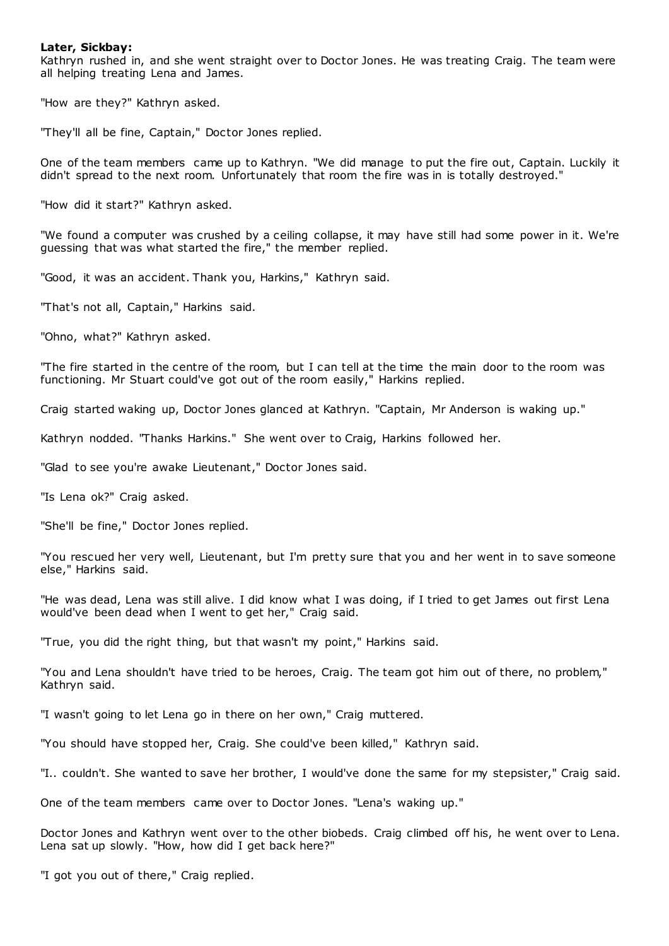# **Later, Sickbay:**

Kathryn rushed in, and she went straight over to Doctor Jones. He was treating Craig. The team were all helping treating Lena and James.

"How are they?" Kathryn asked.

"They'll all be fine, Captain," Doctor Jones replied.

One of the team members came up to Kathryn. "We did manage to put the fire out, Captain. Luckily it didn't spread to the next room. Unfortunately that room the fire was in is totally destroyed."

"How did it start?" Kathryn asked.

"We found a computer was crushed by a ceiling collapse, it may have still had some power in it. We're guessing that was what started the fire," the member replied.

"Good, it was an accident. Thank you, Harkins," Kathryn said.

"That's not all, Captain," Harkins said.

"Ohno, what?" Kathryn asked.

"The fire started in the centre of the room, but I can tell at the time the main door to the room was functioning. Mr Stuart could've got out of the room easily," Harkins replied.

Craig started waking up, Doctor Jones glanced at Kathryn. "Captain, Mr Anderson is waking up."

Kathryn nodded. "Thanks Harkins." She went over to Craig, Harkins followed her.

"Glad to see you're awake Lieutenant," Doctor Jones said.

"Is Lena ok?" Craig asked.

"She'll be fine," Doctor Jones replied.

"You rescued her very well, Lieutenant, but I'm pretty sure that you and her went in to save someone else," Harkins said.

"He was dead, Lena was still alive. I did know what I was doing, if I tried to get James out first Lena would've been dead when I went to get her," Craig said.

"True, you did the right thing, but that wasn't my point," Harkins said.

"You and Lena shouldn't have tried to be heroes, Craig. The team got him out of there, no problem," Kathryn said.

"I wasn't going to let Lena go in there on her own," Craig muttered.

"You should have stopped her, Craig. She could've been killed," Kathryn said.

"I.. couldn't. She wanted to save her brother, I would've done the same for my stepsister," Craig said.

One of the team members came over to Doctor Jones. "Lena's waking up."

Doctor Jones and Kathryn went over to the other biobeds. Craig climbed off his, he went over to Lena. Lena sat up slowly. "How, how did I get back here?"

"I got you out of there," Craig replied.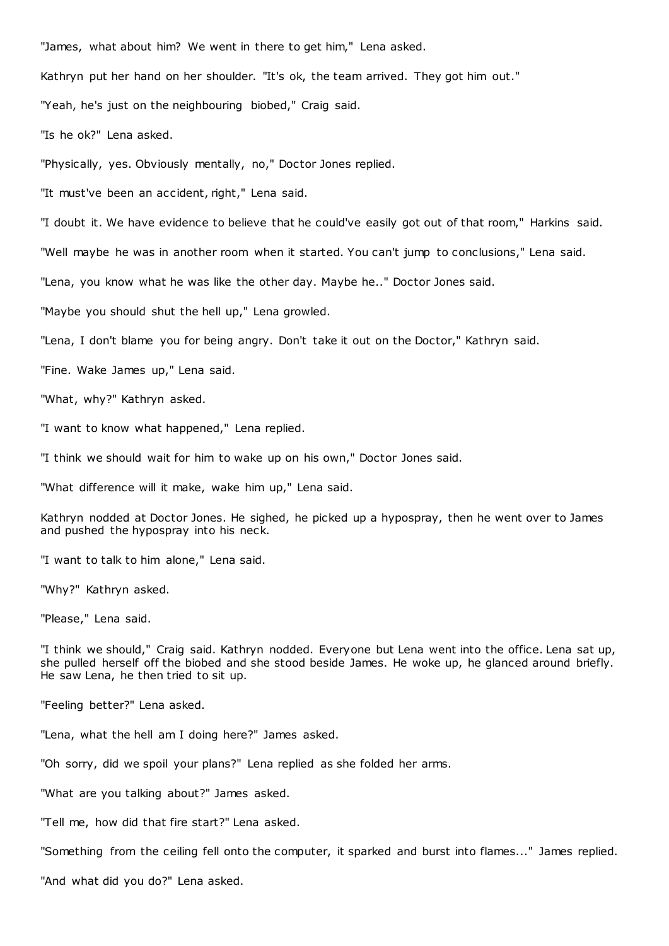"James, what about him? We went in there to get him," Lena asked.

Kathryn put her hand on her shoulder. "It's ok, the team arrived. They got him out."

"Yeah, he's just on the neighbouring biobed," Craig said.

"Is he ok?" Lena asked.

"Physically, yes. Obviously mentally, no," Doctor Jones replied.

"It must've been an accident, right," Lena said.

"I doubt it. We have evidence to believe that he could've easily got out of that room," Harkins said.

"Well maybe he was in another room when it started. You can't jump to conclusions," Lena said.

"Lena, you know what he was like the other day. Maybe he.." Doctor Jones said.

"Maybe you should shut the hell up," Lena growled.

"Lena, I don't blame you for being angry. Don't take it out on the Doctor," Kathryn said.

"Fine. Wake James up," Lena said.

"What, why?" Kathryn asked.

"I want to know what happened," Lena replied.

"I think we should wait for him to wake up on his own," Doctor Jones said.

"What difference will it make, wake him up," Lena said.

Kathryn nodded at Doctor Jones. He sighed, he picked up a hypospray, then he went over to James and pushed the hypospray into his neck.

"I want to talk to him alone," Lena said.

"Why?" Kathryn asked.

"Please," Lena said.

"I think we should," Craig said. Kathryn nodded. Everyone but Lena went into the office. Lena sat up, she pulled herself off the biobed and she stood beside James. He woke up, he glanced around briefly. He saw Lena, he then tried to sit up.

"Feeling better?" Lena asked.

"Lena, what the hell am I doing here?" James asked.

"Oh sorry, did we spoil your plans?" Lena replied as she folded her arms.

"What are you talking about?" James asked.

"Tell me, how did that fire start?" Lena asked.

"Something from the ceiling fell onto the computer, it sparked and burst into flames..." James replied.

"And what did you do?" Lena asked.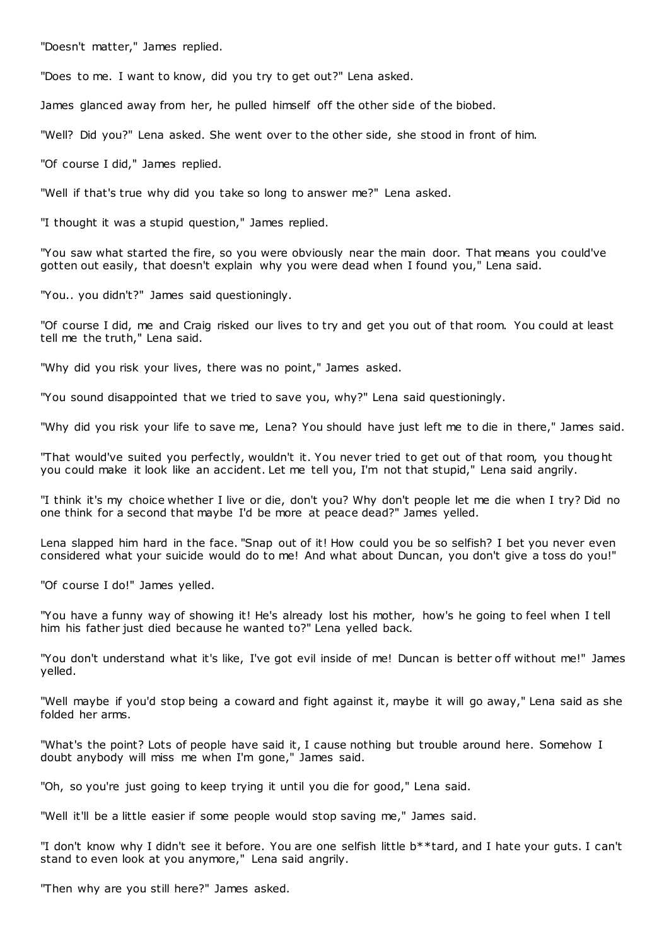"Doesn't matter," James replied.

"Does to me. I want to know, did you try to get out?" Lena asked.

James glanced away from her, he pulled himself off the other side of the biobed.

"Well? Did you?" Lena asked. She went over to the other side, she stood in front of him.

"Of course I did," James replied.

"Well if that's true why did you take so long to answer me?" Lena asked.

"I thought it was a stupid question," James replied.

"You saw what started the fire, so you were obviously near the main door. That means you could've gotten out easily, that doesn't explain why you were dead when I found you," Lena said.

"You.. you didn't?" James said questioningly.

"Of course I did, me and Craig risked our lives to try and get you out of that room. You could at least tell me the truth," Lena said.

"Why did you risk your lives, there was no point," James asked.

"You sound disappointed that we tried to save you, why?" Lena said questioningly.

"Why did you risk your life to save me, Lena? You should have just left me to die in there," James said.

"That would've suited you perfectly, wouldn't it. You never tried to get out of that room, you thought you could make it look like an accident. Let me tell you, I'm not that stupid," Lena said angrily.

"I think it's my choice whether I live or die, don't you? Why don't people let me die when I try? Did no one think for a second that maybe I'd be more at peace dead?" James yelled.

Lena slapped him hard in the face. "Snap out of it! How could you be so selfish? I bet you never even considered what your suicide would do to me! And what about Duncan, you don't give a toss do you!"

"Of course I do!" James yelled.

"You have a funny way of showing it! He's already lost his mother, how's he going to feel when I tell him his father just died because he wanted to?" Lena yelled back.

"You don't understand what it's like, I've got evil inside of me! Duncan is better off without me!" James yelled.

"Well maybe if you'd stop being a coward and fight against it, maybe it will go away," Lena said as she folded her arms.

"What's the point? Lots of people have said it, I cause nothing but trouble around here. Somehow I doubt anybody will miss me when I'm gone," James said.

"Oh, so you're just going to keep trying it until you die for good," Lena said.

"Well it'll be a little easier if some people would stop saving me," James said.

"I don't know why I didn't see it before. You are one selfish little b\*\*tard, and I hate your guts. I can't stand to even look at you anymore," Lena said angrily.

"Then why are you still here?" James asked.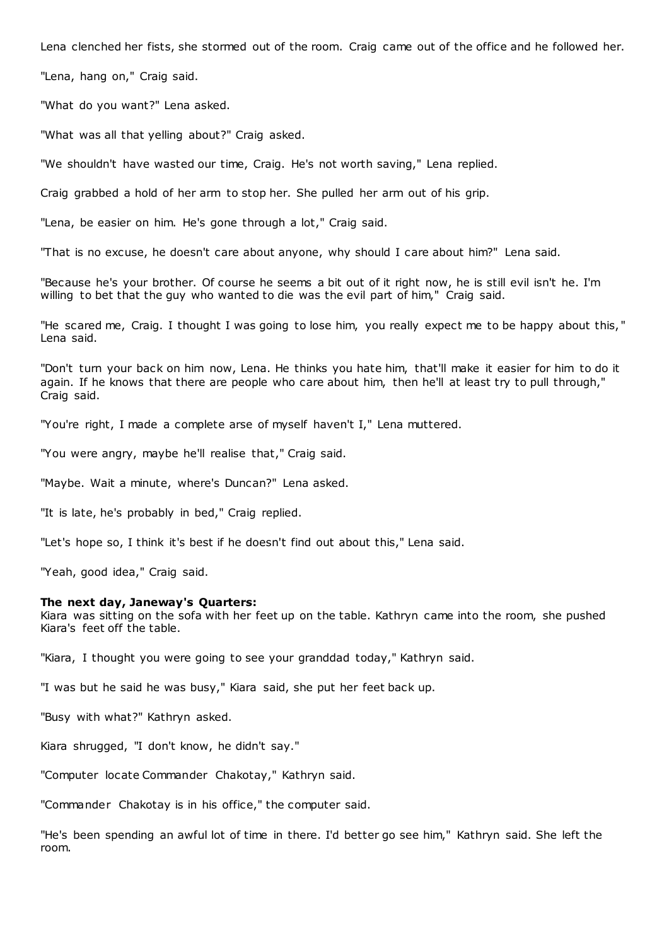Lena clenched her fists, she stormed out of the room. Craig came out of the office and he followed her.

"Lena, hang on," Craig said.

"What do you want?" Lena asked.

"What was all that yelling about?" Craig asked.

"We shouldn't have wasted our time, Craig. He's not worth saving," Lena replied.

Craig grabbed a hold of her arm to stop her. She pulled her arm out of his grip.

"Lena, be easier on him. He's gone through a lot," Craig said.

"That is no excuse, he doesn't care about anyone, why should I care about him?" Lena said.

"Because he's your brother. Of course he seems a bit out of it right now, he is still evil isn't he. I'm willing to bet that the guy who wanted to die was the evil part of him," Craig said.

"He scared me, Craig. I thought I was going to lose him, you really expect me to be happy about this, " Lena said.

"Don't turn your back on him now, Lena. He thinks you hate him, that'll make it easier for him to do it again. If he knows that there are people who care about him, then he'll at least try to pull through," Craig said.

"You're right, I made a complete arse of myself haven't I," Lena muttered.

"You were angry, maybe he'll realise that," Craig said.

"Maybe. Wait a minute, where's Duncan?" Lena asked.

"It is late, he's probably in bed," Craig replied.

"Let's hope so, I think it's best if he doesn't find out about this," Lena said.

"Yeah, good idea," Craig said.

### **The next day, Janeway's Quarters:**

Kiara was sitting on the sofa with her feet up on the table. Kathryn came into the room, she pushed Kiara's feet off the table.

"Kiara, I thought you were going to see your granddad today," Kathryn said.

"I was but he said he was busy," Kiara said, she put her feet back up.

"Busy with what?" Kathryn asked.

Kiara shrugged, "I don't know, he didn't say."

"Computer locate Commander Chakotay," Kathryn said.

"Commander Chakotay is in his office," the computer said.

"He's been spending an awful lot of time in there. I'd better go see him," Kathryn said. She left the room.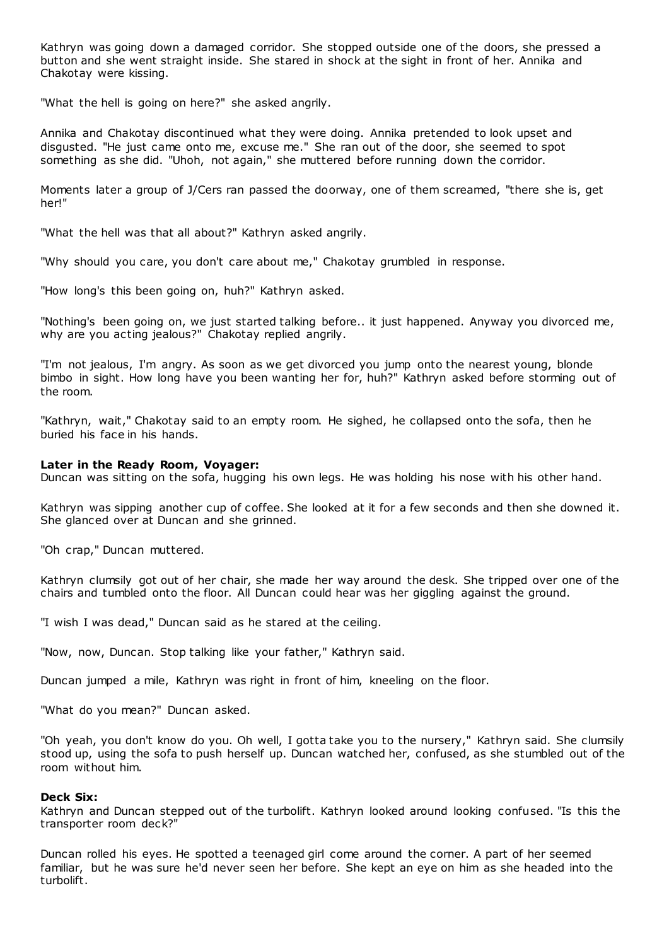Kathryn was going down a damaged corridor. She stopped outside one of the doors, she pressed a button and she went straight inside. She stared in shock at the sight in front of her. Annika and Chakotay were kissing.

"What the hell is going on here?" she asked angrily.

Annika and Chakotay discontinued what they were doing. Annika pretended to look upset and disgusted. "He just came onto me, excuse me." She ran out of the door, she seemed to spot something as she did. "Uhoh, not again," she muttered before running down the corridor.

Moments later a group of J/Cers ran passed the doorway, one of them screamed, "there she is, get her!"

"What the hell was that all about?" Kathryn asked angrily.

"Why should you care, you don't care about me," Chakotay grumbled in response.

"How long's this been going on, huh?" Kathryn asked.

"Nothing's been going on, we just started talking before.. it just happened. Anyway you divorced me, why are you acting jealous?" Chakotay replied angrily.

"I'm not jealous, I'm angry. As soon as we get divorced you jump onto the nearest young, blonde bimbo in sight. How long have you been wanting her for, huh?" Kathryn asked before storming out of the room.

"Kathryn, wait," Chakotay said to an empty room. He sighed, he collapsed onto the sofa, then he buried his face in his hands.

# **Later in the Ready Room, Voyager:**

Duncan was sitting on the sofa, hugging his own legs. He was holding his nose with his other hand.

Kathryn was sipping another cup of coffee. She looked at it for a few seconds and then she downed it. She glanced over at Duncan and she grinned.

"Oh crap," Duncan muttered.

Kathryn clumsily got out of her chair, she made her way around the desk. She tripped over one of the chairs and tumbled onto the floor. All Duncan could hear was her giggling against the ground.

"I wish I was dead," Duncan said as he stared at the ceiling.

"Now, now, Duncan. Stop talking like your father," Kathryn said.

Duncan jumped a mile, Kathryn was right in front of him, kneeling on the floor.

"What do you mean?" Duncan asked.

"Oh yeah, you don't know do you. Oh well, I gotta take you to the nursery," Kathryn said. She clumsily stood up, using the sofa to push herself up. Duncan watched her, confused, as she stumbled out of the room without him.

### **Deck Six:**

Kathryn and Duncan stepped out of the turbolift. Kathryn looked around looking confused. "Is this the transporter room deck?"

Duncan rolled his eyes. He spotted a teenaged girl come around the corner. A part of her seemed familiar, but he was sure he'd never seen her before. She kept an eye on him as she headed into the turbolift.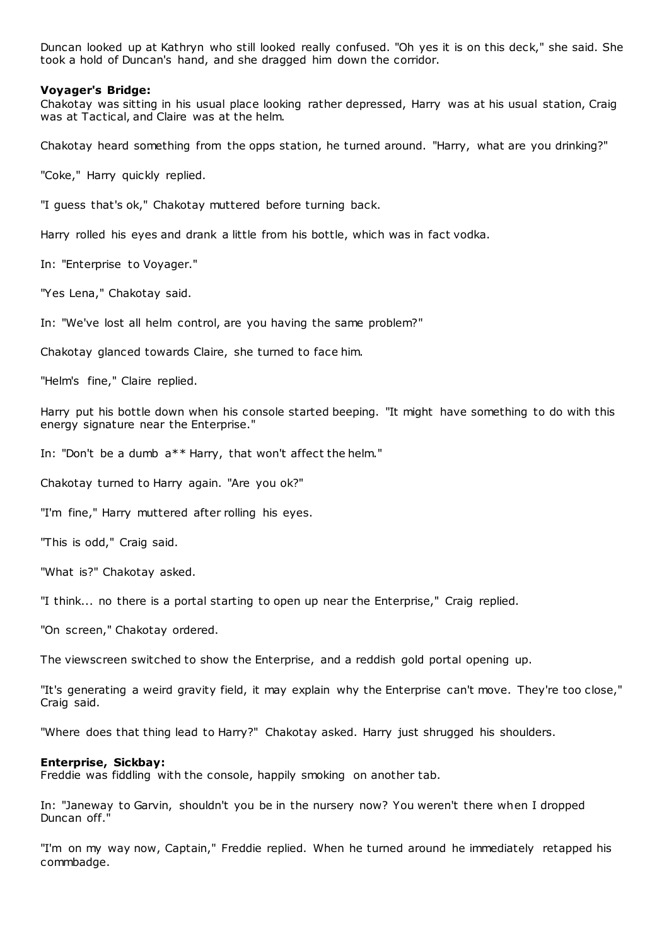Duncan looked up at Kathryn who still looked really confused. "Oh yes it is on this deck," she said. She took a hold of Duncan's hand, and she dragged him down the corridor.

### **Voyager's Bridge:**

Chakotay was sitting in his usual place looking rather depressed, Harry was at his usual station, Craig was at Tactical, and Claire was at the helm.

Chakotay heard something from the opps station, he turned around. "Harry, what are you drinking?"

"Coke," Harry quickly replied.

"I guess that's ok," Chakotay muttered before turning back.

Harry rolled his eyes and drank a little from his bottle, which was in fact vodka.

In: "Enterprise to Voyager."

"Yes Lena," Chakotay said.

In: "We've lost all helm control, are you having the same problem?"

Chakotay glanced towards Claire, she turned to face him.

"Helm's fine," Claire replied.

Harry put his bottle down when his console started beeping. "It might have something to do with this energy signature near the Enterprise."

In: "Don't be a dumb a\*\* Harry, that won't affect the helm."

Chakotay turned to Harry again. "Are you ok?"

"I'm fine," Harry muttered after rolling his eyes.

"This is odd," Craig said.

"What is?" Chakotay asked.

"I think... no there is a portal starting to open up near the Enterprise," Craig replied.

"On screen," Chakotay ordered.

The viewscreen switched to show the Enterprise, and a reddish gold portal opening up.

"It's generating a weird gravity field, it may explain why the Enterprise can't move. They're too close," Craig said.

"Where does that thing lead to Harry?" Chakotay asked. Harry just shrugged his shoulders.

### **Enterprise, Sickbay:**

Freddie was fiddling with the console, happily smoking on another tab.

In: "Janeway to Garvin, shouldn't you be in the nursery now? You weren't there when I dropped Duncan off."

"I'm on my way now, Captain," Freddie replied. When he turned around he immediately retapped his commbadge.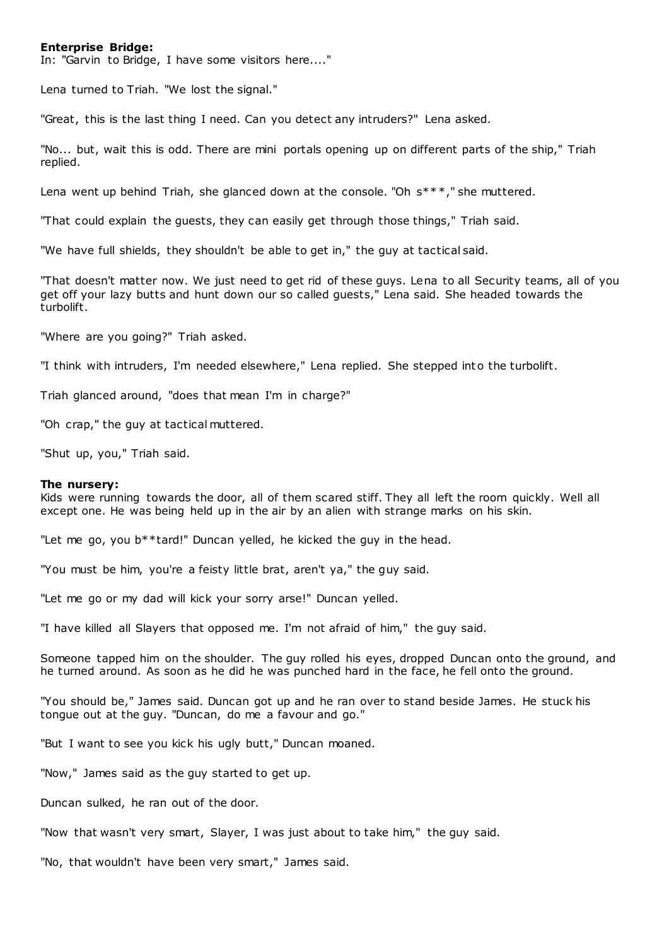# **Enterprise Bridge:**

In: "Garvin to Bridge, I have some visitors here...."

Lena turned to Triah. "We lost the signal."

"Great, this is the last thing I need. Can you detect any intruders?" Lena asked.

"No... but, wait this is odd. There are mini portals opening up on different parts of the ship," Triah replied.

Lena went up behind Triah, she glanced down at the console. "Oh s\*\*\*," she muttered.

"That could explain the guests, they can easily get through those things," Triah said.

"We have full shields, they shouldn't be able to get in," the guy at tactical said.

"That doesn't matter now. We just need to get rid of these guys. Lena to all Security teams, all of you get off your lazy butts and hunt down our so called guests," Lena said. She headed towards the turbolift.

"Where are you going?" Triah asked.

"I think with intruders, I'm needed elsewhere," Lena replied. She stepped int o the turbolift.

Triah glanced around, "does that mean I'm in charge?"

"Oh crap," the guy at tactical muttered.

"Shut up, you," Triah said.

#### **The nursery:**

Kids were running towards the door, all of them scared stiff. They all left the room quickly. Well all except one. He was being held up in the air by an alien with strange marks on his skin.

"Let me go, you b\*\*tard!" Duncan yelled, he kicked the guy in the head.

"You must be him, you're a feisty little brat, aren't ya," the guy said.

"Let me go or my dad will kick your sorry arse!" Duncan yelled.

"I have killed all Slayers that opposed me. I'm not afraid of him," the guy said.

Someone tapped him on the shoulder. The guy rolled his eyes, dropped Duncan onto the ground, and he turned around. As soon as he did he was punched hard in the face, he fell onto the ground.

"You should be," James said. Duncan got up and he ran over to stand beside James. He stuck his tongue out at the guy. "Duncan, do me a favour and go."

"But I want to see you kick his ugly butt," Duncan moaned.

"Now," James said as the guy started to get up.

Duncan sulked, he ran out of the door.

"Now that wasn't very smart, Slayer, I was just about to take him," the guy said.

"No, that wouldn't have been very smart," James said.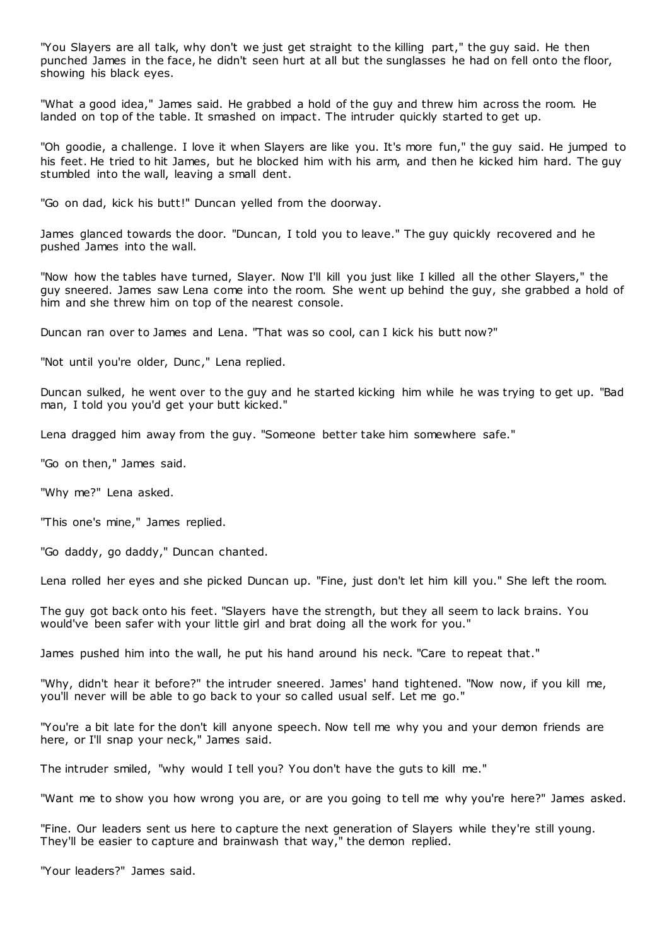"You Slayers are all talk, why don't we just get straight to the killing part," the guy said. He then punched James in the face, he didn't seen hurt at all but the sunglasses he had on fell onto the floor, showing his black eyes.

"What a good idea," James said. He grabbed a hold of the guy and threw him across the room. He landed on top of the table. It smashed on impact. The intruder quickly started to get up.

"Oh goodie, a challenge. I love it when Slayers are like you. It's more fun," the guy said. He jumped to his feet. He tried to hit James, but he blocked him with his arm, and then he kicked him hard. The guy stumbled into the wall, leaving a small dent.

"Go on dad, kick his butt!" Duncan yelled from the doorway.

James glanced towards the door. "Duncan, I told you to leave." The guy quickly recovered and he pushed James into the wall.

"Now how the tables have turned, Slayer. Now I'll kill you just like I killed all the other Slayers," the guy sneered. James saw Lena come into the room. She went up behind the guy, she grabbed a hold of him and she threw him on top of the nearest console.

Duncan ran over to James and Lena. "That was so cool, can I kick his butt now?"

"Not until you're older, Dunc," Lena replied.

Duncan sulked, he went over to the guy and he started kicking him while he was trying to get up. "Bad man, I told you you'd get your butt kicked."

Lena dragged him away from the guy. "Someone better take him somewhere safe."

"Go on then," James said.

"Why me?" Lena asked.

"This one's mine," James replied.

"Go daddy, go daddy," Duncan chanted.

Lena rolled her eyes and she picked Duncan up. "Fine, just don't let him kill you." She left the room.

The guy got back onto his feet. "Slayers have the strength, but they all seem to lack brains. You would've been safer with your little girl and brat doing all the work for you."

James pushed him into the wall, he put his hand around his neck. "Care to repeat that."

"Why, didn't hear it before?" the intruder sneered. James' hand tightened. "Now now, if you kill me, you'll never will be able to go back to your so called usual self. Let me go."

"You're a bit late for the don't kill anyone speech. Now tell me why you and your demon friends are here, or I'll snap your neck," James said.

The intruder smiled, "why would I tell you? You don't have the guts to kill me."

"Want me to show you how wrong you are, or are you going to tell me why you're here?" James asked.

"Fine. Our leaders sent us here to capture the next generation of Slayers while they're still young. They'll be easier to capture and brainwash that way," the demon replied.

"Your leaders?" James said.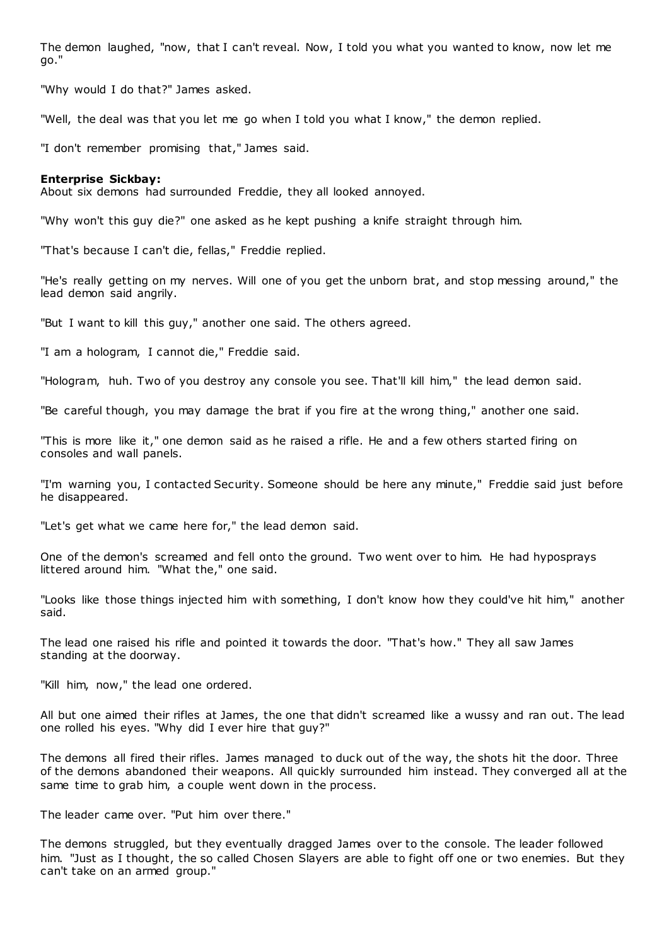The demon laughed, "now, that I can't reveal. Now, I told you what you wanted to know, now let me go."

"Why would I do that?" James asked.

"Well, the deal was that you let me go when I told you what I know," the demon replied.

"I don't remember promising that," James said.

### **Enterprise Sickbay:**

About six demons had surrounded Freddie, they all looked annoyed.

"Why won't this guy die?" one asked as he kept pushing a knife straight through him.

"That's because I can't die, fellas," Freddie replied.

"He's really getting on my nerves. Will one of you get the unborn brat, and stop messing around," the lead demon said angrily.

"But I want to kill this guy," another one said. The others agreed.

"I am a hologram, I cannot die," Freddie said.

"Hologram, huh. Two of you destroy any console you see. That'll kill him," the lead demon said.

"Be careful though, you may damage the brat if you fire at the wrong thing," another one said.

"This is more like it," one demon said as he raised a rifle. He and a few others started firing on consoles and wall panels.

"I'm warning you, I contacted Security. Someone should be here any minute," Freddie said just before he disappeared.

"Let's get what we came here for," the lead demon said.

One of the demon's screamed and fell onto the ground. Two went over to him. He had hyposprays littered around him. "What the," one said.

"Looks like those things injected him with something, I don't know how they could've hit him," another said.

The lead one raised his rifle and pointed it towards the door. "That's how." They all saw James standing at the doorway.

"Kill him, now," the lead one ordered.

All but one aimed their rifles at James, the one that didn't screamed like a wussy and ran out. The lead one rolled his eyes. "Why did I ever hire that guy?"

The demons all fired their rifles. James managed to duck out of the way, the shots hit the door. Three of the demons abandoned their weapons. All quickly surrounded him instead. They converged all at the same time to grab him, a couple went down in the process.

The leader came over. "Put him over there."

The demons struggled, but they eventually dragged James over to the console. The leader followed him. "Just as I thought, the so called Chosen Slayers are able to fight off one or two enemies. But they can't take on an armed group."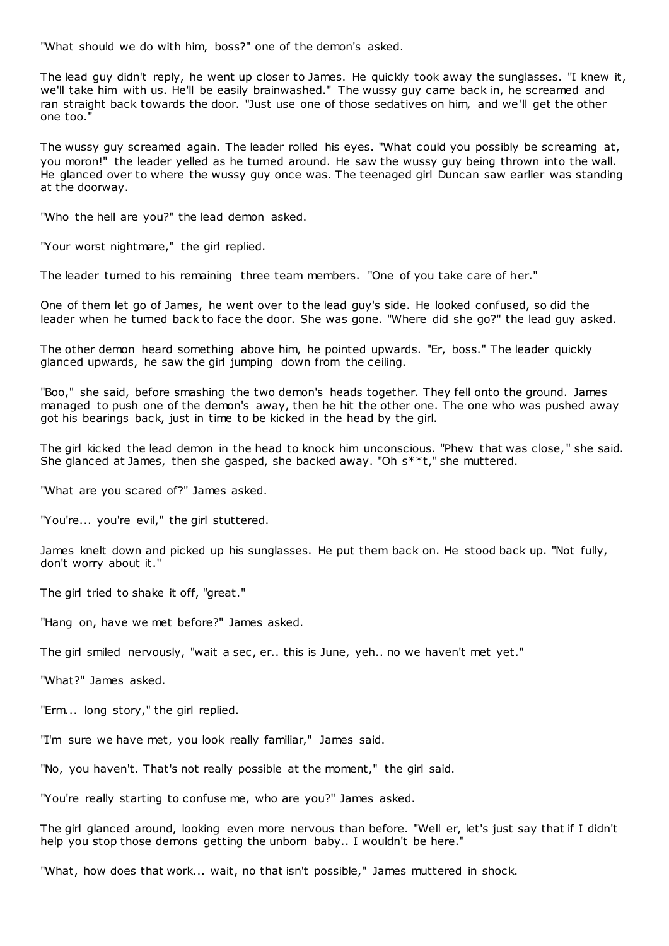"What should we do with him, boss?" one of the demon's asked.

The lead guy didn't reply, he went up closer to James. He quickly took away the sunglasses. "I knew it, we'll take him with us. He'll be easily brainwashed." The wussy guy came back in, he screamed and ran straight back towards the door. "Just use one of those sedatives on him, and we'll get the other one too."

The wussy guy screamed again. The leader rolled his eyes. "What could you possibly be screaming at, you moron!" the leader yelled as he turned around. He saw the wussy guy being thrown into the wall. He glanced over to where the wussy guy once was. The teenaged girl Duncan saw earlier was standing at the doorway.

"Who the hell are you?" the lead demon asked.

"Your worst nightmare," the girl replied.

The leader turned to his remaining three team members. "One of you take care of her."

One of them let go of James, he went over to the lead guy's side. He looked confused, so did the leader when he turned back to face the door. She was gone. "Where did she go?" the lead guy asked.

The other demon heard something above him, he pointed upwards. "Er, boss." The leader quickly glanced upwards, he saw the girl jumping down from the ceiling.

"Boo," she said, before smashing the two demon's heads together. They fell onto the ground. James managed to push one of the demon's away, then he hit the other one. The one who was pushed away got his bearings back, just in time to be kicked in the head by the girl.

The girl kicked the lead demon in the head to knock him unconscious. "Phew that was close, " she said. She glanced at James, then she gasped, she backed away. "Oh s\*\*t," she muttered.

"What are you scared of?" James asked.

"You're... you're evil," the girl stuttered.

James knelt down and picked up his sunglasses. He put them back on. He stood back up. "Not fully, don't worry about it."

The girl tried to shake it off, "great."

"Hang on, have we met before?" James asked.

The girl smiled nervously, "wait a sec, er.. this is June, yeh.. no we haven't met yet."

"What?" James asked.

"Erm... long story," the girl replied.

"I'm sure we have met, you look really familiar," James said.

"No, you haven't. That's not really possible at the moment," the girl said.

"You're really starting to confuse me, who are you?" James asked.

The girl glanced around, looking even more nervous than before. "Well er, let's just say that if I didn't help you stop those demons getting the unborn baby.. I wouldn't be here."

"What, how does that work... wait, no that isn't possible," James muttered in shock.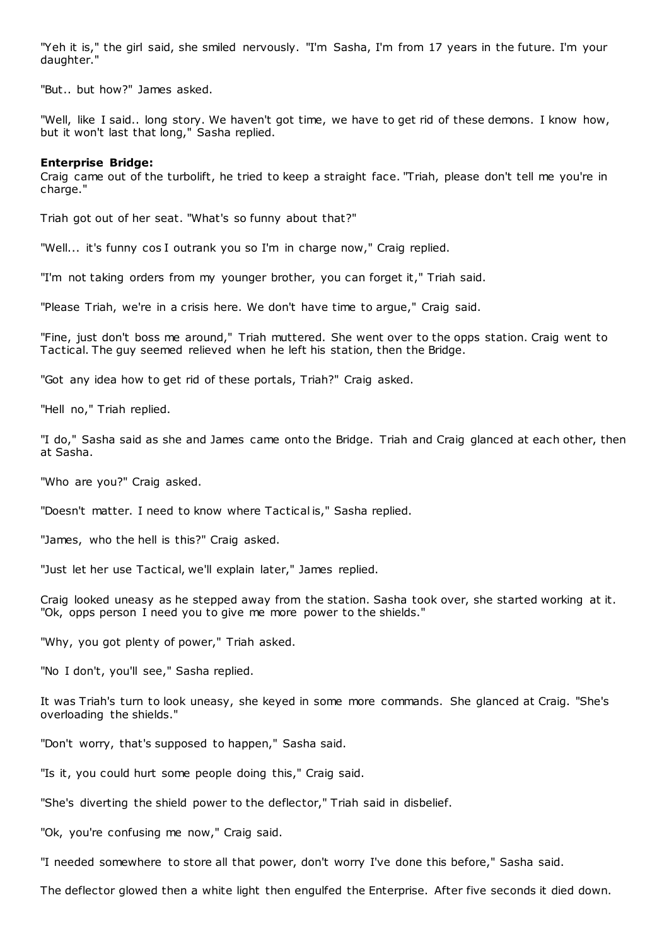"Yeh it is," the girl said, she smiled nervously. "I'm Sasha, I'm from 17 years in the future. I'm your daughter."

"But.. but how?" James asked.

"Well, like I said.. long story. We haven't got time, we have to get rid of these demons. I know how, but it won't last that long," Sasha replied.

# **Enterprise Bridge:**

Craig came out of the turbolift, he tried to keep a straight face. "Triah, please don't tell me you're in charge."

Triah got out of her seat. "What's so funny about that?"

"Well... it's funny cos I outrank you so I'm in charge now," Craig replied.

"I'm not taking orders from my younger brother, you can forget it," Triah said.

"Please Triah, we're in a crisis here. We don't have time to argue," Craig said.

"Fine, just don't boss me around," Triah muttered. She went over to the opps station. Craig went to Tactical. The guy seemed relieved when he left his station, then the Bridge.

"Got any idea how to get rid of these portals, Triah?" Craig asked.

"Hell no," Triah replied.

"I do," Sasha said as she and James came onto the Bridge. Triah and Craig glanced at each other, then at Sasha.

"Who are you?" Craig asked.

"Doesn't matter. I need to know where Tactical is," Sasha replied.

"James, who the hell is this?" Craig asked.

"Just let her use Tactical, we'll explain later," James replied.

Craig looked uneasy as he stepped away from the station. Sasha took over, she started working at it. "Ok, opps person I need you to give me more power to the shields."

"Why, you got plenty of power," Triah asked.

"No I don't, you'll see," Sasha replied.

It was Triah's turn to look uneasy, she keyed in some more commands. She glanced at Craig. "She's overloading the shields."

"Don't worry, that's supposed to happen," Sasha said.

"Is it, you could hurt some people doing this," Craig said.

"She's diverting the shield power to the deflector," Triah said in disbelief.

"Ok, you're confusing me now," Craig said.

"I needed somewhere to store all that power, don't worry I've done this before," Sasha said.

The deflector glowed then a white light then engulfed the Enterprise. After five seconds it died down.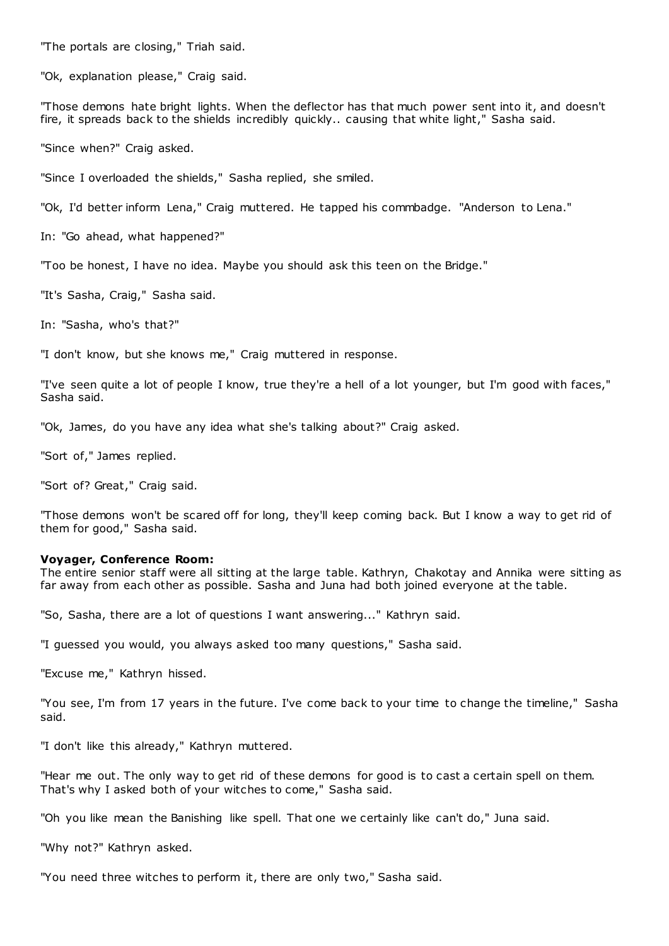"The portals are closing," Triah said.

"Ok, explanation please," Craig said.

"Those demons hate bright lights. When the deflector has that much power sent into it, and doesn't fire, it spreads back to the shields incredibly quickly.. causing that white light," Sasha said.

"Since when?" Craig asked.

"Since I overloaded the shields," Sasha replied, she smiled.

"Ok, I'd better inform Lena," Craig muttered. He tapped his commbadge. "Anderson to Lena."

In: "Go ahead, what happened?"

"Too be honest, I have no idea. Maybe you should ask this teen on the Bridge."

"It's Sasha, Craig," Sasha said.

In: "Sasha, who's that?"

"I don't know, but she knows me," Craig muttered in response.

"I've seen quite a lot of people I know, true they're a hell of a lot younger, but I'm good with faces," Sasha said.

"Ok, James, do you have any idea what she's talking about?" Craig asked.

"Sort of," James replied.

"Sort of? Great," Craig said.

"Those demons won't be scared off for long, they'll keep coming back. But I know a way to get rid of them for good," Sasha said.

#### **Voyager, Conference Room:**

The entire senior staff were all sitting at the large table. Kathryn, Chakotay and Annika were sitting as far away from each other as possible. Sasha and Juna had both joined everyone at the table.

"So, Sasha, there are a lot of questions I want answering..." Kathryn said.

"I guessed you would, you always asked too many questions," Sasha said.

"Excuse me," Kathryn hissed.

"You see, I'm from 17 years in the future. I've come back to your time to change the timeline," Sasha said.

"I don't like this already," Kathryn muttered.

"Hear me out. The only way to get rid of these demons for good is to cast a certain spell on them. That's why I asked both of your witches to come," Sasha said.

"Oh you like mean the Banishing like spell. That one we certainly like can't do," Juna said.

"Why not?" Kathryn asked.

"You need three witches to perform it, there are only two," Sasha said.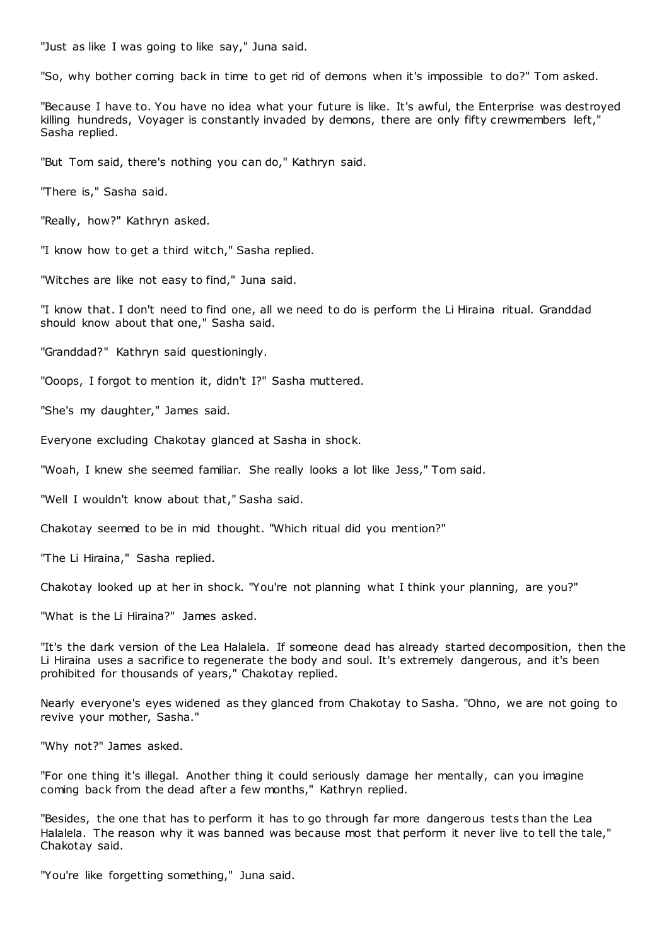"Just as like I was going to like say," Juna said.

"So, why bother coming back in time to get rid of demons when it's impossible to do?" Tom asked.

"Because I have to. You have no idea what your future is like. It's awful, the Enterprise was destroyed killing hundreds, Voyager is constantly invaded by demons, there are only fifty crewmembers left," Sasha replied.

"But Tom said, there's nothing you can do," Kathryn said.

"There is," Sasha said.

"Really, how?" Kathryn asked.

"I know how to get a third witch," Sasha replied.

"Witches are like not easy to find," Juna said.

"I know that. I don't need to find one, all we need to do is perform the Li Hiraina ritual. Granddad should know about that one," Sasha said.

"Granddad?" Kathryn said questioningly.

"Ooops, I forgot to mention it, didn't I?" Sasha muttered.

"She's my daughter," James said.

Everyone excluding Chakotay glanced at Sasha in shock.

"Woah, I knew she seemed familiar. She really looks a lot like Jess," Tom said.

"Well I wouldn't know about that," Sasha said.

Chakotay seemed to be in mid thought. "Which ritual did you mention?"

"The Li Hiraina," Sasha replied.

Chakotay looked up at her in shock. "You're not planning what I think your planning, are you?"

"What is the Li Hiraina?" James asked.

"It's the dark version of the Lea Halalela. If someone dead has already started decomposition, then the Li Hiraina uses a sacrifice to regenerate the body and soul. It's extremely dangerous, and it's been prohibited for thousands of years," Chakotay replied.

Nearly everyone's eyes widened as they glanced from Chakotay to Sasha. "Ohno, we are not going to revive your mother, Sasha."

"Why not?" James asked.

"For one thing it's illegal. Another thing it could seriously damage her mentally, can you imagine coming back from the dead after a few months," Kathryn replied.

"Besides, the one that has to perform it has to go through far more dangerous tests than the Lea Halalela. The reason why it was banned was because most that perform it never live to tell the tale," Chakotay said.

"You're like forgetting something," Juna said.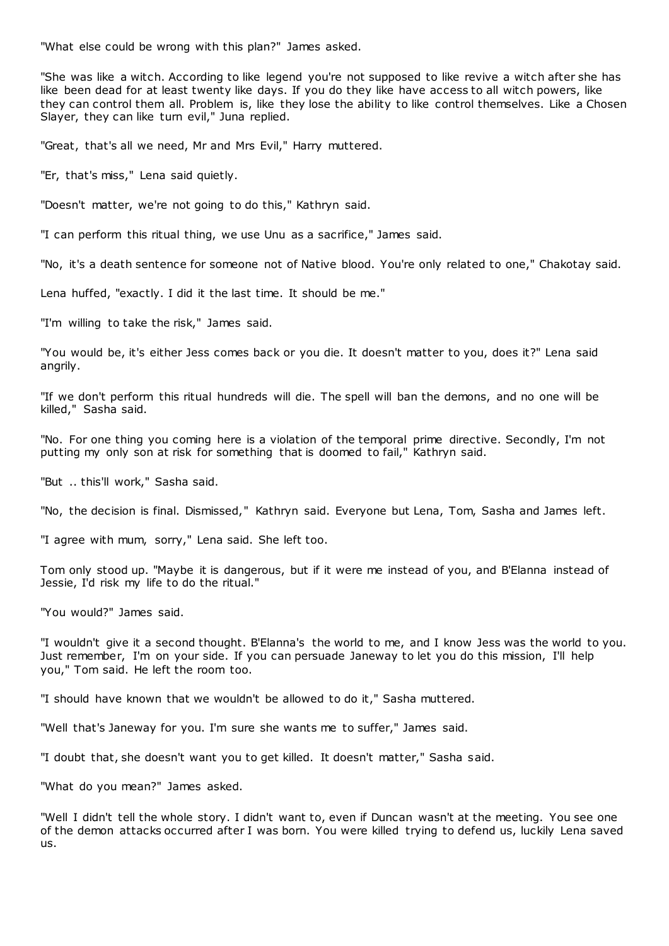"What else could be wrong with this plan?" James asked.

"She was like a witch. According to like legend you're not supposed to like revive a witch after she has like been dead for at least twenty like days. If you do they like have access to all witch powers, like they can control them all. Problem is, like they lose the ability to like control themselves. Like a Chosen Slayer, they can like turn evil," Juna replied.

"Great, that's all we need, Mr and Mrs Evil," Harry muttered.

"Er, that's miss," Lena said quietly.

"Doesn't matter, we're not going to do this," Kathryn said.

"I can perform this ritual thing, we use Unu as a sacrifice," James said.

"No, it's a death sentence for someone not of Native blood. You're only related to one," Chakotay said.

Lena huffed, "exactly. I did it the last time. It should be me."

"I'm willing to take the risk," James said.

"You would be, it's either Jess comes back or you die. It doesn't matter to you, does it?" Lena said angrily.

"If we don't perform this ritual hundreds will die. The spell will ban the demons, and no one will be killed," Sasha said.

"No. For one thing you coming here is a violation of the temporal prime directive. Secondly, I'm not putting my only son at risk for something that is doomed to fail," Kathryn said.

"But .. this'll work," Sasha said.

"No, the decision is final. Dismissed," Kathryn said. Everyone but Lena, Tom, Sasha and James left.

"I agree with mum, sorry," Lena said. She left too.

Tom only stood up. "Maybe it is dangerous, but if it were me instead of you, and B'Elanna instead of Jessie, I'd risk my life to do the ritual."

"You would?" James said.

"I wouldn't give it a second thought. B'Elanna's the world to me, and I know Jess was the world to you. Just remember, I'm on your side. If you can persuade Janeway to let you do this mission, I'll help you," Tom said. He left the room too.

"I should have known that we wouldn't be allowed to do it," Sasha muttered.

"Well that's Janeway for you. I'm sure she wants me to suffer," James said.

"I doubt that, she doesn't want you to get killed. It doesn't matter," Sasha said.

"What do you mean?" James asked.

"Well I didn't tell the whole story. I didn't want to, even if Duncan wasn't at the meeting. You see one of the demon attacks occurred after I was born. You were killed trying to defend us, luckily Lena saved us.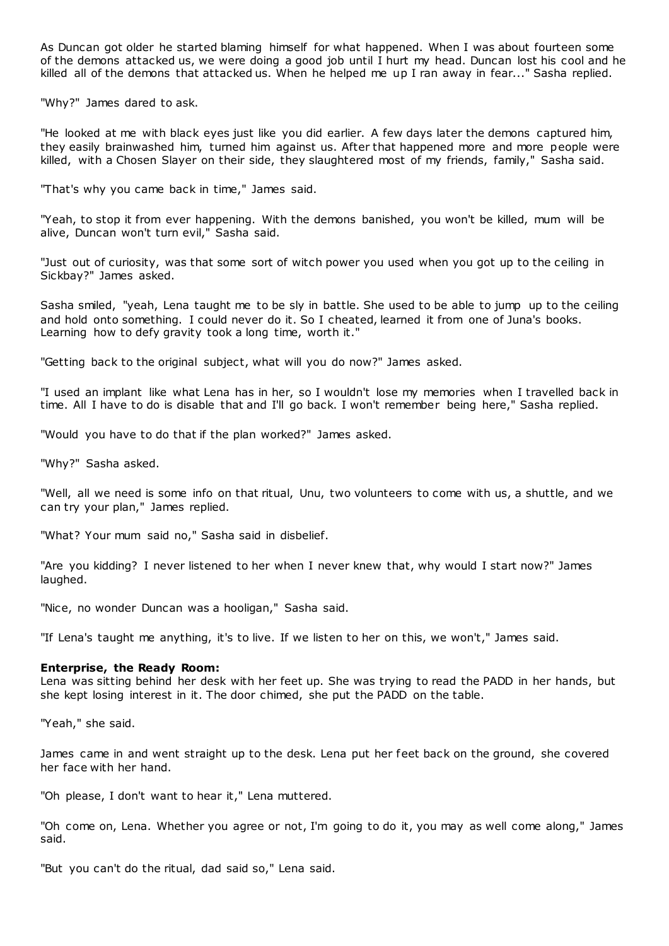As Duncan got older he started blaming himself for what happened. When I was about fourteen some of the demons attacked us, we were doing a good job until I hurt my head. Duncan lost his cool and he killed all of the demons that attacked us. When he helped me up I ran away in fear..." Sasha replied.

"Why?" James dared to ask.

"He looked at me with black eyes just like you did earlier. A few days later the demons captured him, they easily brainwashed him, turned him against us. After that happened more and more people were killed, with a Chosen Slayer on their side, they slaughtered most of my friends, family," Sasha said.

"That's why you came back in time," James said.

"Yeah, to stop it from ever happening. With the demons banished, you won't be killed, mum will be alive, Duncan won't turn evil," Sasha said.

"Just out of curiosity, was that some sort of witch power you used when you got up to the ceiling in Sickbay?" James asked.

Sasha smiled, "yeah, Lena taught me to be sly in battle. She used to be able to jump up to the ceiling and hold onto something. I could never do it. So I cheated, learned it from one of Juna's books. Learning how to defy gravity took a long time, worth it."

"Getting back to the original subject, what will you do now?" James asked.

"I used an implant like what Lena has in her, so I wouldn't lose my memories when I travelled back in time. All I have to do is disable that and I'll go back. I won't remember being here," Sasha replied.

"Would you have to do that if the plan worked?" James asked.

"Why?" Sasha asked.

"Well, all we need is some info on that ritual, Unu, two volunteers to come with us, a shuttle, and we can try your plan," James replied.

"What? Your mum said no," Sasha said in disbelief.

"Are you kidding? I never listened to her when I never knew that, why would I start now?" James laughed.

"Nice, no wonder Duncan was a hooligan," Sasha said.

"If Lena's taught me anything, it's to live. If we listen to her on this, we won't," James said.

### **Enterprise, the Ready Room:**

Lena was sitting behind her desk with her feet up. She was trying to read the PADD in her hands, but she kept losing interest in it. The door chimed, she put the PADD on the table.

"Yeah," she said.

James came in and went straight up to the desk. Lena put her feet back on the ground, she covered her face with her hand.

"Oh please, I don't want to hear it," Lena muttered.

"Oh come on, Lena. Whether you agree or not, I'm going to do it, you may as well come along," James said.

"But you can't do the ritual, dad said so," Lena said.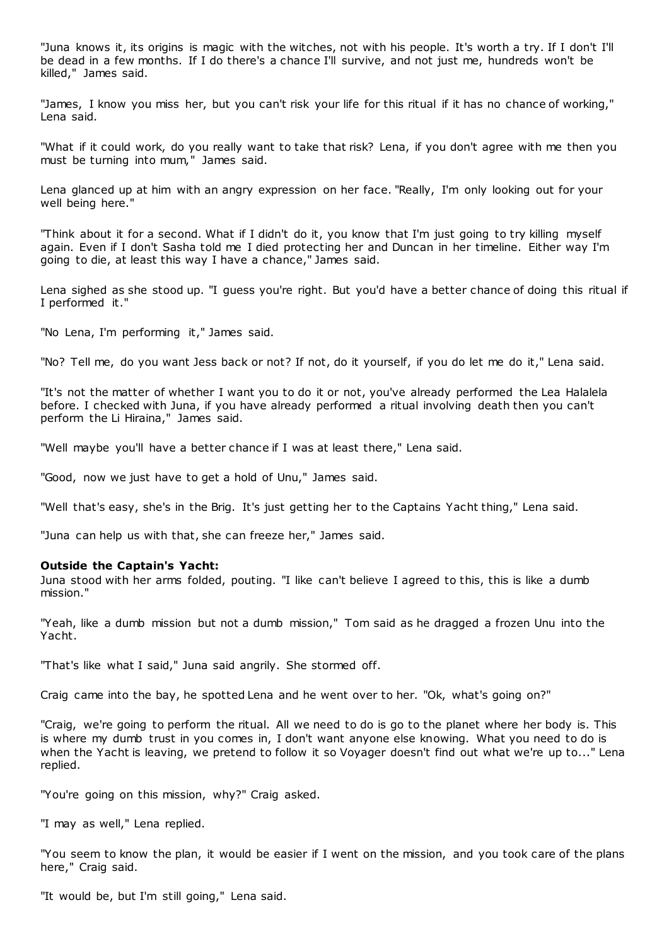"Juna knows it, its origins is magic with the witches, not with his people. It's worth a try. If I don't I'll be dead in a few months. If I do there's a chance I'll survive, and not just me, hundreds won't be killed," James said.

"James, I know you miss her, but you can't risk your life for this ritual if it has no chance of working," Lena said.

"What if it could work, do you really want to take that risk? Lena, if you don't agree with me then you must be turning into mum," James said.

Lena glanced up at him with an angry expression on her face. "Really, I'm only looking out for your well being here."

"Think about it for a second. What if I didn't do it, you know that I'm just going to try killing myself again. Even if I don't Sasha told me I died protecting her and Duncan in her timeline. Either way I'm going to die, at least this way I have a chance," James said.

Lena sighed as she stood up. "I guess you're right. But you'd have a better chance of doing this ritual if I performed it."

"No Lena, I'm performing it," James said.

"No? Tell me, do you want Jess back or not? If not, do it yourself, if you do let me do it," Lena said.

"It's not the matter of whether I want you to do it or not, you've already performed the Lea Halalela before. I checked with Juna, if you have already performed a ritual involving death then you can't perform the Li Hiraina," James said.

"Well maybe you'll have a better chance if I was at least there," Lena said.

"Good, now we just have to get a hold of Unu," James said.

"Well that's easy, she's in the Brig. It's just getting her to the Captains Yacht thing," Lena said.

"Juna can help us with that, she can freeze her," James said.

### **Outside the Captain's Yacht:**

Juna stood with her arms folded, pouting. "I like can't believe I agreed to this, this is like a dumb mission."

"Yeah, like a dumb mission but not a dumb mission," Tom said as he dragged a frozen Unu into the Yacht.

"That's like what I said," Juna said angrily. She stormed off.

Craig came into the bay, he spotted Lena and he went over to her. "Ok, what's going on?"

"Craig, we're going to perform the ritual. All we need to do is go to the planet where her body is. This is where my dumb trust in you comes in, I don't want anyone else knowing. What you need to do is when the Yacht is leaving, we pretend to follow it so Voyager doesn't find out what we're up to..." Lena replied.

"You're going on this mission, why?" Craig asked.

"I may as well," Lena replied.

"You seem to know the plan, it would be easier if I went on the mission, and you took care of the plans here," Craig said.

"It would be, but I'm still going," Lena said.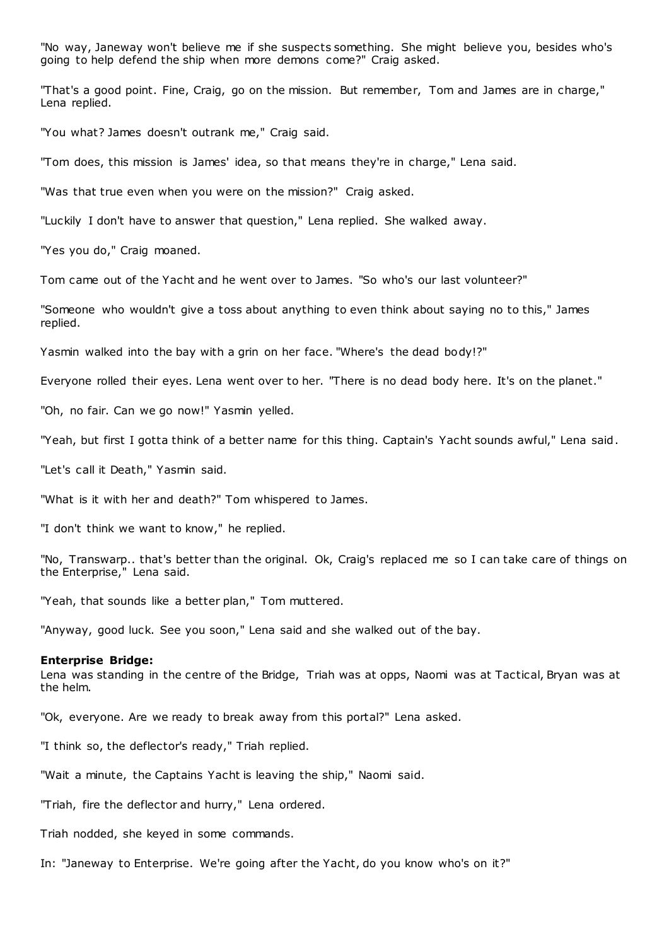"No way, Janeway won't believe me if she suspects something. She might believe you, besides who's going to help defend the ship when more demons come?" Craig asked.

"That's a good point. Fine, Craig, go on the mission. But remember, Tom and James are in charge," Lena replied.

"You what? James doesn't outrank me," Craig said.

"Tom does, this mission is James' idea, so that means they're in charge," Lena said.

"Was that true even when you were on the mission?" Craig asked.

"Luckily I don't have to answer that question," Lena replied. She walked away.

"Yes you do," Craig moaned.

Tom came out of the Yacht and he went over to James. "So who's our last volunteer?"

"Someone who wouldn't give a toss about anything to even think about saying no to this," James replied.

Yasmin walked into the bay with a grin on her face. "Where's the dead body!?"

Everyone rolled their eyes. Lena went over to her. "There is no dead body here. It's on the planet."

"Oh, no fair. Can we go now!" Yasmin yelled.

"Yeah, but first I gotta think of a better name for this thing. Captain's Yacht sounds awful," Lena said.

"Let's call it Death," Yasmin said.

"What is it with her and death?" Tom whispered to James.

"I don't think we want to know," he replied.

"No, Transwarp.. that's better than the original. Ok, Craig's replaced me so I can take care of things on the Enterprise," Lena said.

"Yeah, that sounds like a better plan," Tom muttered.

"Anyway, good luck. See you soon," Lena said and she walked out of the bay.

### **Enterprise Bridge:**

Lena was standing in the centre of the Bridge, Triah was at opps, Naomi was at Tactical, Bryan was at the helm.

"Ok, everyone. Are we ready to break away from this portal?" Lena asked.

"I think so, the deflector's ready," Triah replied.

"Wait a minute, the Captains Yacht is leaving the ship," Naomi said.

"Triah, fire the deflector and hurry," Lena ordered.

Triah nodded, she keyed in some commands.

In: "Janeway to Enterprise. We're going after the Yacht, do you know who's on it?"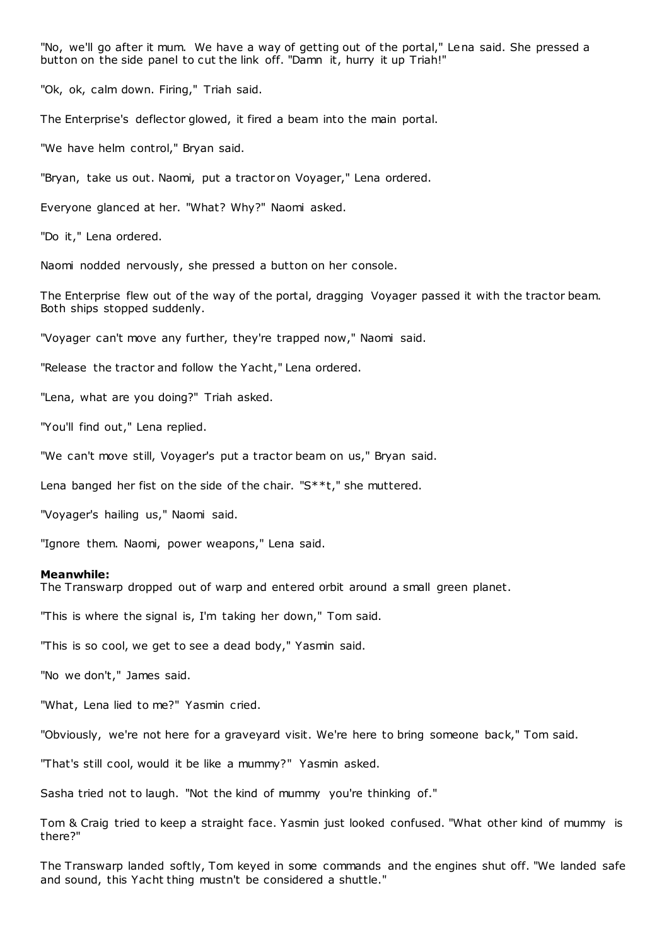"No, we'll go after it mum. We have a way of getting out of the portal," Lena said. She pressed a button on the side panel to cut the link off. "Damn it, hurry it up Triah!"

"Ok, ok, calm down. Firing," Triah said.

The Enterprise's deflector glowed, it fired a beam into the main portal.

"We have helm control," Bryan said.

"Bryan, take us out. Naomi, put a tractor on Voyager," Lena ordered.

Everyone glanced at her. "What? Why?" Naomi asked.

"Do it," Lena ordered.

Naomi nodded nervously, she pressed a button on her console.

The Enterprise flew out of the way of the portal, dragging Voyager passed it with the tractor beam. Both ships stopped suddenly.

"Voyager can't move any further, they're trapped now," Naomi said.

"Release the tractor and follow the Yacht," Lena ordered.

"Lena, what are you doing?" Triah asked.

"You'll find out," Lena replied.

"We can't move still, Voyager's put a tractor beam on us," Bryan said.

Lena banged her fist on the side of the chair. "S\*\*t," she muttered.

"Voyager's hailing us," Naomi said.

"Ignore them. Naomi, power weapons," Lena said.

### **Meanwhile:**

The Transwarp dropped out of warp and entered orbit around a small green planet.

"This is where the signal is, I'm taking her down," Tom said.

"This is so cool, we get to see a dead body," Yasmin said.

"No we don't," James said.

"What, Lena lied to me?" Yasmin cried.

"Obviously, we're not here for a graveyard visit. We're here to bring someone back," Tom said.

"That's still cool, would it be like a mummy?" Yasmin asked.

Sasha tried not to laugh. "Not the kind of mummy you're thinking of."

Tom & Craig tried to keep a straight face. Yasmin just looked confused. "What other kind of mummy is there?"

The Transwarp landed softly, Tom keyed in some commands and the engines shut off. "We landed safe and sound, this Yacht thing mustn't be considered a shuttle."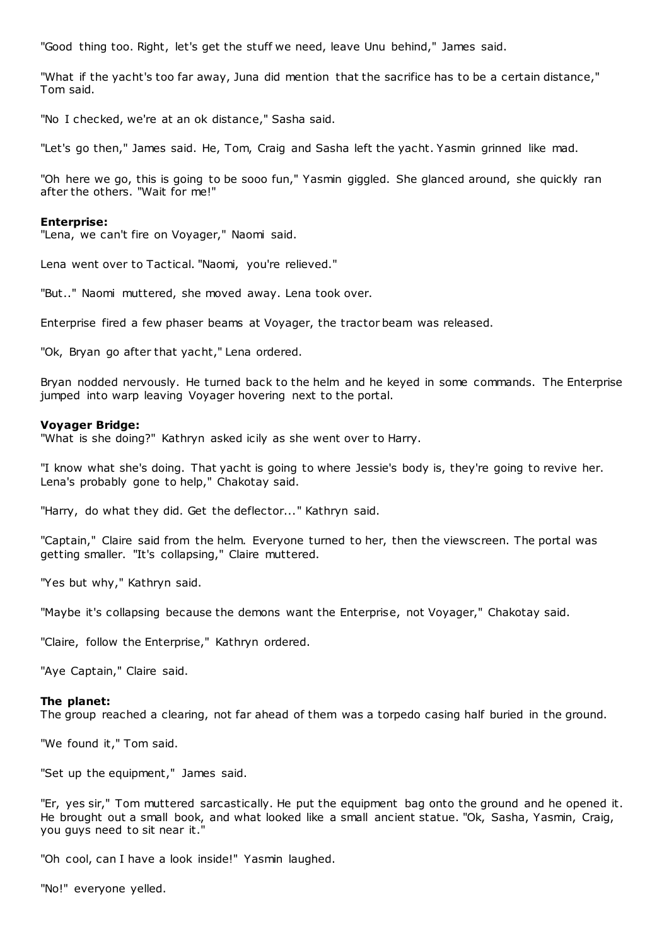"Good thing too. Right, let's get the stuff we need, leave Unu behind," James said.

"What if the yacht's too far away, Juna did mention that the sacrifice has to be a certain distance," Tom said.

"No I checked, we're at an ok distance," Sasha said.

"Let's go then," James said. He, Tom, Craig and Sasha left the yacht. Yasmin grinned like mad.

"Oh here we go, this is going to be sooo fun," Yasmin giggled. She glanced around, she quickly ran after the others. "Wait for me!"

### **Enterprise:**

"Lena, we can't fire on Voyager," Naomi said.

Lena went over to Tactical. "Naomi, you're relieved."

"But.." Naomi muttered, she moved away. Lena took over.

Enterprise fired a few phaser beams at Voyager, the tractor beam was released.

"Ok, Bryan go after that yacht," Lena ordered.

Bryan nodded nervously. He turned back to the helm and he keyed in some commands. The Enterprise jumped into warp leaving Voyager hovering next to the portal.

### **Voyager Bridge:**

"What is she doing?" Kathryn asked icily as she went over to Harry.

"I know what she's doing. That yacht is going to where Jessie's body is, they're going to revive her. Lena's probably gone to help," Chakotay said.

"Harry, do what they did. Get the deflector..." Kathryn said.

"Captain," Claire said from the helm. Everyone turned to her, then the viewscreen. The portal was getting smaller. "It's collapsing," Claire muttered.

"Yes but why," Kathryn said.

"Maybe it's collapsing because the demons want the Enterprise, not Voyager," Chakotay said.

"Claire, follow the Enterprise," Kathryn ordered.

"Aye Captain," Claire said.

#### **The planet:**

The group reached a clearing, not far ahead of them was a torpedo casing half buried in the ground.

"We found it," Tom said.

"Set up the equipment," James said.

"Er, yes sir," Tom muttered sarcastically. He put the equipment bag onto the ground and he opened it. He brought out a small book, and what looked like a small ancient statue. "Ok, Sasha, Yasmin, Craig, you guys need to sit near it.

"Oh cool, can I have a look inside!" Yasmin laughed.

"No!" everyone yelled.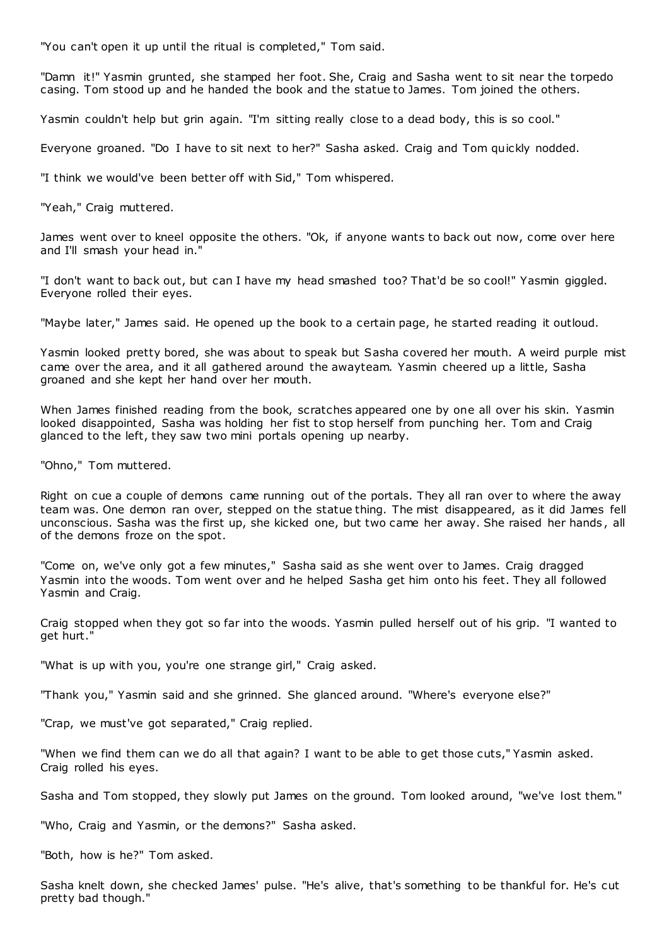"You can't open it up until the ritual is completed," Tom said.

"Damn it!" Yasmin grunted, she stamped her foot. She, Craig and Sasha went to sit near the torpedo casing. Tom stood up and he handed the book and the statue to James. Tom joined the others.

Yasmin couldn't help but grin again. "I'm sitting really close to a dead body, this is so cool."

Everyone groaned. "Do I have to sit next to her?" Sasha asked. Craig and Tom quickly nodded.

"I think we would've been better off with Sid," Tom whispered.

"Yeah," Craig muttered.

James went over to kneel opposite the others. "Ok, if anyone wants to back out now, come over here and I'll smash your head in."

"I don't want to back out, but can I have my head smashed too? That'd be so cool!" Yasmin giggled. Everyone rolled their eyes.

"Maybe later," James said. He opened up the book to a certain page, he started reading it outloud.

Yasmin looked pretty bored, she was about to speak but Sasha covered her mouth. A weird purple mist came over the area, and it all gathered around the awayteam. Yasmin cheered up a little, Sasha groaned and she kept her hand over her mouth.

When James finished reading from the book, scratches appeared one by one all over his skin. Yasmin looked disappointed, Sasha was holding her fist to stop herself from punching her. Tom and Craig glanced to the left, they saw two mini portals opening up nearby.

"Ohno," Tom muttered.

Right on cue a couple of demons came running out of the portals. They all ran over to where the away team was. One demon ran over, stepped on the statue thing. The mist disappeared, as it did James fell unconscious. Sasha was the first up, she kicked one, but two came her away. She raised her hands , all of the demons froze on the spot.

"Come on, we've only got a few minutes," Sasha said as she went over to James. Craig dragged Yasmin into the woods. Tom went over and he helped Sasha get him onto his feet. They all followed Yasmin and Craig.

Craig stopped when they got so far into the woods. Yasmin pulled herself out of his grip. "I wanted to get hurt."

"What is up with you, you're one strange girl," Craig asked.

"Thank you," Yasmin said and she grinned. She glanced around. "Where's everyone else?"

"Crap, we must've got separated," Craig replied.

"When we find them can we do all that again? I want to be able to get those cuts," Yasmin asked. Craig rolled his eyes.

Sasha and Tom stopped, they slowly put James on the ground. Tom looked around, "we've lost them."

"Who, Craig and Yasmin, or the demons?" Sasha asked.

"Both, how is he?" Tom asked.

Sasha knelt down, she checked James' pulse. "He's alive, that's something to be thankful for. He's cut pretty bad though."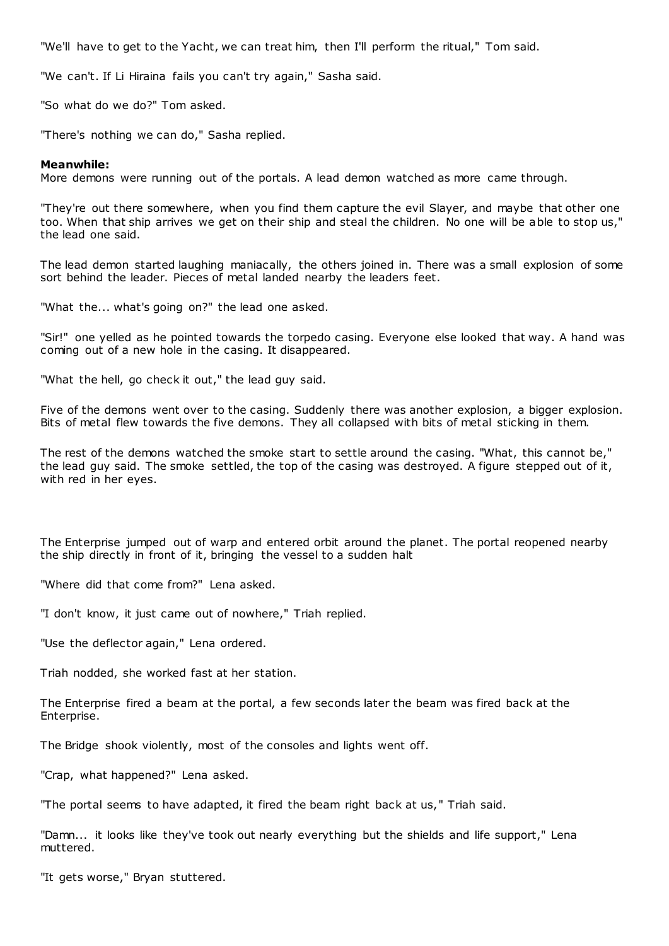"We'll have to get to the Yacht, we can treat him, then I'll perform the ritual," Tom said.

"We can't. If Li Hiraina fails you can't try again," Sasha said.

"So what do we do?" Tom asked.

"There's nothing we can do," Sasha replied.

# **Meanwhile:**

More demons were running out of the portals. A lead demon watched as more came through.

"They're out there somewhere, when you find them capture the evil Slayer, and maybe that other one too. When that ship arrives we get on their ship and steal the children. No one will be able to stop us," the lead one said.

The lead demon started laughing maniacally, the others joined in. There was a small explosion of some sort behind the leader. Pieces of metal landed nearby the leaders feet.

"What the... what's going on?" the lead one asked.

"Sir!" one yelled as he pointed towards the torpedo casing. Everyone else looked that way. A hand was coming out of a new hole in the casing. It disappeared.

"What the hell, go check it out," the lead guy said.

Five of the demons went over to the casing. Suddenly there was another explosion, a bigger explosion. Bits of metal flew towards the five demons. They all collapsed with bits of metal sticking in them.

The rest of the demons watched the smoke start to settle around the casing. "What, this cannot be," the lead guy said. The smoke settled, the top of the casing was destroyed. A figure stepped out of it, with red in her eyes.

The Enterprise jumped out of warp and entered orbit around the planet. The portal reopened nearby the ship directly in front of it, bringing the vessel to a sudden halt

"Where did that come from?" Lena asked.

"I don't know, it just came out of nowhere," Triah replied.

"Use the deflector again," Lena ordered.

Triah nodded, she worked fast at her station.

The Enterprise fired a beam at the portal, a few seconds later the beam was fired back at the Enterprise.

The Bridge shook violently, most of the consoles and lights went off.

"Crap, what happened?" Lena asked.

"The portal seems to have adapted, it fired the beam right back at us," Triah said.

"Damn... it looks like they've took out nearly everything but the shields and life support," Lena muttered.

"It gets worse," Bryan stuttered.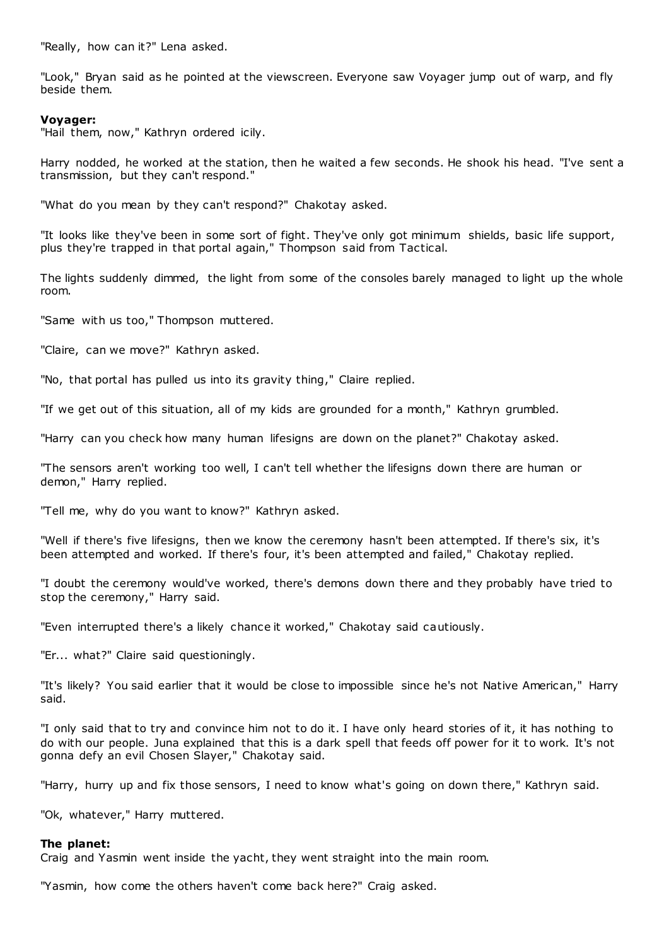"Really, how can it?" Lena asked.

"Look," Bryan said as he pointed at the viewscreen. Everyone saw Voyager jump out of warp, and fly beside them.

# **Voyager:**

"Hail them, now," Kathryn ordered icily.

Harry nodded, he worked at the station, then he waited a few seconds. He shook his head. "I've sent a transmission, but they can't respond."

"What do you mean by they can't respond?" Chakotay asked.

"It looks like they've been in some sort of fight. They've only got minimum shields, basic life support, plus they're trapped in that portal again," Thompson said from Tactical.

The lights suddenly dimmed, the light from some of the consoles barely managed to light up the whole room.

"Same with us too," Thompson muttered.

"Claire, can we move?" Kathryn asked.

"No, that portal has pulled us into its gravity thing," Claire replied.

"If we get out of this situation, all of my kids are grounded for a month," Kathryn grumbled.

"Harry can you check how many human lifesigns are down on the planet?" Chakotay asked.

"The sensors aren't working too well, I can't tell whether the lifesigns down there are human or demon," Harry replied.

"Tell me, why do you want to know?" Kathryn asked.

"Well if there's five lifesigns, then we know the ceremony hasn't been attempted. If there's six, it's been attempted and worked. If there's four, it's been attempted and failed," Chakotay replied.

"I doubt the ceremony would've worked, there's demons down there and they probably have tried to stop the ceremony," Harry said.

"Even interrupted there's a likely chance it worked," Chakotay said cautiously.

"Er... what?" Claire said questioningly.

"It's likely? You said earlier that it would be close to impossible since he's not Native American," Harry said.

"I only said that to try and convince him not to do it. I have only heard stories of it, it has nothing to do with our people. Juna explained that this is a dark spell that feeds off power for it to work. It's not gonna defy an evil Chosen Slayer," Chakotay said.

"Harry, hurry up and fix those sensors, I need to know what's going on down there," Kathryn said.

"Ok, whatever," Harry muttered.

### **The planet:**

Craig and Yasmin went inside the yacht, they went straight into the main room.

"Yasmin, how come the others haven't come back here?" Craig asked.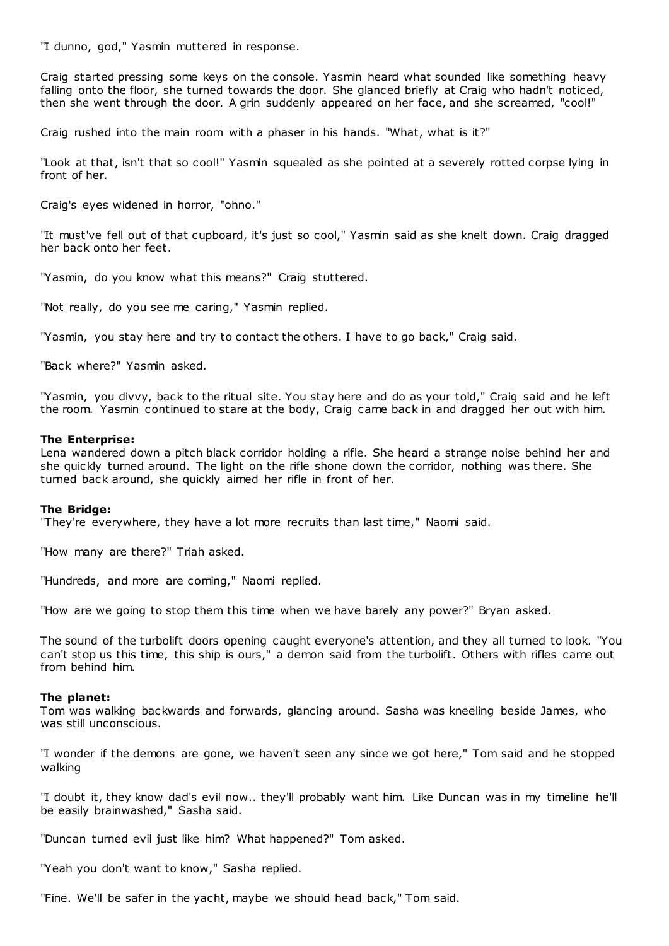"I dunno, god," Yasmin muttered in response.

Craig started pressing some keys on the console. Yasmin heard what sounded like something heavy falling onto the floor, she turned towards the door. She glanced briefly at Craig who hadn't noticed, then she went through the door. A grin suddenly appeared on her face, and she screamed, "cool!"

Craig rushed into the main room with a phaser in his hands. "What, what is it?"

"Look at that, isn't that so cool!" Yasmin squealed as she pointed at a severely rotted corpse lying in front of her.

Craig's eyes widened in horror, "ohno."

"It must've fell out of that cupboard, it's just so cool," Yasmin said as she knelt down. Craig dragged her back onto her feet.

"Yasmin, do you know what this means?" Craig stuttered.

"Not really, do you see me caring," Yasmin replied.

"Yasmin, you stay here and try to contact the others. I have to go back," Craig said.

"Back where?" Yasmin asked.

"Yasmin, you divvy, back to the ritual site. You stay here and do as your told," Craig said and he left the room. Yasmin continued to stare at the body, Craig came back in and dragged her out with him.

### **The Enterprise:**

Lena wandered down a pitch black corridor holding a rifle. She heard a strange noise behind her and she quickly turned around. The light on the rifle shone down the corridor, nothing was there. She turned back around, she quickly aimed her rifle in front of her.

### **The Bridge:**

"They're everywhere, they have a lot more recruits than last time," Naomi said.

"How many are there?" Triah asked.

"Hundreds, and more are coming," Naomi replied.

"How are we going to stop them this time when we have barely any power?" Bryan asked.

The sound of the turbolift doors opening caught everyone's attention, and they all turned to look. "You can't stop us this time, this ship is ours," a demon said from the turbolift. Others with rifles came out from behind him.

# **The planet:**

Tom was walking backwards and forwards, glancing around. Sasha was kneeling beside James, who was still unconscious.

"I wonder if the demons are gone, we haven't seen any since we got here," Tom said and he stopped walking

"I doubt it, they know dad's evil now.. they'll probably want him. Like Duncan was in my timeline he'll be easily brainwashed," Sasha said.

"Duncan turned evil just like him? What happened?" Tom asked.

"Yeah you don't want to know," Sasha replied.

"Fine. We'll be safer in the yacht, maybe we should head back," Tom said.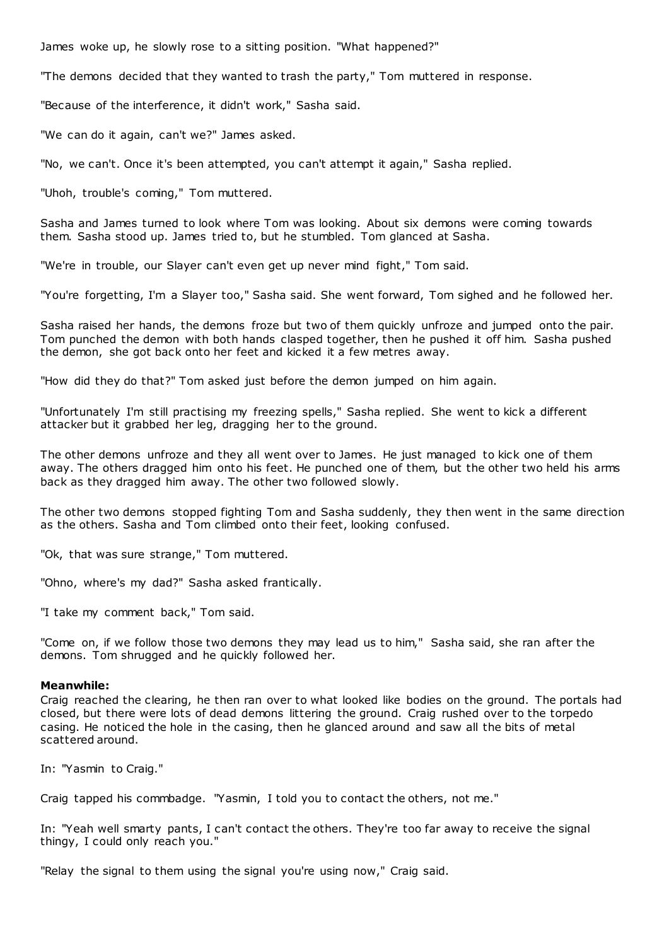James woke up, he slowly rose to a sitting position. "What happened?"

"The demons decided that they wanted to trash the party," Tom muttered in response.

"Because of the interference, it didn't work," Sasha said.

"We can do it again, can't we?" James asked.

"No, we can't. Once it's been attempted, you can't attempt it again," Sasha replied.

"Uhoh, trouble's coming," Tom muttered.

Sasha and James turned to look where Tom was looking. About six demons were coming towards them. Sasha stood up. James tried to, but he stumbled. Tom glanced at Sasha.

"We're in trouble, our Slayer can't even get up never mind fight," Tom said.

"You're forgetting, I'm a Slayer too," Sasha said. She went forward, Tom sighed and he followed her.

Sasha raised her hands, the demons froze but two of them quickly unfroze and jumped onto the pair. Tom punched the demon with both hands clasped together, then he pushed it off him. Sasha pushed the demon, she got back onto her feet and kicked it a few metres away.

"How did they do that?" Tom asked just before the demon jumped on him again.

"Unfortunately I'm still practising my freezing spells," Sasha replied. She went to kick a different attacker but it grabbed her leg, dragging her to the ground.

The other demons unfroze and they all went over to James. He just managed to kick one of them away. The others dragged him onto his feet. He punched one of them, but the other two held his arms back as they dragged him away. The other two followed slowly.

The other two demons stopped fighting Tom and Sasha suddenly, they then went in the same direction as the others. Sasha and Tom climbed onto their feet, looking confused.

"Ok, that was sure strange," Tom muttered.

"Ohno, where's my dad?" Sasha asked frantically.

"I take my comment back," Tom said.

"Come on, if we follow those two demons they may lead us to him," Sasha said, she ran after the demons. Tom shrugged and he quickly followed her.

# **Meanwhile:**

Craig reached the clearing, he then ran over to what looked like bodies on the ground. The portals had closed, but there were lots of dead demons littering the ground. Craig rushed over to the torpedo casing. He noticed the hole in the casing, then he glanced around and saw all the bits of metal scattered around.

In: "Yasmin to Craig."

Craig tapped his commbadge. "Yasmin, I told you to contact the others, not me."

In: "Yeah well smarty pants, I can't contact the others. They're too far away to receive the signal thingy, I could only reach you."

"Relay the signal to them using the signal you're using now," Craig said.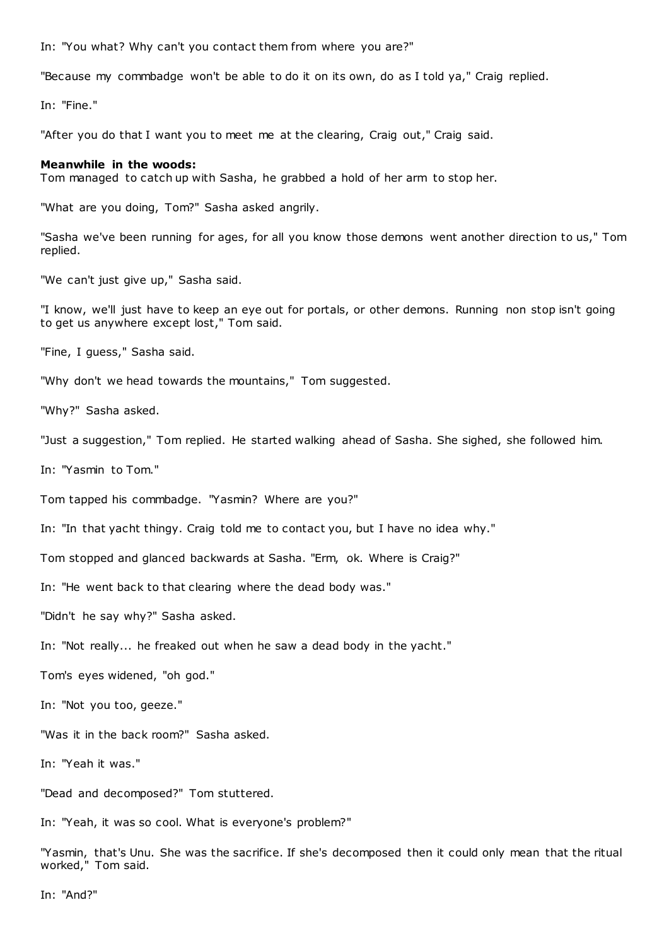In: "You what? Why can't you contact them from where you are?"

"Because my commbadge won't be able to do it on its own, do as I told ya," Craig replied.

In: "Fine."

"After you do that I want you to meet me at the clearing, Craig out," Craig said.

### **Meanwhile in the woods:**

Tom managed to catch up with Sasha, he grabbed a hold of her arm to stop her.

"What are you doing, Tom?" Sasha asked angrily.

"Sasha we've been running for ages, for all you know those demons went another direction to us," Tom replied.

"We can't just give up," Sasha said.

"I know, we'll just have to keep an eye out for portals, or other demons. Running non stop isn't going to get us anywhere except lost," Tom said.

"Fine, I guess," Sasha said.

"Why don't we head towards the mountains," Tom suggested.

"Why?" Sasha asked.

"Just a suggestion," Tom replied. He started walking ahead of Sasha. She sighed, she followed him.

In: "Yasmin to Tom."

Tom tapped his commbadge. "Yasmin? Where are you?"

In: "In that yacht thingy. Craig told me to contact you, but I have no idea why."

Tom stopped and glanced backwards at Sasha. "Erm, ok. Where is Craig?"

In: "He went back to that clearing where the dead body was."

"Didn't he say why?" Sasha asked.

In: "Not really... he freaked out when he saw a dead body in the yacht."

Tom's eyes widened, "oh god."

In: "Not you too, geeze."

"Was it in the back room?" Sasha asked.

In: "Yeah it was."

"Dead and decomposed?" Tom stuttered.

In: "Yeah, it was so cool. What is everyone's problem?"

"Yasmin, that's Unu. She was the sacrifice. If she's decomposed then it could only mean that the ritual worked," Tom said.

In: "And?"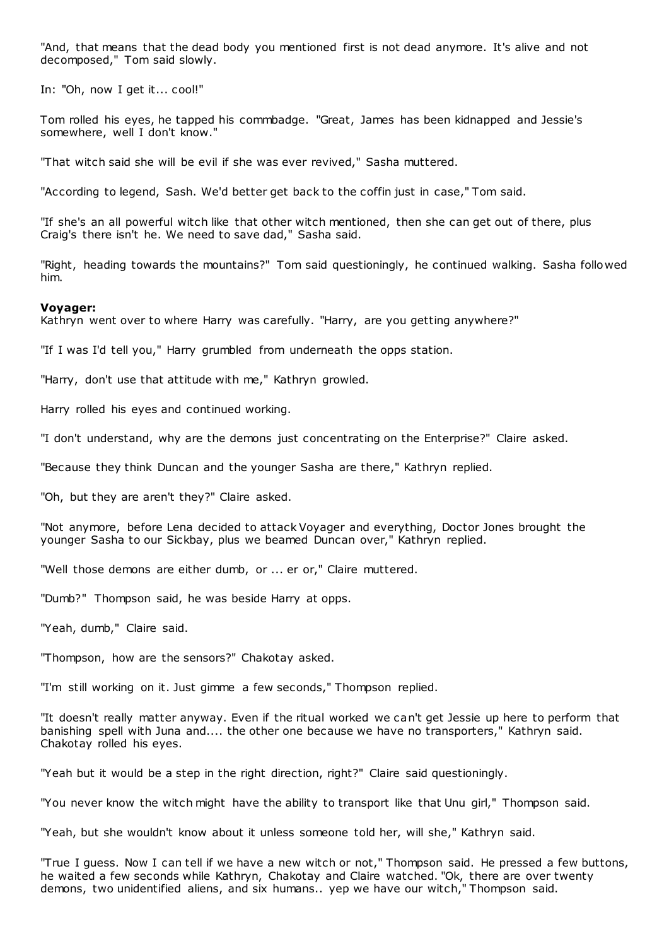"And, that means that the dead body you mentioned first is not dead anymore. It's alive and not decomposed," Tom said slowly.

In: "Oh, now I get it... cool!"

Tom rolled his eyes, he tapped his commbadge. "Great, James has been kidnapped and Jessie's somewhere, well I don't know."

"That witch said she will be evil if she was ever revived," Sasha muttered.

"According to legend, Sash. We'd better get back to the coffin just in case," Tom said.

"If she's an all powerful witch like that other witch mentioned, then she can get out of there, plus Craig's there isn't he. We need to save dad," Sasha said.

"Right, heading towards the mountains?" Tom said questioningly, he continued walking. Sasha followed him.

# **Voyager:**

Kathryn went over to where Harry was carefully. "Harry, are you getting anywhere?"

"If I was I'd tell you," Harry grumbled from underneath the opps station.

"Harry, don't use that attitude with me," Kathryn growled.

Harry rolled his eyes and continued working.

"I don't understand, why are the demons just concentrating on the Enterprise?" Claire asked.

"Because they think Duncan and the younger Sasha are there," Kathryn replied.

"Oh, but they are aren't they?" Claire asked.

"Not anymore, before Lena decided to attack Voyager and everything, Doctor Jones brought the younger Sasha to our Sickbay, plus we beamed Duncan over," Kathryn replied.

"Well those demons are either dumb, or ... er or," Claire muttered.

"Dumb?" Thompson said, he was beside Harry at opps.

"Yeah, dumb," Claire said.

"Thompson, how are the sensors?" Chakotay asked.

"I'm still working on it. Just gimme a few seconds," Thompson replied.

"It doesn't really matter anyway. Even if the ritual worked we can't get Jessie up here to perform that banishing spell with Juna and.... the other one because we have no transporters," Kathryn said. Chakotay rolled his eyes.

"Yeah but it would be a step in the right direction, right?" Claire said questioningly.

"You never know the witch might have the ability to transport like that Unu girl," Thompson said.

"Yeah, but she wouldn't know about it unless someone told her, will she," Kathryn said.

"True I guess. Now I can tell if we have a new witch or not," Thompson said. He pressed a few buttons, he waited a few seconds while Kathryn, Chakotay and Claire watched. "Ok, there are over twenty demons, two unidentified aliens, and six humans.. yep we have our witch," Thompson said.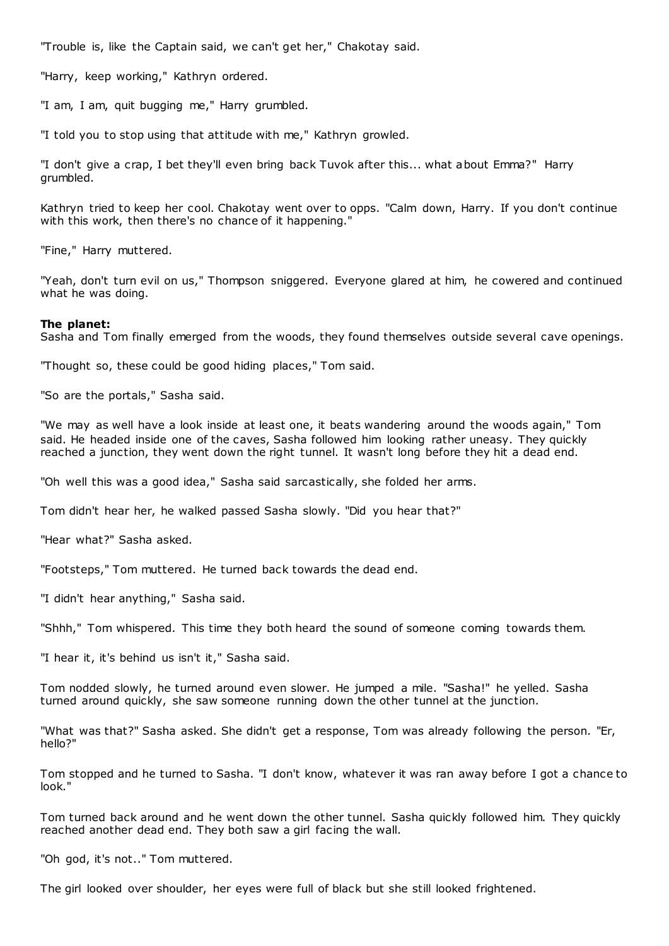"Trouble is, like the Captain said, we can't get her," Chakotay said.

"Harry, keep working," Kathryn ordered.

"I am, I am, quit bugging me," Harry grumbled.

"I told you to stop using that attitude with me," Kathryn growled.

"I don't give a crap, I bet they'll even bring back Tuvok after this... what about Emma?" Harry grumbled.

Kathryn tried to keep her cool. Chakotay went over to opps. "Calm down, Harry. If you don't continue with this work, then there's no chance of it happening."

"Fine," Harry muttered.

"Yeah, don't turn evil on us," Thompson sniggered. Everyone glared at him, he cowered and continued what he was doing.

# **The planet:**

Sasha and Tom finally emerged from the woods, they found themselves outside several cave openings.

"Thought so, these could be good hiding places," Tom said.

"So are the portals," Sasha said.

"We may as well have a look inside at least one, it beats wandering around the woods again," Tom said. He headed inside one of the caves, Sasha followed him looking rather uneasy. They quickly reached a junction, they went down the right tunnel. It wasn't long before they hit a dead end.

"Oh well this was a good idea," Sasha said sarcastically, she folded her arms.

Tom didn't hear her, he walked passed Sasha slowly. "Did you hear that?"

"Hear what?" Sasha asked.

"Footsteps," Tom muttered. He turned back towards the dead end.

"I didn't hear anything," Sasha said.

"Shhh," Tom whispered. This time they both heard the sound of someone coming towards them.

"I hear it, it's behind us isn't it," Sasha said.

Tom nodded slowly, he turned around even slower. He jumped a mile. "Sasha!" he yelled. Sasha turned around quickly, she saw someone running down the other tunnel at the junction.

"What was that?" Sasha asked. She didn't get a response, Tom was already following the person. "Er, hello?"

Tom stopped and he turned to Sasha. "I don't know, whatever it was ran away before I got a chance to look."

Tom turned back around and he went down the other tunnel. Sasha quickly followed him. They quickly reached another dead end. They both saw a girl facing the wall.

"Oh god, it's not.." Tom muttered.

The girl looked over shoulder, her eyes were full of black but she still looked frightened.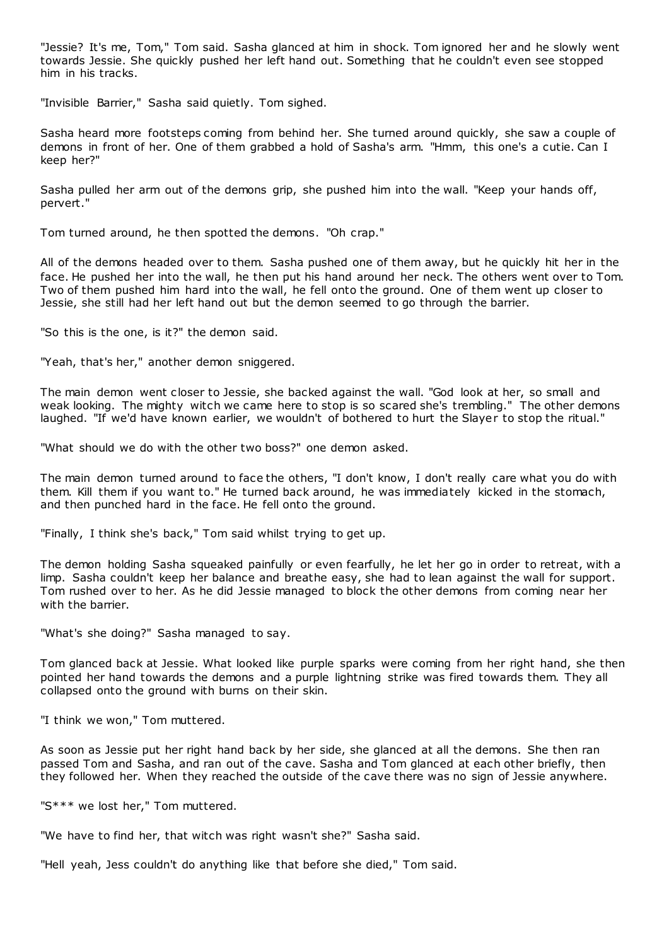"Jessie? It's me, Tom," Tom said. Sasha glanced at him in shock. Tom ignored her and he slowly went towards Jessie. She quickly pushed her left hand out. Something that he couldn't even see stopped him in his tracks.

"Invisible Barrier," Sasha said quietly. Tom sighed.

Sasha heard more footsteps coming from behind her. She turned around quickly, she saw a couple of demons in front of her. One of them grabbed a hold of Sasha's arm. "Hmm, this one's a cutie. Can I keep her?"

Sasha pulled her arm out of the demons grip, she pushed him into the wall. "Keep your hands off, pervert."

Tom turned around, he then spotted the demons. "Oh crap."

All of the demons headed over to them. Sasha pushed one of them away, but he quickly hit her in the face. He pushed her into the wall, he then put his hand around her neck. The others went over to Tom. Two of them pushed him hard into the wall, he fell onto the ground. One of them went up closer to Jessie, she still had her left hand out but the demon seemed to go through the barrier.

"So this is the one, is it?" the demon said.

"Yeah, that's her," another demon sniggered.

The main demon went closer to Jessie, she backed against the wall. "God look at her, so small and weak looking. The mighty witch we came here to stop is so scared she's trembling." The other demons laughed. "If we'd have known earlier, we wouldn't of bothered to hurt the Slayer to stop the ritual."

"What should we do with the other two boss?" one demon asked.

The main demon turned around to face the others, "I don't know, I don't really care what you do with them. Kill them if you want to." He turned back around, he was immediately kicked in the stomach, and then punched hard in the face. He fell onto the ground.

"Finally, I think she's back," Tom said whilst trying to get up.

The demon holding Sasha squeaked painfully or even fearfully, he let her go in order to retreat, with a limp. Sasha couldn't keep her balance and breathe easy, she had to lean against the wall for support. Tom rushed over to her. As he did Jessie managed to block the other demons from coming near her with the barrier.

"What's she doing?" Sasha managed to say.

Tom glanced back at Jessie. What looked like purple sparks were coming from her right hand, she then pointed her hand towards the demons and a purple lightning strike was fired towards them. They all collapsed onto the ground with burns on their skin.

"I think we won," Tom muttered.

As soon as Jessie put her right hand back by her side, she glanced at all the demons. She then ran passed Tom and Sasha, and ran out of the cave. Sasha and Tom glanced at each other briefly, then they followed her. When they reached the outside of the cave there was no sign of Jessie anywhere.

"S\*\*\* we lost her," Tom muttered.

"We have to find her, that witch was right wasn't she?" Sasha said.

"Hell yeah, Jess couldn't do anything like that before she died," Tom said.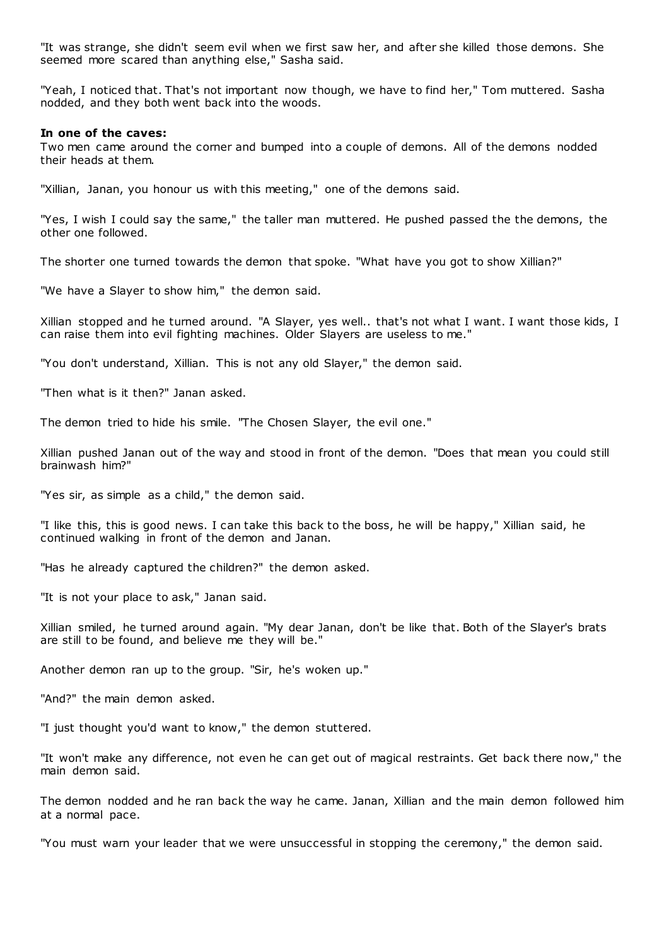"It was strange, she didn't seem evil when we first saw her, and after she killed those demons. She seemed more scared than anything else," Sasha said.

"Yeah, I noticed that. That's not important now though, we have to find her," Tom muttered. Sasha nodded, and they both went back into the woods.

### **In one of the caves:**

Two men came around the corner and bumped into a couple of demons. All of the demons nodded their heads at them.

"Xillian, Janan, you honour us with this meeting," one of the demons said.

"Yes, I wish I could say the same," the taller man muttered. He pushed passed the the demons, the other one followed.

The shorter one turned towards the demon that spoke. "What have you got to show Xillian?"

"We have a Slayer to show him," the demon said.

Xillian stopped and he turned around. "A Slayer, yes well.. that's not what I want. I want those kids, I can raise them into evil fighting machines. Older Slayers are useless to me."

"You don't understand, Xillian. This is not any old Slayer," the demon said.

"Then what is it then?" Janan asked.

The demon tried to hide his smile. "The Chosen Slayer, the evil one."

Xillian pushed Janan out of the way and stood in front of the demon. "Does that mean you could still brainwash him?"

"Yes sir, as simple as a child," the demon said.

"I like this, this is good news. I can take this back to the boss, he will be happy," Xillian said, he continued walking in front of the demon and Janan.

"Has he already captured the children?" the demon asked.

"It is not your place to ask," Janan said.

Xillian smiled, he turned around again. "My dear Janan, don't be like that. Both of the Slayer's brats are still to be found, and believe me they will be."

Another demon ran up to the group. "Sir, he's woken up."

"And?" the main demon asked.

"I just thought you'd want to know," the demon stuttered.

"It won't make any difference, not even he can get out of magical restraints. Get back there now," the main demon said.

The demon nodded and he ran back the way he came. Janan, Xillian and the main demon followed him at a normal pace.

"You must warn your leader that we were unsuccessful in stopping the ceremony," the demon said.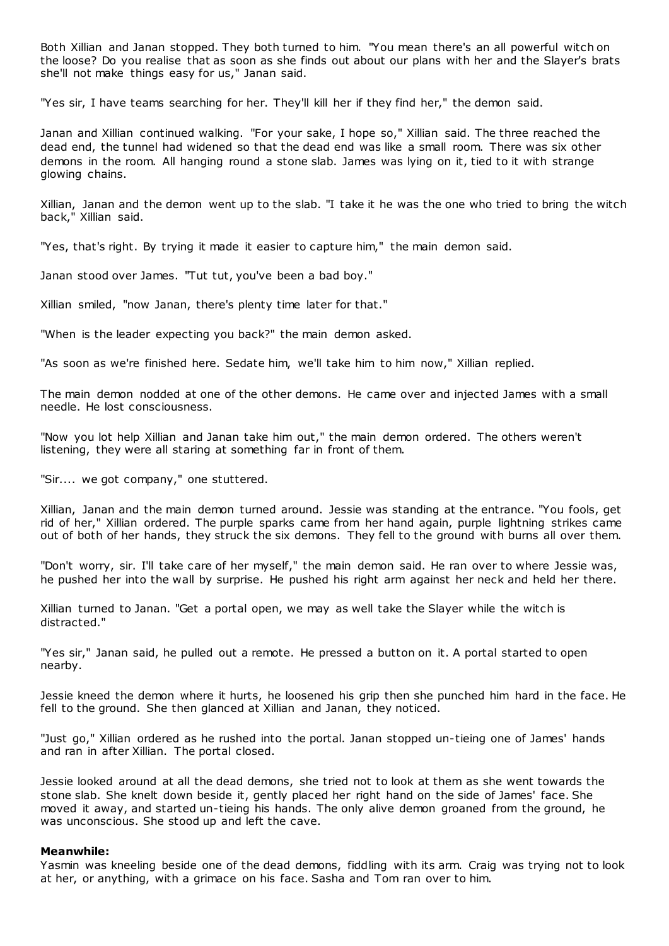Both Xillian and Janan stopped. They both turned to him. "You mean there's an all powerful witch on the loose? Do you realise that as soon as she finds out about our plans with her and the Slayer's brats she'll not make things easy for us," Janan said.

"Yes sir, I have teams searching for her. They'll kill her if they find her," the demon said.

Janan and Xillian continued walking. "For your sake, I hope so," Xillian said. The three reached the dead end, the tunnel had widened so that the dead end was like a small room. There was six other demons in the room. All hanging round a stone slab. James was lying on it, tied to it with strange glowing chains.

Xillian, Janan and the demon went up to the slab. "I take it he was the one who tried to bring the witch back," Xillian said.

"Yes, that's right. By trying it made it easier to capture him," the main demon said.

Janan stood over James. "Tut tut, you've been a bad boy."

Xillian smiled, "now Janan, there's plenty time later for that."

"When is the leader expecting you back?" the main demon asked.

"As soon as we're finished here. Sedate him, we'll take him to him now," Xillian replied.

The main demon nodded at one of the other demons. He came over and injected James with a small needle. He lost consciousness.

"Now you lot help Xillian and Janan take him out," the main demon ordered. The others weren't listening, they were all staring at something far in front of them.

"Sir.... we got company," one stuttered.

Xillian, Janan and the main demon turned around. Jessie was standing at the entrance. "You fools, get rid of her," Xillian ordered. The purple sparks came from her hand again, purple lightning strikes came out of both of her hands, they struck the six demons. They fell to the ground with burns all over them.

"Don't worry, sir. I'll take care of her myself," the main demon said. He ran over to where Jessie was, he pushed her into the wall by surprise. He pushed his right arm against her neck and held her there.

Xillian turned to Janan. "Get a portal open, we may as well take the Slayer while the witch is distracted."

"Yes sir," Janan said, he pulled out a remote. He pressed a button on it. A portal started to open nearby.

Jessie kneed the demon where it hurts, he loosened his grip then she punched him hard in the face. He fell to the ground. She then glanced at Xillian and Janan, they noticed.

"Just go," Xillian ordered as he rushed into the portal. Janan stopped un-tieing one of James' hands and ran in after Xillian. The portal closed.

Jessie looked around at all the dead demons, she tried not to look at them as she went towards the stone slab. She knelt down beside it, gently placed her right hand on the side of James' face. She moved it away, and started un-tieing his hands. The only alive demon groaned from the ground, he was unconscious. She stood up and left the cave.

### **Meanwhile:**

Yasmin was kneeling beside one of the dead demons, fiddling with its arm. Craig was trying not to look at her, or anything, with a grimace on his face. Sasha and Tom ran over to him.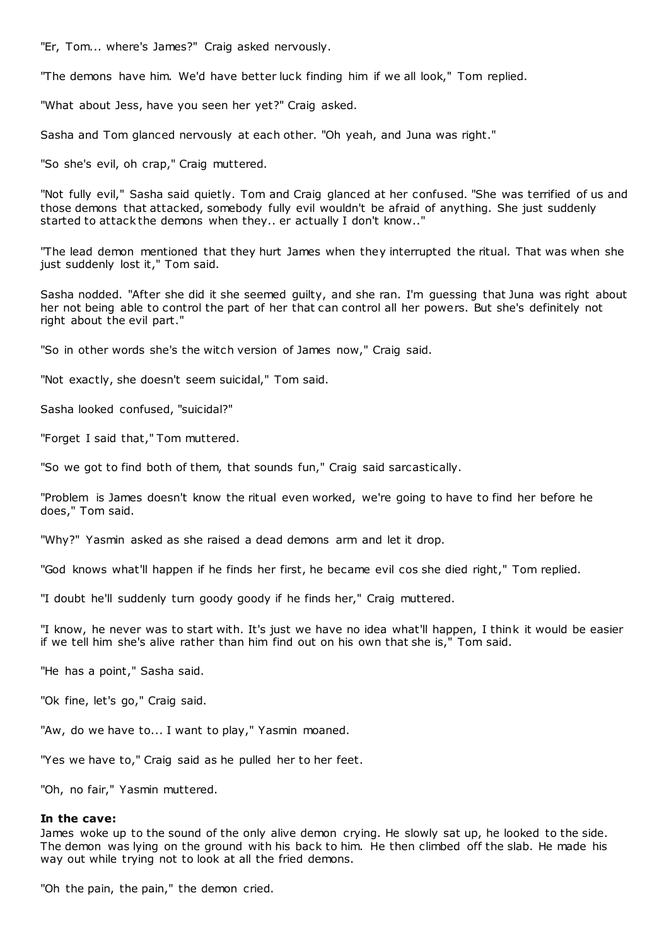"Er, Tom... where's James?" Craig asked nervously.

"The demons have him. We'd have better luck finding him if we all look," Tom replied.

"What about Jess, have you seen her yet?" Craig asked.

Sasha and Tom glanced nervously at each other. "Oh yeah, and Juna was right."

"So she's evil, oh crap," Craig muttered.

"Not fully evil," Sasha said quietly. Tom and Craig glanced at her confused. "She was terrified of us and those demons that attacked, somebody fully evil wouldn't be afraid of anything. She just suddenly started to attack the demons when they.. er actually I don't know.."

"The lead demon mentioned that they hurt James when they interrupted the ritual. That was when she just suddenly lost it," Tom said.

Sasha nodded. "After she did it she seemed guilty, and she ran. I'm guessing that Juna was right about her not being able to control the part of her that can control all her powers. But she's definitely not right about the evil part."

"So in other words she's the witch version of James now," Craig said.

"Not exactly, she doesn't seem suicidal," Tom said.

Sasha looked confused, "suicidal?"

"Forget I said that," Tom muttered.

"So we got to find both of them, that sounds fun," Craig said sarcastically.

"Problem is James doesn't know the ritual even worked, we're going to have to find her before he does," Tom said.

"Why?" Yasmin asked as she raised a dead demons arm and let it drop.

"God knows what'll happen if he finds her first, he became evil cos she died right," Tom replied.

"I doubt he'll suddenly turn goody goody if he finds her," Craig muttered.

"I know, he never was to start with. It's just we have no idea what'll happen, I think it would be easier if we tell him she's alive rather than him find out on his own that she is," Tom said.

"He has a point," Sasha said.

"Ok fine, let's go," Craig said.

"Aw, do we have to... I want to play," Yasmin moaned.

"Yes we have to," Craig said as he pulled her to her feet.

"Oh, no fair," Yasmin muttered.

### **In the cave:**

James woke up to the sound of the only alive demon crying. He slowly sat up, he looked to the side. The demon was lying on the ground with his back to him. He then climbed off the slab. He made his way out while trying not to look at all the fried demons.

"Oh the pain, the pain," the demon cried.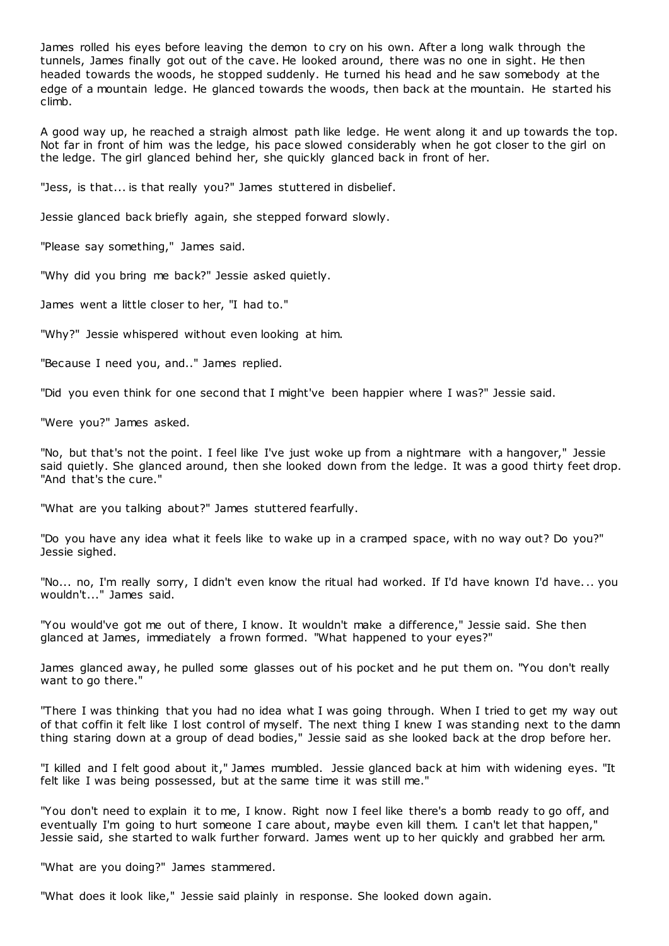James rolled his eyes before leaving the demon to cry on his own. After a long walk through the tunnels, James finally got out of the cave. He looked around, there was no one in sight. He then headed towards the woods, he stopped suddenly. He turned his head and he saw somebody at the edge of a mountain ledge. He glanced towards the woods, then back at the mountain. He started his climb.

A good way up, he reached a straigh almost path like ledge. He went along it and up towards the top. Not far in front of him was the ledge, his pace slowed considerably when he got closer to the girl on the ledge. The girl glanced behind her, she quickly glanced back in front of her.

"Jess, is that... is that really you?" James stuttered in disbelief.

Jessie glanced back briefly again, she stepped forward slowly.

"Please say something," James said.

"Why did you bring me back?" Jessie asked quietly.

James went a little closer to her, "I had to."

"Why?" Jessie whispered without even looking at him.

"Because I need you, and.." James replied.

"Did you even think for one second that I might've been happier where I was?" Jessie said.

"Were you?" James asked.

"No, but that's not the point. I feel like I've just woke up from a nightmare with a hangover," Jessie said quietly. She glanced around, then she looked down from the ledge. It was a good thirty feet drop. "And that's the cure."

"What are you talking about?" James stuttered fearfully.

"Do you have any idea what it feels like to wake up in a cramped space, with no way out? Do you?" Jessie sighed.

"No... no, I'm really sorry, I didn't even know the ritual had worked. If I'd have known I'd have... you wouldn't..." James said.

"You would've got me out of there, I know. It wouldn't make a difference," Jessie said. She then glanced at James, immediately a frown formed. "What happened to your eyes?"

James glanced away, he pulled some glasses out of his pocket and he put them on. "You don't really want to go there."

"There I was thinking that you had no idea what I was going through. When I tried to get my way out of that coffin it felt like I lost control of myself. The next thing I knew I was standing next to the damn thing staring down at a group of dead bodies," Jessie said as she looked back at the drop before her.

"I killed and I felt good about it," James mumbled. Jessie glanced back at him with widening eyes. "It felt like I was being possessed, but at the same time it was still me."

"You don't need to explain it to me, I know. Right now I feel like there's a bomb ready to go off, and eventually I'm going to hurt someone I care about, maybe even kill them. I can't let that happen," Jessie said, she started to walk further forward. James went up to her quickly and grabbed her arm.

"What are you doing?" James stammered.

"What does it look like," Jessie said plainly in response. She looked down again.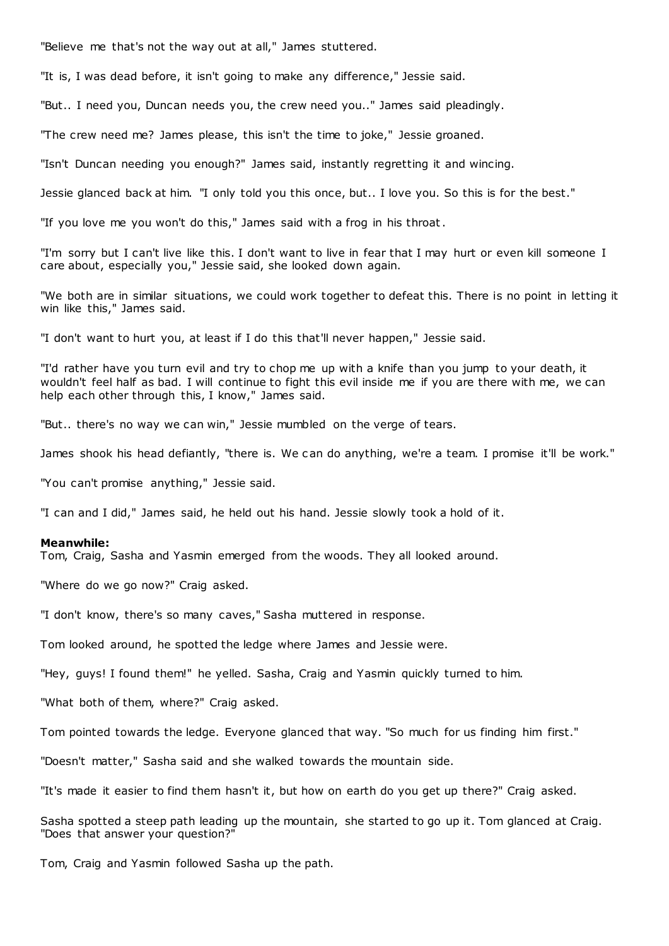"Believe me that's not the way out at all," James stuttered.

"It is, I was dead before, it isn't going to make any difference," Jessie said.

"But.. I need you, Duncan needs you, the crew need you.." James said pleadingly.

"The crew need me? James please, this isn't the time to joke," Jessie groaned.

"Isn't Duncan needing you enough?" James said, instantly regretting it and wincing.

Jessie glanced back at him. "I only told you this once, but.. I love you. So this is for the best."

"If you love me you won't do this," James said with a frog in his throat.

"I'm sorry but I can't live like this. I don't want to live in fear that I may hurt or even kill someone I care about, especially you," Jessie said, she looked down again.

"We both are in similar situations, we could work together to defeat this. There is no point in letting it win like this," James said.

"I don't want to hurt you, at least if I do this that'll never happen," Jessie said.

"I'd rather have you turn evil and try to chop me up with a knife than you jump to your death, it wouldn't feel half as bad. I will continue to fight this evil inside me if you are there with me, we can help each other through this, I know," James said.

"But.. there's no way we can win," Jessie mumbled on the verge of tears.

James shook his head defiantly, "there is. We can do anything, we're a team. I promise it'll be work."

"You can't promise anything," Jessie said.

"I can and I did," James said, he held out his hand. Jessie slowly took a hold of it.

### **Meanwhile:**

Tom, Craig, Sasha and Yasmin emerged from the woods. They all looked around.

"Where do we go now?" Craig asked.

"I don't know, there's so many caves," Sasha muttered in response.

Tom looked around, he spotted the ledge where James and Jessie were.

"Hey, guys! I found them!" he yelled. Sasha, Craig and Yasmin quickly turned to him.

"What both of them, where?" Craig asked.

Tom pointed towards the ledge. Everyone glanced that way. "So much for us finding him first."

"Doesn't matter," Sasha said and she walked towards the mountain side.

"It's made it easier to find them hasn't it, but how on earth do you get up there?" Craig asked.

Sasha spotted a steep path leading up the mountain, she started to go up it. Tom glanced at Craig. "Does that answer your question?"

Tom, Craig and Yasmin followed Sasha up the path.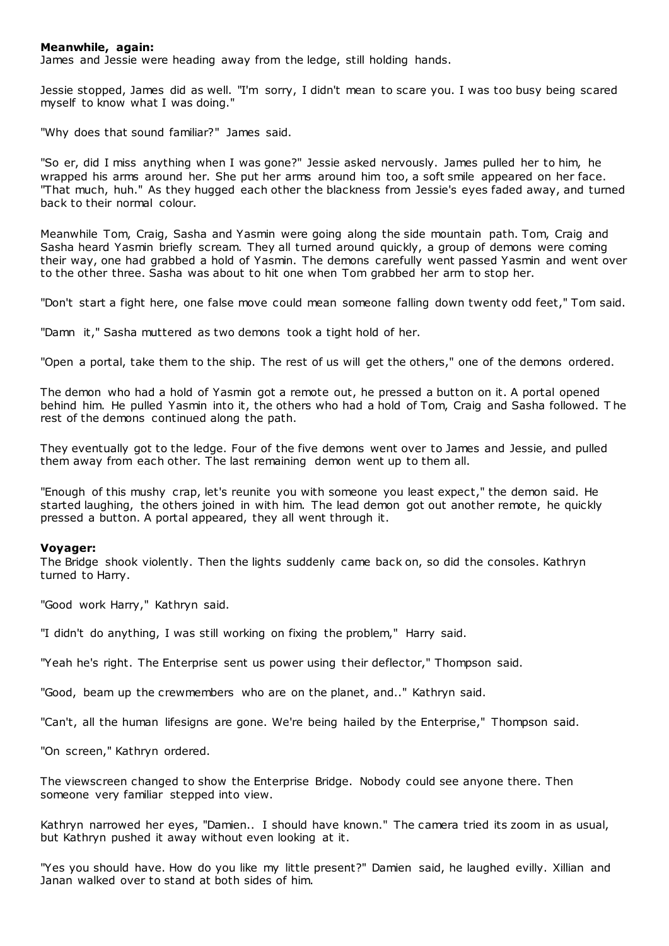# **Meanwhile, again:**

James and Jessie were heading away from the ledge, still holding hands.

Jessie stopped, James did as well. "I'm sorry, I didn't mean to scare you. I was too busy being scared myself to know what I was doing."

"Why does that sound familiar?" James said.

"So er, did I miss anything when I was gone?" Jessie asked nervously. James pulled her to him, he wrapped his arms around her. She put her arms around him too, a soft smile appeared on her face. "That much, huh." As they hugged each other the blackness from Jessie's eyes faded away, and turned back to their normal colour.

Meanwhile Tom, Craig, Sasha and Yasmin were going along the side mountain path. Tom, Craig and Sasha heard Yasmin briefly scream. They all turned around quickly, a group of demons were coming their way, one had grabbed a hold of Yasmin. The demons carefully went passed Yasmin and went over to the other three. Sasha was about to hit one when Tom grabbed her arm to stop her.

"Don't start a fight here, one false move could mean someone falling down twenty odd feet," Tom said.

"Damn it," Sasha muttered as two demons took a tight hold of her.

"Open a portal, take them to the ship. The rest of us will get the others," one of the demons ordered.

The demon who had a hold of Yasmin got a remote out, he pressed a button on it. A portal opened behind him. He pulled Yasmin into it, the others who had a hold of Tom, Craig and Sasha followed. T he rest of the demons continued along the path.

They eventually got to the ledge. Four of the five demons went over to James and Jessie, and pulled them away from each other. The last remaining demon went up to them all.

"Enough of this mushy crap, let's reunite you with someone you least expect," the demon said. He started laughing, the others joined in with him. The lead demon got out another remote, he quickly pressed a button. A portal appeared, they all went through it.

### **Voyager:**

The Bridge shook violently. Then the lights suddenly came back on, so did the consoles. Kathryn turned to Harry.

"Good work Harry," Kathryn said.

"I didn't do anything, I was still working on fixing the problem," Harry said.

"Yeah he's right. The Enterprise sent us power using their deflector," Thompson said.

"Good, beam up the crewmembers who are on the planet, and.." Kathryn said.

"Can't, all the human lifesigns are gone. We're being hailed by the Enterprise," Thompson said.

"On screen," Kathryn ordered.

The viewscreen changed to show the Enterprise Bridge. Nobody could see anyone there. Then someone very familiar stepped into view.

Kathryn narrowed her eyes, "Damien.. I should have known." The camera tried its zoom in as usual, but Kathryn pushed it away without even looking at it.

"Yes you should have. How do you like my little present?" Damien said, he laughed evilly. Xillian and Janan walked over to stand at both sides of him.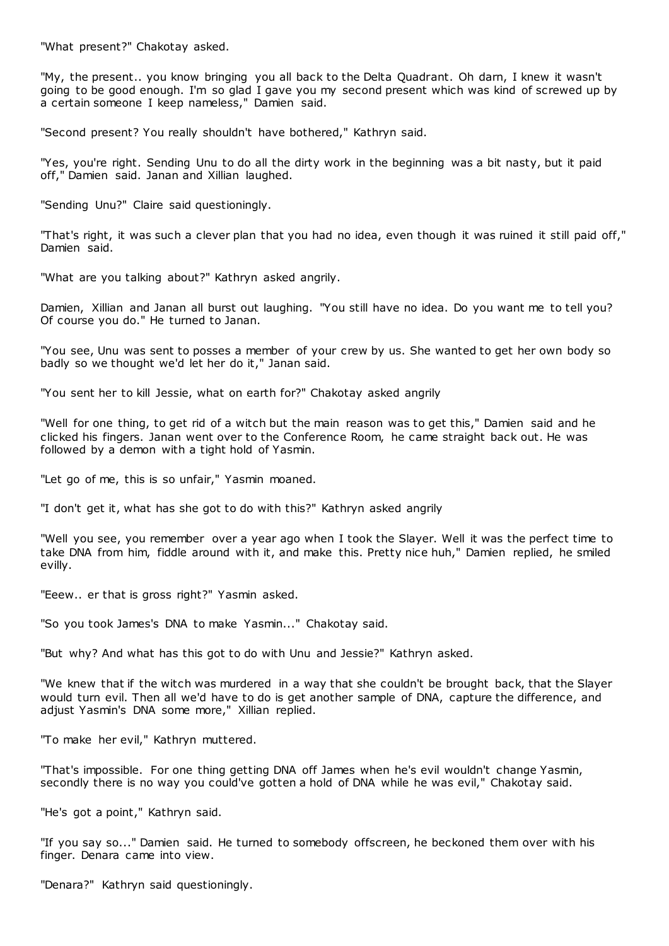"What present?" Chakotay asked.

"My, the present.. you know bringing you all back to the Delta Quadrant. Oh darn, I knew it wasn't going to be good enough. I'm so glad I gave you my second present which was kind of screwed up by a certain someone I keep nameless," Damien said.

"Second present? You really shouldn't have bothered," Kathryn said.

"Yes, you're right. Sending Unu to do all the dirty work in the beginning was a bit nasty, but it paid off," Damien said. Janan and Xillian laughed.

"Sending Unu?" Claire said questioningly.

"That's right, it was such a clever plan that you had no idea, even though it was ruined it still paid off," Damien said.

"What are you talking about?" Kathryn asked angrily.

Damien, Xillian and Janan all burst out laughing. "You still have no idea. Do you want me to tell you? Of course you do." He turned to Janan.

"You see, Unu was sent to posses a member of your crew by us. She wanted to get her own body so badly so we thought we'd let her do it," Janan said.

"You sent her to kill Jessie, what on earth for?" Chakotay asked angrily

"Well for one thing, to get rid of a witch but the main reason was to get this," Damien said and he clicked his fingers. Janan went over to the Conference Room, he came straight back out. He was followed by a demon with a tight hold of Yasmin.

"Let go of me, this is so unfair," Yasmin moaned.

"I don't get it, what has she got to do with this?" Kathryn asked angrily

"Well you see, you remember over a year ago when I took the Slayer. Well it was the perfect time to take DNA from him, fiddle around with it, and make this. Pretty nice huh," Damien replied, he smiled evilly.

"Eeew.. er that is gross right?" Yasmin asked.

"So you took James's DNA to make Yasmin..." Chakotay said.

"But why? And what has this got to do with Unu and Jessie?" Kathryn asked.

"We knew that if the witch was murdered in a way that she couldn't be brought back, that the Slayer would turn evil. Then all we'd have to do is get another sample of DNA, capture the difference, and adjust Yasmin's DNA some more," Xillian replied.

"To make her evil," Kathryn muttered.

"That's impossible. For one thing getting DNA off James when he's evil wouldn't change Yasmin, secondly there is no way you could've gotten a hold of DNA while he was evil," Chakotay said.

"He's got a point," Kathryn said.

"If you say so..." Damien said. He turned to somebody offscreen, he beckoned them over with his finger. Denara came into view.

"Denara?" Kathryn said questioningly.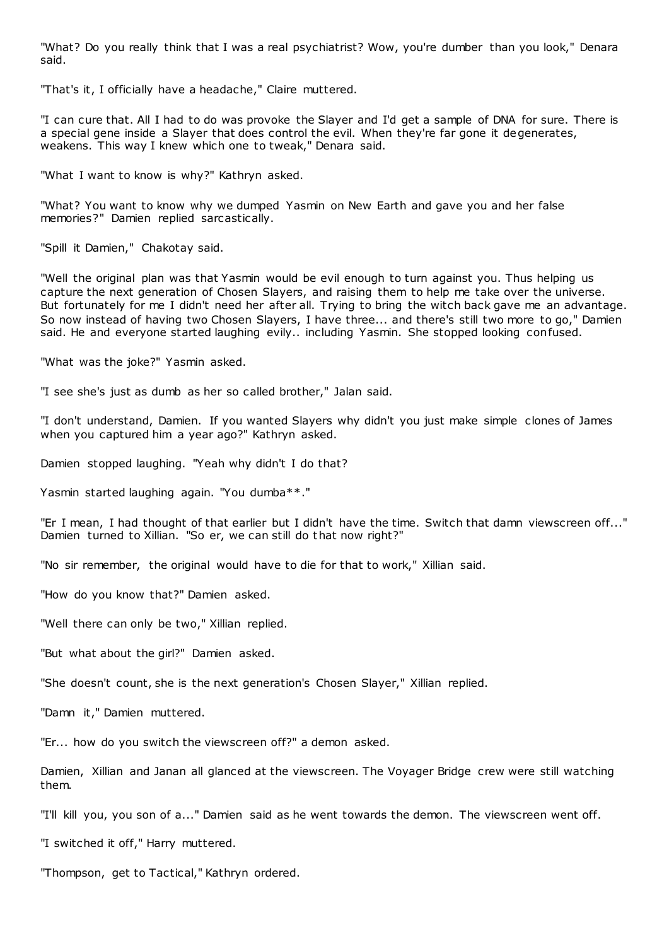"What? Do you really think that I was a real psychiatrist? Wow, you're dumber than you look," Denara said.

"That's it, I officially have a headache," Claire muttered.

"I can cure that. All I had to do was provoke the Slayer and I'd get a sample of DNA for sure. There is a special gene inside a Slayer that does control the evil. When they're far gone it degenerates, weakens. This way I knew which one to tweak," Denara said.

"What I want to know is why?" Kathryn asked.

"What? You want to know why we dumped Yasmin on New Earth and gave you and her false memories?" Damien replied sarcastically.

"Spill it Damien," Chakotay said.

"Well the original plan was that Yasmin would be evil enough to turn against you. Thus helping us capture the next generation of Chosen Slayers, and raising them to help me take over the universe. But fortunately for me I didn't need her after all. Trying to bring the witch back gave me an advantage. So now instead of having two Chosen Slayers, I have three... and there's still two more to go," Damien said. He and everyone started laughing evily.. including Yasmin. She stopped looking confused.

"What was the joke?" Yasmin asked.

"I see she's just as dumb as her so called brother," Jalan said.

"I don't understand, Damien. If you wanted Slayers why didn't you just make simple clones of James when you captured him a year ago?" Kathryn asked.

Damien stopped laughing. "Yeah why didn't I do that?

Yasmin started laughing again. "You dumba\*\*."

"Er I mean, I had thought of that earlier but I didn't have the time. Switch that damn viewscreen off..." Damien turned to Xillian. "So er, we can still do that now right?"

"No sir remember, the original would have to die for that to work," Xillian said.

"How do you know that?" Damien asked.

"Well there can only be two," Xillian replied.

"But what about the girl?" Damien asked.

"She doesn't count, she is the next generation's Chosen Slayer," Xillian replied.

"Damn it," Damien muttered.

"Er... how do you switch the viewscreen off?" a demon asked.

Damien, Xillian and Janan all glanced at the viewscreen. The Voyager Bridge crew were still watching them.

"I'll kill you, you son of a..." Damien said as he went towards the demon. The viewscreen went off.

"I switched it off," Harry muttered.

"Thompson, get to Tactical," Kathryn ordered.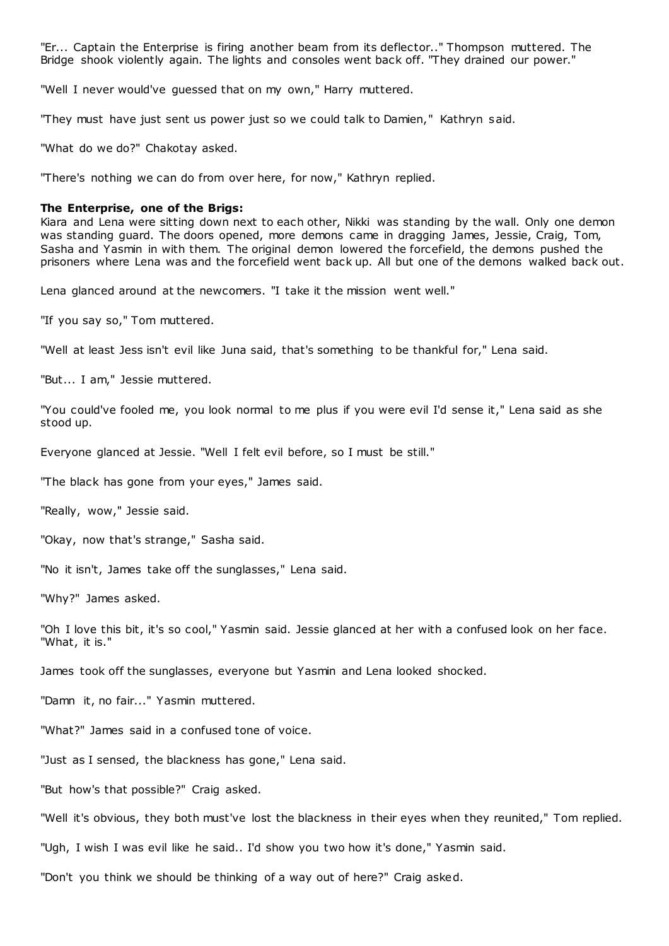"Er... Captain the Enterprise is firing another beam from its deflector.." Thompson muttered. The Bridge shook violently again. The lights and consoles went back off. "They drained our power."

"Well I never would've guessed that on my own," Harry muttered.

"They must have just sent us power just so we could talk to Damien," Kathryn said.

"What do we do?" Chakotay asked.

"There's nothing we can do from over here, for now," Kathryn replied.

#### **The Enterprise, one of the Brigs:**

Kiara and Lena were sitting down next to each other, Nikki was standing by the wall. Only one demon was standing guard. The doors opened, more demons came in dragging James, Jessie, Craig, Tom, Sasha and Yasmin in with them. The original demon lowered the forcefield, the demons pushed the prisoners where Lena was and the forcefield went back up. All but one of the demons walked back out.

Lena glanced around at the newcomers. "I take it the mission went well."

"If you say so," Tom muttered.

"Well at least Jess isn't evil like Juna said, that's something to be thankful for," Lena said.

"But... I am," Jessie muttered.

"You could've fooled me, you look normal to me plus if you were evil I'd sense it," Lena said as she stood up.

Everyone glanced at Jessie. "Well I felt evil before, so I must be still."

"The black has gone from your eyes," James said.

"Really, wow," Jessie said.

"Okay, now that's strange," Sasha said.

"No it isn't, James take off the sunglasses," Lena said.

"Why?" James asked.

"Oh I love this bit, it's so cool," Yasmin said. Jessie glanced at her with a confused look on her face. "What, it is."

James took off the sunglasses, everyone but Yasmin and Lena looked shocked.

"Damn it, no fair..." Yasmin muttered.

"What?" James said in a confused tone of voice.

"Just as I sensed, the blackness has gone," Lena said.

"But how's that possible?" Craig asked.

"Well it's obvious, they both must've lost the blackness in their eyes when they reunited," Tom replied.

"Ugh, I wish I was evil like he said.. I'd show you two how it's done," Yasmin said.

"Don't you think we should be thinking of a way out of here?" Craig asked.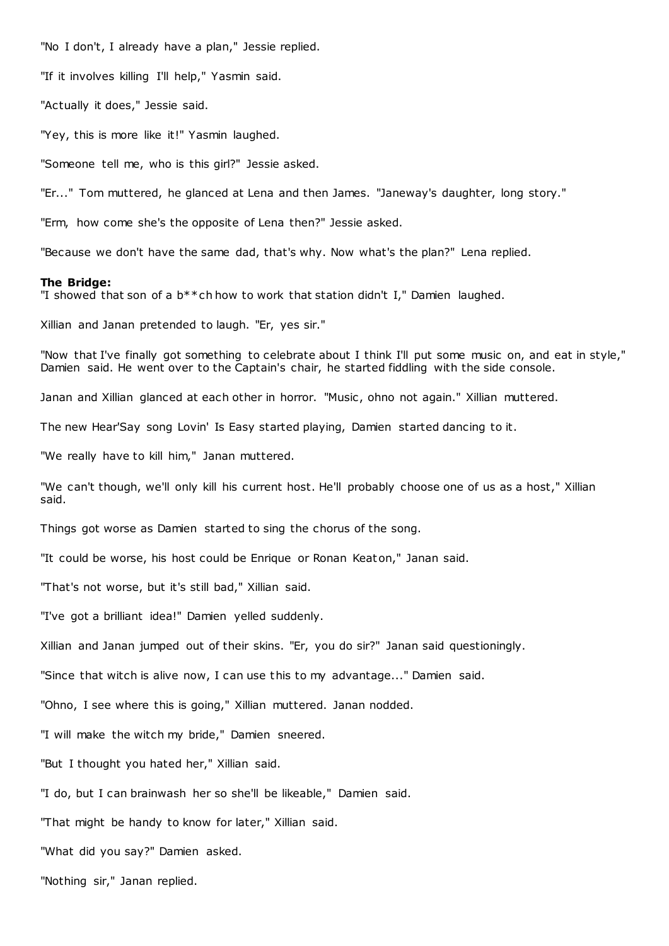"No I don't, I already have a plan," Jessie replied.

"If it involves killing I'll help," Yasmin said.

"Actually it does," Jessie said.

"Yey, this is more like it!" Yasmin laughed.

"Someone tell me, who is this girl?" Jessie asked.

"Er..." Tom muttered, he glanced at Lena and then James. "Janeway's daughter, long story."

"Erm, how come she's the opposite of Lena then?" Jessie asked.

"Because we don't have the same dad, that's why. Now what's the plan?" Lena replied.

### **The Bridge:**

"I showed that son of a  $b^{**}$ ch how to work that station didn't I," Damien laughed.

Xillian and Janan pretended to laugh. "Er, yes sir."

"Now that I've finally got something to celebrate about I think I'll put some music on, and eat in style," Damien said. He went over to the Captain's chair, he started fiddling with the side console.

Janan and Xillian glanced at each other in horror. "Music , ohno not again." Xillian muttered.

The new Hear'Say song Lovin' Is Easy started playing, Damien started dancing to it.

"We really have to kill him," Janan muttered.

"We can't though, we'll only kill his current host. He'll probably choose one of us as a host," Xillian said.

Things got worse as Damien started to sing the chorus of the song.

"It could be worse, his host could be Enrique or Ronan Keaton," Janan said.

"That's not worse, but it's still bad," Xillian said.

"I've got a brilliant idea!" Damien yelled suddenly.

Xillian and Janan jumped out of their skins. "Er, you do sir?" Janan said questioningly.

"Since that witch is alive now, I can use this to my advantage..." Damien said.

"Ohno, I see where this is going," Xillian muttered. Janan nodded.

"I will make the witch my bride," Damien sneered.

"But I thought you hated her," Xillian said.

"I do, but I can brainwash her so she'll be likeable," Damien said.

"That might be handy to know for later," Xillian said.

"What did you say?" Damien asked.

"Nothing sir," Janan replied.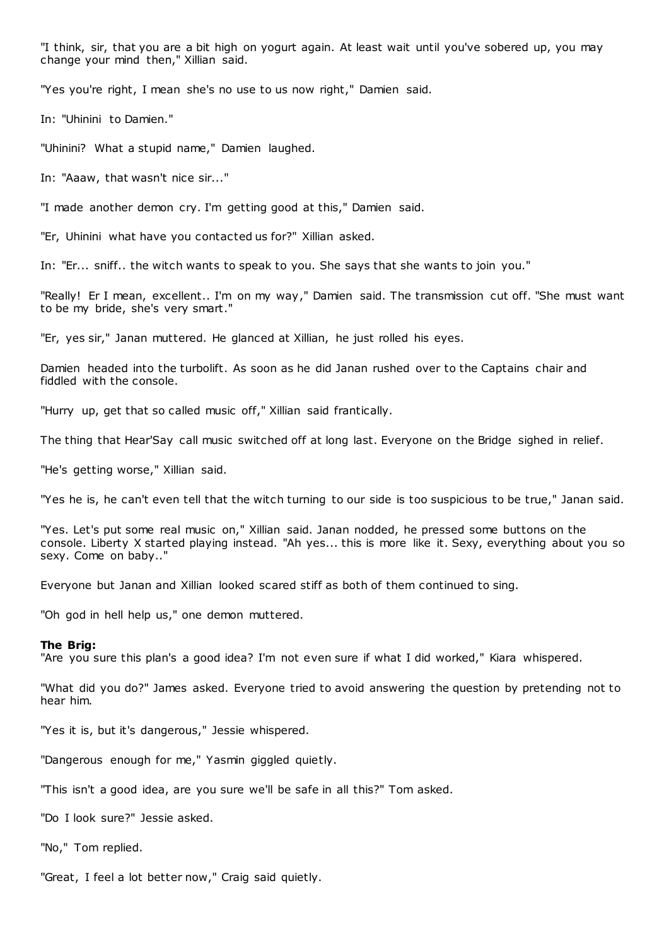"I think, sir, that you are a bit high on yogurt again. At least wait until you've sobered up, you may change your mind then," Xillian said.

"Yes you're right, I mean she's no use to us now right," Damien said.

In: "Uhinini to Damien."

"Uhinini? What a stupid name," Damien laughed.

In: "Aaaw, that wasn't nice sir..."

"I made another demon cry. I'm getting good at this," Damien said.

"Er, Uhinini what have you contacted us for?" Xillian asked.

In: "Er... sniff.. the witch wants to speak to you. She says that she wants to join you."

"Really! Er I mean, excellent.. I'm on my way," Damien said. The transmission cut off. "She must want to be my bride, she's very smart."

"Er, yes sir," Janan muttered. He glanced at Xillian, he just rolled his eyes.

Damien headed into the turbolift. As soon as he did Janan rushed over to the Captains chair and fiddled with the console.

"Hurry up, get that so called music off," Xillian said frantically.

The thing that Hear'Say call music switched off at long last. Everyone on the Bridge sighed in relief.

"He's getting worse," Xillian said.

"Yes he is, he can't even tell that the witch turning to our side is too suspicious to be true," Janan said.

"Yes. Let's put some real music on," Xillian said. Janan nodded, he pressed some buttons on the console. Liberty X started playing instead. "Ah yes... this is more like it. Sexy, everything about you so sexy. Come on baby.."

Everyone but Janan and Xillian looked scared stiff as both of them continued to sing.

"Oh god in hell help us," one demon muttered.

#### **The Brig:**

"Are you sure this plan's a good idea? I'm not even sure if what I did worked," Kiara whispered.

"What did you do?" James asked. Everyone tried to avoid answering the question by pretending not to hear him.

"Yes it is, but it's dangerous," Jessie whispered.

"Dangerous enough for me," Yasmin giggled quietly.

"This isn't a good idea, are you sure we'll be safe in all this?" Tom asked.

"Do I look sure?" Jessie asked.

"No," Tom replied.

"Great, I feel a lot better now," Craig said quietly.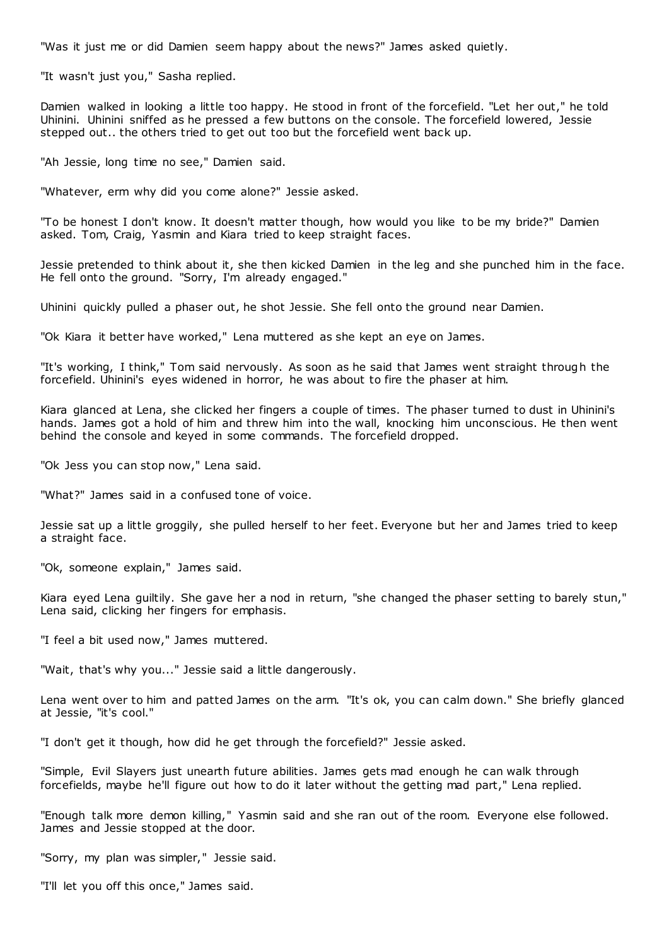"Was it just me or did Damien seem happy about the news?" James asked quietly.

"It wasn't just you," Sasha replied.

Damien walked in looking a little too happy. He stood in front of the forcefield. "Let her out," he told Uhinini. Uhinini sniffed as he pressed a few buttons on the console. The forcefield lowered, Jessie stepped out.. the others tried to get out too but the forcefield went back up.

"Ah Jessie, long time no see," Damien said.

"Whatever, erm why did you come alone?" Jessie asked.

"To be honest I don't know. It doesn't matter though, how would you like to be my bride?" Damien asked. Tom, Craig, Yasmin and Kiara tried to keep straight faces.

Jessie pretended to think about it, she then kicked Damien in the leg and she punched him in the face. He fell onto the ground. "Sorry, I'm already engaged."

Uhinini quickly pulled a phaser out, he shot Jessie. She fell onto the ground near Damien.

"Ok Kiara it better have worked," Lena muttered as she kept an eye on James.

"It's working, I think," Tom said nervously. As soon as he said that James went straight through the forcefield. Uhinini's eyes widened in horror, he was about to fire the phaser at him.

Kiara glanced at Lena, she clicked her fingers a couple of times. The phaser turned to dust in Uhinini's hands. James got a hold of him and threw him into the wall, knocking him unconscious. He then went behind the console and keyed in some commands. The forcefield dropped.

"Ok Jess you can stop now," Lena said.

"What?" James said in a confused tone of voice.

Jessie sat up a little groggily, she pulled herself to her feet. Everyone but her and James tried to keep a straight face.

"Ok, someone explain," James said.

Kiara eyed Lena guiltily. She gave her a nod in return, "she changed the phaser setting to barely stun," Lena said, clicking her fingers for emphasis.

"I feel a bit used now," James muttered.

"Wait, that's why you..." Jessie said a little dangerously.

Lena went over to him and patted James on the arm. "It's ok, you can calm down." She briefly glanced at Jessie, "it's cool."

"I don't get it though, how did he get through the forcefield?" Jessie asked.

"Simple, Evil Slayers just unearth future abilities. James gets mad enough he can walk through forcefields, maybe he'll figure out how to do it later without the getting mad part," Lena replied.

"Enough talk more demon killing," Yasmin said and she ran out of the room. Everyone else followed. James and Jessie stopped at the door.

"Sorry, my plan was simpler," Jessie said.

"I'll let you off this once," James said.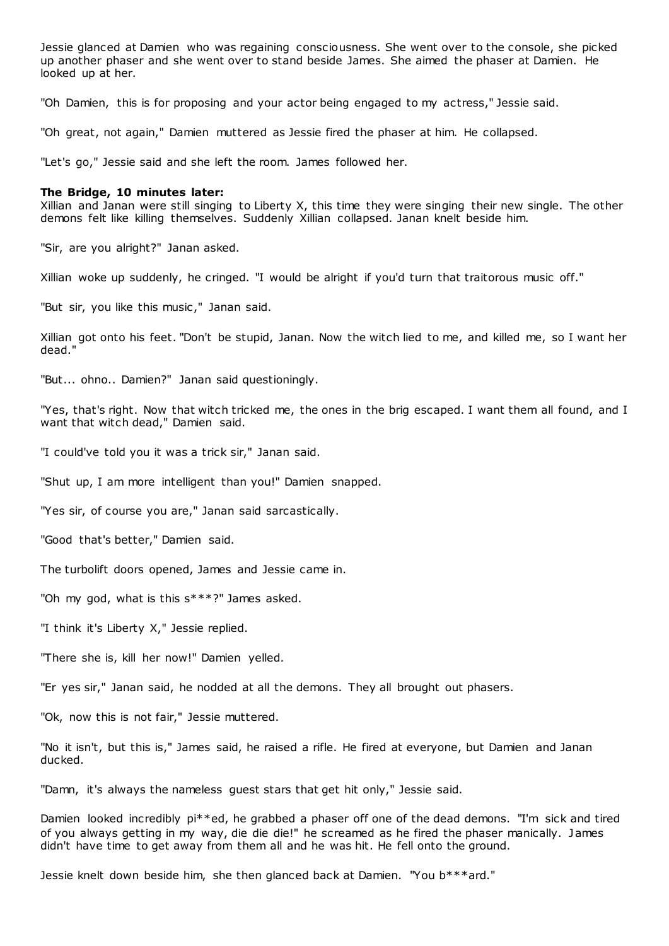Jessie glanced at Damien who was regaining consciousness. She went over to the console, she picked up another phaser and she went over to stand beside James. She aimed the phaser at Damien. He looked up at her.

"Oh Damien, this is for proposing and your actor being engaged to my actress," Jessie said.

"Oh great, not again," Damien muttered as Jessie fired the phaser at him. He collapsed.

"Let's go," Jessie said and she left the room. James followed her.

### **The Bridge, 10 minutes later:**

Xillian and Janan were still singing to Liberty X, this time they were singing their new single. The other demons felt like killing themselves. Suddenly Xillian collapsed. Janan knelt beside him.

"Sir, are you alright?" Janan asked.

Xillian woke up suddenly, he cringed. "I would be alright if you'd turn that traitorous music off."

"But sir, you like this music," Janan said.

Xillian got onto his feet. "Don't be stupid, Janan. Now the witch lied to me, and killed me, so I want her dead."

"But... ohno.. Damien?" Janan said questioningly.

"Yes, that's right. Now that witch tricked me, the ones in the brig escaped. I want them all found, and I want that witch dead," Damien said.

"I could've told you it was a trick sir," Janan said.

"Shut up, I am more intelligent than you!" Damien snapped.

"Yes sir, of course you are," Janan said sarcastically.

"Good that's better," Damien said.

The turbolift doors opened, James and Jessie came in.

"Oh my god, what is this s\*\*\*?" James asked.

"I think it's Liberty X," Jessie replied.

"There she is, kill her now!" Damien yelled.

"Er yes sir," Janan said, he nodded at all the demons. They all brought out phasers.

"Ok, now this is not fair," Jessie muttered.

"No it isn't, but this is," James said, he raised a rifle. He fired at everyone, but Damien and Janan ducked.

"Damn, it's always the nameless guest stars that get hit only," Jessie said.

Damien looked incredibly pi\*\*ed, he grabbed a phaser off one of the dead demons. "I'm sick and tired of you always getting in my way, die die die!" he screamed as he fired the phaser manically. James didn't have time to get away from them all and he was hit. He fell onto the ground.

Jessie knelt down beside him, she then glanced back at Damien. "You b\*\*\*ard."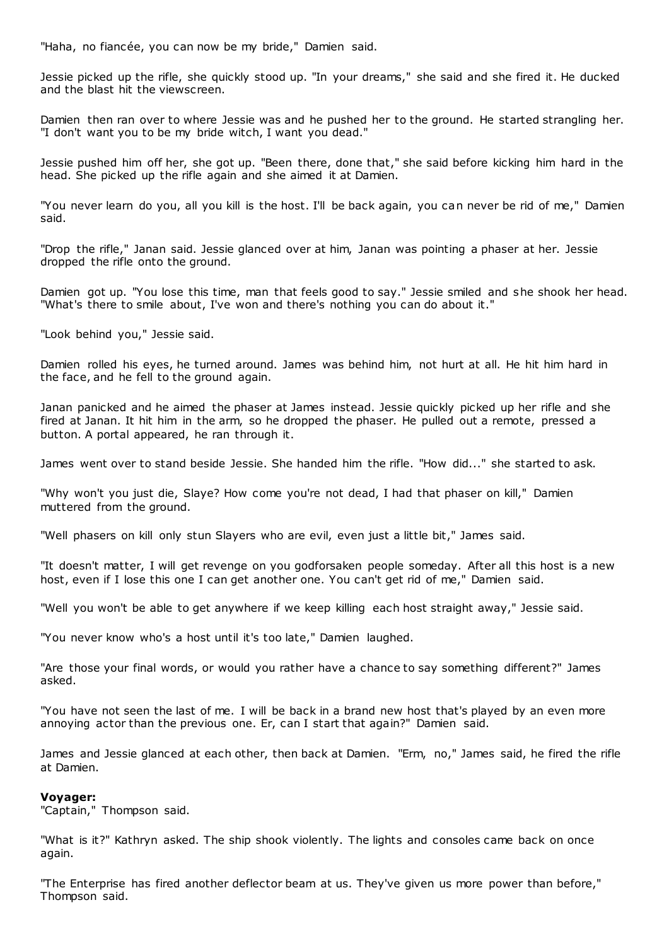"Haha, no fiancée, you can now be my bride," Damien said.

Jessie picked up the rifle, she quickly stood up. "In your dreams," she said and she fired it. He ducked and the blast hit the viewscreen.

Damien then ran over to where Jessie was and he pushed her to the ground. He started strangling her. "I don't want you to be my bride witch, I want you dead."

Jessie pushed him off her, she got up. "Been there, done that," she said before kicking him hard in the head. She picked up the rifle again and she aimed it at Damien.

"You never learn do you, all you kill is the host. I'll be back again, you can never be rid of me," Damien said.

"Drop the rifle," Janan said. Jessie glanced over at him, Janan was pointing a phaser at her. Jessie dropped the rifle onto the ground.

Damien got up. "You lose this time, man that feels good to say." Jessie smiled and she shook her head. "What's there to smile about, I've won and there's nothing you can do about it."

"Look behind you," Jessie said.

Damien rolled his eyes, he turned around. James was behind him, not hurt at all. He hit him hard in the face, and he fell to the ground again.

Janan panicked and he aimed the phaser at James instead. Jessie quickly picked up her rifle and she fired at Janan. It hit him in the arm, so he dropped the phaser. He pulled out a remote, pressed a button. A portal appeared, he ran through it.

James went over to stand beside Jessie. She handed him the rifle. "How did..." she started to ask.

"Why won't you just die, Slaye? How come you're not dead, I had that phaser on kill," Damien muttered from the ground.

"Well phasers on kill only stun Slayers who are evil, even just a little bit," James said.

"It doesn't matter, I will get revenge on you godforsaken people someday. After all this host is a new host, even if I lose this one I can get another one. You can't get rid of me," Damien said.

"Well you won't be able to get anywhere if we keep killing each host straight away," Jessie said.

"You never know who's a host until it's too late," Damien laughed.

"Are those your final words, or would you rather have a chance to say something different?" James asked.

"You have not seen the last of me. I will be back in a brand new host that's played by an even more annoying actor than the previous one. Er, can I start that again?" Damien said.

James and Jessie glanced at each other, then back at Damien. "Erm, no," James said, he fired the rifle at Damien.

# **Voyager:**

"Captain," Thompson said.

"What is it?" Kathryn asked. The ship shook violently. The lights and consoles came back on once again.

"The Enterprise has fired another deflector beam at us. They've given us more power than before," Thompson said.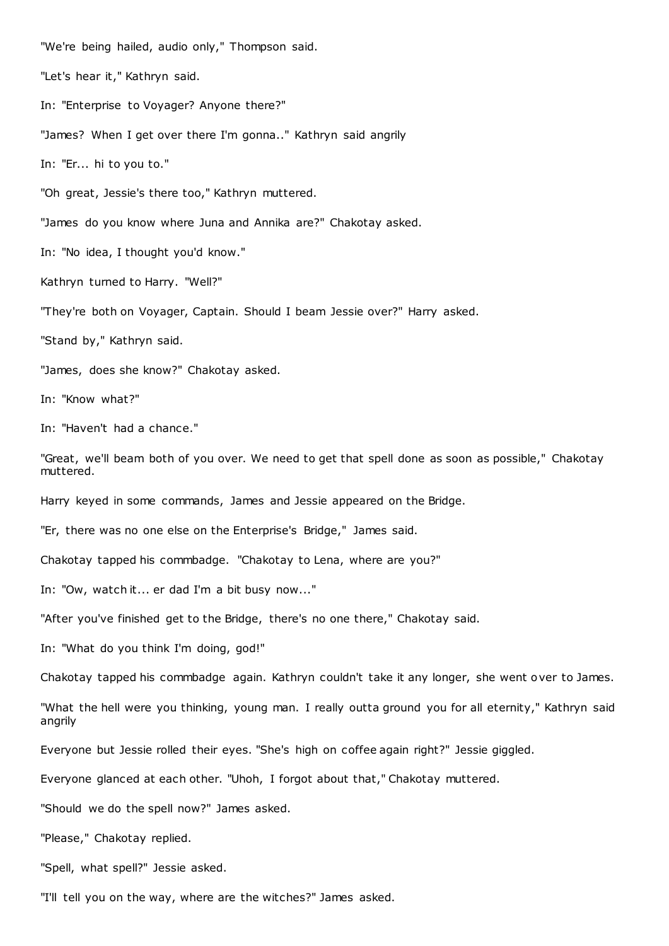"We're being hailed, audio only," Thompson said.

"Let's hear it," Kathryn said.

In: "Enterprise to Voyager? Anyone there?"

"James? When I get over there I'm gonna.." Kathryn said angrily

In: "Er... hi to you to."

"Oh great, Jessie's there too," Kathryn muttered.

"James do you know where Juna and Annika are?" Chakotay asked.

In: "No idea, I thought you'd know."

Kathryn turned to Harry. "Well?"

"They're both on Voyager, Captain. Should I beam Jessie over?" Harry asked.

"Stand by," Kathryn said.

"James, does she know?" Chakotay asked.

In: "Know what?"

In: "Haven't had a chance."

"Great, we'll beam both of you over. We need to get that spell done as soon as possible," Chakotay muttered.

Harry keyed in some commands, James and Jessie appeared on the Bridge.

"Er, there was no one else on the Enterprise's Bridge," James said.

Chakotay tapped his commbadge. "Chakotay to Lena, where are you?"

In: "Ow, watch it... er dad I'm a bit busy now..."

"After you've finished get to the Bridge, there's no one there," Chakotay said.

In: "What do you think I'm doing, god!"

Chakotay tapped his commbadge again. Kathryn couldn't take it any longer, she went over to James.

"What the hell were you thinking, young man. I really outta ground you for all eternity," Kathryn said angrily

Everyone but Jessie rolled their eyes. "She's high on coffee again right?" Jessie giggled.

Everyone glanced at each other. "Uhoh, I forgot about that," Chakotay muttered.

"Should we do the spell now?" James asked.

"Please," Chakotay replied.

"Spell, what spell?" Jessie asked.

"I'll tell you on the way, where are the witches?" James asked.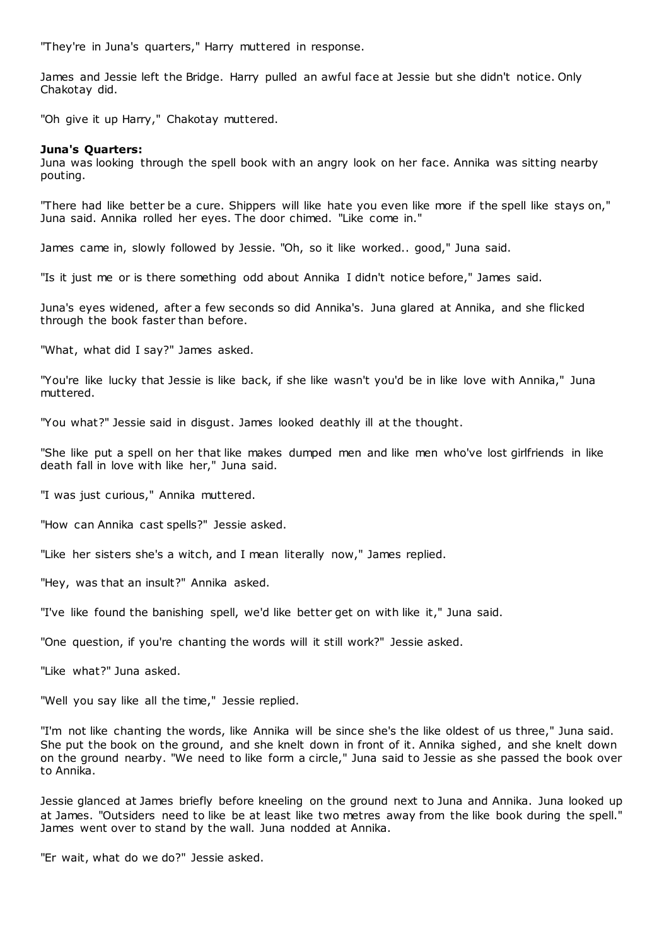"They're in Juna's quarters," Harry muttered in response.

James and Jessie left the Bridge. Harry pulled an awful face at Jessie but she didn't notice. Only Chakotay did.

"Oh give it up Harry," Chakotay muttered.

# **Juna's Quarters:**

Juna was looking through the spell book with an angry look on her face. Annika was sitting nearby pouting.

"There had like better be a cure. Shippers will like hate you even like more if the spell like stays on," Juna said. Annika rolled her eyes. The door chimed. "Like come in."

James came in, slowly followed by Jessie. "Oh, so it like worked.. good," Juna said.

"Is it just me or is there something odd about Annika I didn't notice before," James said.

Juna's eyes widened, after a few seconds so did Annika's. Juna glared at Annika, and she flicked through the book faster than before.

"What, what did I say?" James asked.

"You're like lucky that Jessie is like back, if she like wasn't you'd be in like love with Annika," Juna muttered.

"You what?" Jessie said in disgust. James looked deathly ill at the thought.

"She like put a spell on her that like makes dumped men and like men who've lost girlfriends in like death fall in love with like her," Juna said.

"I was just curious," Annika muttered.

"How can Annika cast spells?" Jessie asked.

"Like her sisters she's a witch, and I mean literally now," James replied.

"Hey, was that an insult?" Annika asked.

"I've like found the banishing spell, we'd like better get on with like it," Juna said.

"One question, if you're chanting the words will it still work?" Jessie asked.

"Like what?" Juna asked.

"Well you say like all the time," Jessie replied.

"I'm not like chanting the words, like Annika will be since she's the like oldest of us three," Juna said. She put the book on the ground, and she knelt down in front of it. Annika sighed, and she knelt down on the ground nearby. "We need to like form a circle," Juna said to Jessie as she passed the book over to Annika.

Jessie glanced at James briefly before kneeling on the ground next to Juna and Annika. Juna looked up at James. "Outsiders need to like be at least like two metres away from the like book during the spell." James went over to stand by the wall. Juna nodded at Annika.

"Er wait, what do we do?" Jessie asked.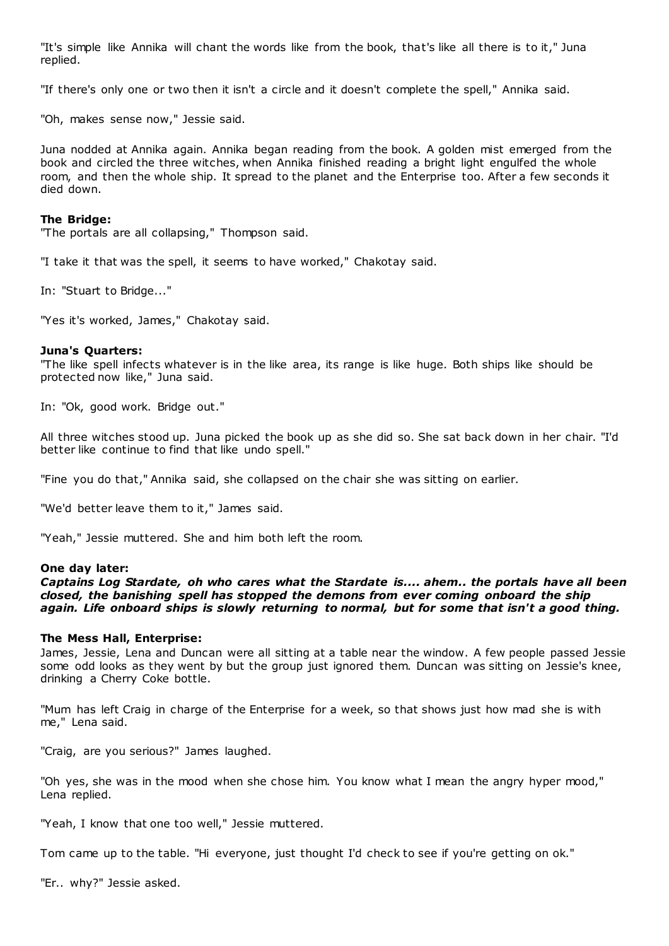"It's simple like Annika will chant the words like from the book, that's like all there is to it," Juna replied.

"If there's only one or two then it isn't a circle and it doesn't complete the spell," Annika said.

"Oh, makes sense now," Jessie said.

Juna nodded at Annika again. Annika began reading from the book. A golden mist emerged from the book and circled the three witches, when Annika finished reading a bright light engulfed the whole room, and then the whole ship. It spread to the planet and the Enterprise too. After a few seconds it died down.

# **The Bridge:**

"The portals are all collapsing," Thompson said.

"I take it that was the spell, it seems to have worked," Chakotay said.

In: "Stuart to Bridge..."

"Yes it's worked, James," Chakotay said.

### **Juna's Quarters:**

"The like spell infects whatever is in the like area, its range is like huge. Both ships like should be protected now like," Juna said.

In: "Ok, good work. Bridge out."

All three witches stood up. Juna picked the book up as she did so. She sat back down in her chair. "I'd better like continue to find that like undo spell."

"Fine you do that," Annika said, she collapsed on the chair she was sitting on earlier.

"We'd better leave them to it," James said.

"Yeah," Jessie muttered. She and him both left the room.

### **One day later:**

*Captains Log Stardate, oh who cares what the Stardate is.... ahem.. the portals have all been closed, the banishing spell has stopped the demons from ever coming onboard the ship again. Life onboard ships is slowly returning to normal, but for some that isn't a good thing.*

# **The Mess Hall, Enterprise:**

James, Jessie, Lena and Duncan were all sitting at a table near the window. A few people passed Jessie some odd looks as they went by but the group just ignored them. Duncan was sitting on Jessie's knee, drinking a Cherry Coke bottle.

"Mum has left Craig in charge of the Enterprise for a week, so that shows just how mad she is with me," Lena said.

"Craig, are you serious?" James laughed.

"Oh yes, she was in the mood when she chose him. You know what I mean the angry hyper mood," Lena replied.

"Yeah, I know that one too well," Jessie muttered.

Tom came up to the table. "Hi everyone, just thought I'd check to see if you're getting on ok."

"Er.. why?" Jessie asked.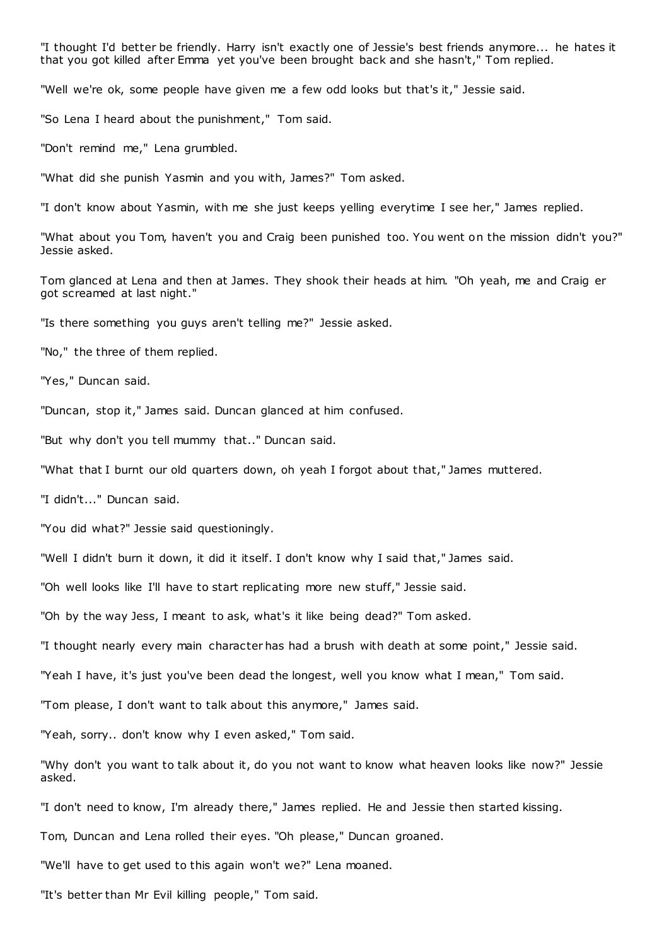"I thought I'd better be friendly. Harry isn't exactly one of Jessie's best friends anymore... he hates it that you got killed after Emma yet you've been brought back and she hasn't," Tom replied.

"Well we're ok, some people have given me a few odd looks but that's it," Jessie said.

"So Lena I heard about the punishment," Tom said.

"Don't remind me," Lena grumbled.

"What did she punish Yasmin and you with, James?" Tom asked.

"I don't know about Yasmin, with me she just keeps yelling everytime I see her," James replied.

"What about you Tom, haven't you and Craig been punished too. You went on the mission didn't you?" Jessie asked.

Tom glanced at Lena and then at James. They shook their heads at him. "Oh yeah, me and Craig er got screamed at last night."

"Is there something you guys aren't telling me?" Jessie asked.

"No," the three of them replied.

"Yes," Duncan said.

"Duncan, stop it," James said. Duncan glanced at him confused.

"But why don't you tell mummy that.." Duncan said.

"What that I burnt our old quarters down, oh yeah I forgot about that," James muttered.

"I didn't..." Duncan said.

"You did what?" Jessie said questioningly.

"Well I didn't burn it down, it did it itself. I don't know why I said that," James said.

"Oh well looks like I'll have to start replicating more new stuff," Jessie said.

"Oh by the way Jess, I meant to ask, what's it like being dead?" Tom asked.

"I thought nearly every main character has had a brush with death at some point," Jessie said.

"Yeah I have, it's just you've been dead the longest, well you know what I mean," Tom said.

"Tom please, I don't want to talk about this anymore," James said.

"Yeah, sorry.. don't know why I even asked," Tom said.

"Why don't you want to talk about it, do you not want to know what heaven looks like now?" Jessie asked.

"I don't need to know, I'm already there," James replied. He and Jessie then started kissing.

Tom, Duncan and Lena rolled their eyes. "Oh please," Duncan groaned.

"We'll have to get used to this again won't we?" Lena moaned.

"It's better than Mr Evil killing people," Tom said.